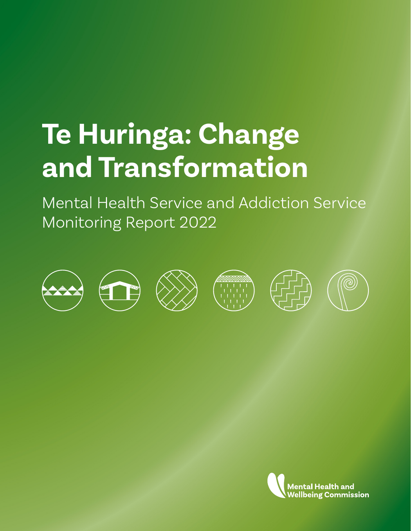## **Te Huringa: Change and Transformation**

Mental Health Service and Addiction Service Monitoring Report 2022



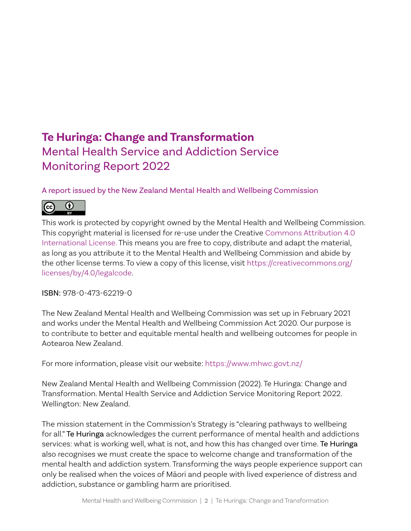## **Te Huringa: Change and Transformation** Mental Health Service and Addiction Service Monitoring Report 2022

#### A report issued by the New Zealand Mental Health and Wellbeing Commission



This work is protected by copyright owned by the Mental Health and Wellbeing Commission. This copyright material is licensed for re-use under the Creative [Commons Attribution 4.0](https://creativecommons.org/licenses/by/4.0/)  [International License.](https://creativecommons.org/licenses/by/4.0/) This means you are free to copy, distribute and adapt the material, as long as you attribute it to the Mental Health and Wellbeing Commission and abide by the other license terms. To view a copy of this license, visit [https://creativecommons.org/](https://creativecommons.org/licenses/by/4.0/legalcode) [licenses/by/4.0/legalcode](https://creativecommons.org/licenses/by/4.0/legalcode).

ISBN: 978-0-473-62219-0

The New Zealand Mental Health and Wellbeing Commission was set up in February 2021 and works under the Mental Health and Wellbeing Commission Act 2020. Our purpose is to contribute to better and equitable mental health and wellbeing outcomes for people in Aotearoa New Zealand.

For more information, please visit our website: <https://www.mhwc.govt.nz/>

New Zealand Mental Health and Wellbeing Commission (2022). Te Huringa: Change and Transformation. Mental Health Service and Addiction Service Monitoring Report 2022. Wellington: New Zealand.

The mission statement in the Commission's Strategy is "clearing pathways to wellbeing for all." Te Huringa acknowledges the current performance of mental health and addictions services: what is working well, what is not, and how this has changed over time. Te Huringa also recognises we must create the space to welcome change and transformation of the mental health and addiction system. Transforming the ways people experience support can only be realised when the voices of Māori and people with lived experience of distress and addiction, substance or gambling harm are prioritised.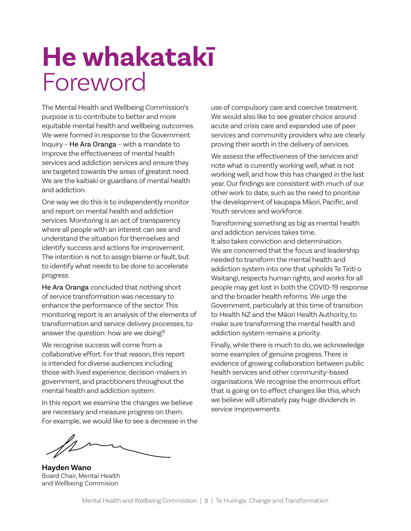## **He whakatakī** Foreword

The Mental Health and Wellbeing Commission's purpose is to contribute to better and more equitable mental health and wellbeing outcomes. We were formed in response to the Government Inquiry – He Ara Oranga – with a mandate to improve the effectiveness of mental health services and addiction services and ensure they are targeted towards the areas of greatest need. We are the kaitiaki or guardians of mental health and addiction.

One way we do this is to independently monitor and report on mental health and addiction services. Monitoring is an act of transparency where all people with an interest can see and understand the situation for themselves and identify success and actions for improvement. The intention is not to assign blame or fault, but to identify what needs to be done to accelerate progress.

He Ara Oranga concluded that nothing short of service transformation was necessary to enhance the performance of the sector. This monitoring report is an analysis of the elements of transformation and service delivery processes, to answer the question: how are we doing?

We recognise success will come from a collaborative effort. For that reason, this report is intended for diverse audiences including those with lived experience, decision-makers in government, and practitioners throughout the mental health and addiction system.

In this report we examine the changes we believe are necessary and measure progress on them. For example, we would like to see a decrease in the use of compulsory care and coercive treatment. We would also like to see greater choice around acute and crisis care and expanded use of peer services and community providers who are clearly proving their worth in the delivery of services.

We assess the effectiveness of the services and note what is currently working well, what is not working well, and how this has changed in the last year. Our findings are consistent with much of our other work to date, such as the need to prioritise the development of kaupapa Māori, Pacific, and Youth services and workforce.

Transforming something as big as mental health and addiction services takes time. It also takes conviction and determination. We are concerned that the focus and leadership needed to transform the mental health and addiction system into one that upholds Te Tiriti o Waitangi, respects human rights, and works for all people may get lost in both the COVID-19 response and the broader health reforms. We urge the Government, particularly at this time of transition to Health NZ and the Māori Health Authority, to make sure transforming the mental health and addiction system remains a priority.

Finally, while there is much to do, we acknowledge some examples of genuine progress. There is evidence of growing collaboration between public health services and other community-based organisations. We recognise the enormous effort that is going on to effect changes like this, which we believe will ultimately pay huge dividends in service improvements.

**Hayden Wano** Board Chair, Mental Health and Wellbeing Commision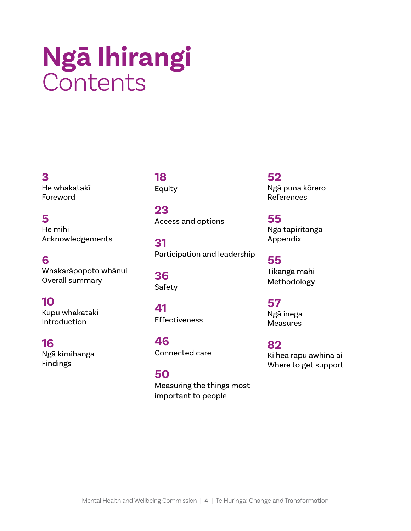## **Ngā Ihirangi Contents**

### **3**

He whakatakī Foreword

### **5**

He mihi Acknowledgements

### **6**

Whakarāpopoto whānui Overall summary

### **10**

Kupu whakataki Introduction

### **16**

Ngā kimihanga Findings

### **18** Equity

**23** Access and options

**31** Participation and leadership

**36** Safety

**41** Effectiveness

**46** Connected care

**50** Measuring the things most important to people

#### **52** Ngā puna kōrero References

**55** Ngā tāpiritanga Appendix

**55** Tikanga mahi Methodology

## **57**

Ngā inega Measures

**82** Ki hea rapu āwhina ai Where to get support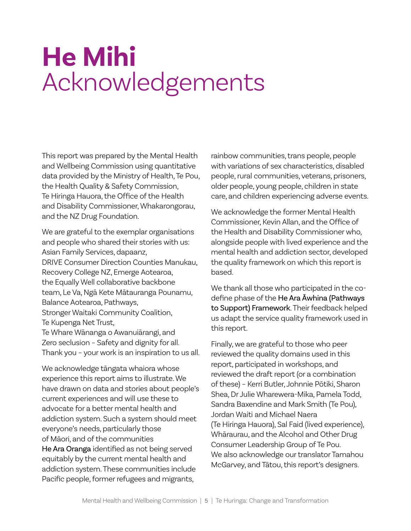## **He Mihi** Acknowledgements

This report was prepared by the Mental Health and Wellbeing Commission using quantitative data provided by the Ministry of Health, Te Pou, the Health Quality & Safety Commission, Te Hiringa Hauora, the Office of the Health and Disability Commissioner, Whakarongorau, and the NZ Drug Foundation.

We are grateful to the exemplar organisations and people who shared their stories with us: Asian Family Services, dapaanz, DRIVE Consumer Direction Counties Manukau, Recovery College NZ, Emerge Aotearoa, the Equally Well collaborative backbone team, Le Va, Ngā Kete Mātauranga Pounamu, Balance Aotearoa, Pathways, Stronger Waitaki Community Coalition, Te Kupenga Net Trust, Te Whare Wānanga o Awanuiārangi, and Zero seclusion – Safety and dignity for all. Thank you – your work is an inspiration to us all.

We acknowledge tāngata whaiora whose experience this report aims to illustrate. We have drawn on data and stories about people's current experiences and will use these to advocate for a better mental health and addiction system. Such a system should meet everyone's needs, particularly those of Māori, and of the communities He Ara Oranga identified as not being served equitably by the current mental health and addiction system. These communities include Pacific people, former refugees and migrants,

rainbow communities, trans people, people with variations of sex characteristics, disabled people, rural communities, veterans, prisoners, older people, young people, children in state care, and children experiencing adverse events.

We acknowledge the former Mental Health Commissioner, Kevin Allan, and the Office of the Health and Disability Commissioner who, alongside people with lived experience and the mental health and addiction sector, developed the quality framework on which this report is based.

We thank all those who participated in the codefine phase of the He Ara Āwhina (Pathways to Support) Framework. Their feedback helped us adapt the service quality framework used in this report.

Finally, we are grateful to those who peer reviewed the quality domains used in this report, participated in workshops, and reviewed the draft report (or a combination of these) – Kerri Butler, Johnnie Pōtiki, Sharon Shea, Dr Julie Wharewera-Mika, Pamela Todd, Sandra Baxendine and Mark Smith (Te Pou), Jordan Waiti and Michael Naera (Te Hiringa Hauora), Sal Faid (lived experience), Whāraurau, and the Alcohol and Other Drug Consumer Leadership Group of Te Pou. We also acknowledge our translator Tamahou McGarvey, and Tātou, this report's designers.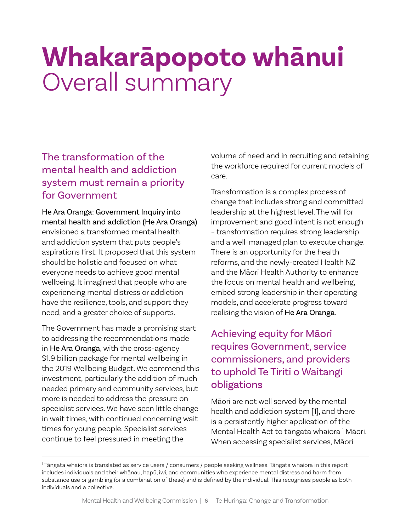## **Whakarāpopoto whānui** Overall summary

## The transformation of the mental health and addiction system must remain a priority for Government

He Ara Oranga: Government Inquiry into mental health and addiction (He Ara Oranga) envisioned a transformed mental health and addiction system that puts people's aspirations first. It proposed that this system should be holistic and focused on what everyone needs to achieve good mental wellbeing. It imagined that people who are experiencing mental distress or addiction have the resilience, tools, and support they need, and a greater choice of supports.

The Government has made a promising start to addressing the recommendations made in He Ara Oranga, with the cross-agency \$1.9 billion package for mental wellbeing in the 2019 Wellbeing Budget. We commend this investment, particularly the addition of much needed primary and community services, but more is needed to address the pressure on specialist services. We have seen little change in wait times, with continued concerning wait times for young people. Specialist services continue to feel pressured in meeting the

volume of need and in recruiting and retaining the workforce required for current models of care.

Transformation is a complex process of change that includes strong and committed leadership at the highest level. The will for improvement and good intent is not enough – transformation requires strong leadership and a well-managed plan to execute change. There is an opportunity for the health reforms, and the newly-created Health NZ and the Māori Health Authority to enhance the focus on mental health and wellbeing, embed strong leadership in their operating models, and accelerate progress toward realising the vision of He Ara Oranga.

## Achieving equity for Māori requires Government, service commissioners, and providers to uphold Te Tiriti o Waitangi obligations

Māori are not well served by the mental health and addiction system [1], and there is a persistently higher application of the Mental Health Act to tāngata whaiora <sup>1</sup> Māori. When accessing specialist services, Māori

<sup>1</sup> Tāngata whaiora is translated as service users / consumers / people seeking wellness. Tāngata whaiora in this report includes individuals and their whānau, hapū, iwi, and communities who experience mental distress and harm from substance use or gambling (or a combination of these) and is defined by the individual. This recognises people as both individuals and a collective.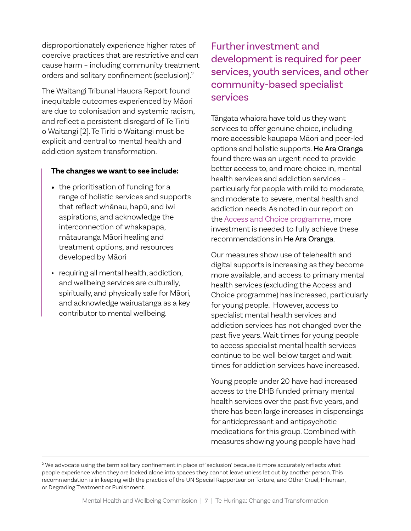disproportionately experience higher rates of coercive practices that are restrictive and can cause harm – including community treatment orders and solitary confinement (seclusion).2

The Waitangi Tribunal Hauora Report found inequitable outcomes experienced by Māori are due to colonisation and systemic racism, and reflect a persistent disregard of Te Tiriti o Waitangi [2]. Te Tiriti o Waitangi must be explicit and central to mental health and addiction system transformation.

#### **The changes we want to see include:**

- the prioritisation of funding for a range of holistic services and supports that reflect whānau, hapū, and iwi aspirations, and acknowledge the interconnection of whakapapa, mātauranga Māori healing and treatment options, and resources developed by Māori
- requiring all mental health, addiction, and wellbeing services are culturally, spiritually, and physically safe for Māori, and acknowledge wairuatanga as a key contributor to mental wellbeing.

## Further investment and development is required for peer services, youth services, and other community-based specialist services

Tāngata whaiora have told us they want services to offer genuine choice, including more accessible kaupapa Māori and peer-led options and holistic supports. He Ara Oranga found there was an urgent need to provide better access to, and more choice in, mental health services and addiction services – particularly for people with mild to moderate, and moderate to severe, mental health and addiction needs. As noted in our report on the [Access and Choice programme](https://www.mhwc.govt.nz/assets/Our-reports/MHWC-Access-and-Choice-report-Final.pdf), more investment is needed to fully achieve these recommendations in He Ara Oranga.

Our measures show use of telehealth and digital supports is increasing as they become more available, and access to primary mental health services (excluding the Access and Choice programme) has increased, particularly for young people. However, access to specialist mental health services and addiction services has not changed over the past five years. Wait times for young people to access specialist mental health services continue to be well below target and wait times for addiction services have increased.

Young people under 20 have had increased access to the DHB funded primary mental health services over the past five years, and there has been large increases in dispensings for antidepressant and antipsychotic medications for this group. Combined with measures showing young people have had

 $^2$  We advocate using the term solitary confinement in place of 'seclusion' because it more accurately reflects what people experience when they are locked alone into spaces they cannot leave unless let out by another person. This recommendation is in keeping with the practice of the UN Special Rapporteur on Torture, and Other Cruel, Inhuman, or Degrading Treatment or Punishment.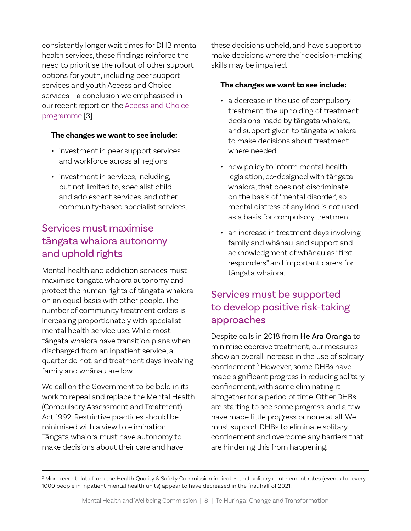consistently longer wait times for DHB mental health services, these findings reinforce the need to prioritise the rollout of other support options for youth, including peer support services and youth Access and Choice services – a conclusion we emphasised in our recent report on the [Access and Choice](https://www.mhwc.govt.nz/assets/Our-reports/MHWC-Access-and-Choice-report-Final.pdf)  [programme](https://www.mhwc.govt.nz/assets/Our-reports/MHWC-Access-and-Choice-report-Final.pdf) [3].

#### **The changes we want to see include:**

- investment in peer support services and workforce across all regions
- investment in services, including, but not limited to, specialist child and adolescent services, and other community-based specialist services.

## Services must maximise tāngata whaiora autonomy and uphold rights

Mental health and addiction services must maximise tāngata whaiora autonomy and protect the human rights of tāngata whaiora on an equal basis with other people. The number of community treatment orders is increasing proportionately with specialist mental health service use. While most tāngata whaiora have transition plans when discharged from an inpatient service, a quarter do not, and treatment days involving family and whānau are low.

We call on the Government to be bold in its work to repeal and replace the Mental Health (Compulsory Assessment and Treatment) Act 1992. Restrictive practices should be minimised with a view to elimination. Tāngata whaiora must have autonomy to make decisions about their care and have

these decisions upheld, and have support to make decisions where their decision-making skills may be impaired.

#### **The changes we want to see include:**

- a decrease in the use of compulsory treatment, the upholding of treatment decisions made by tāngata whaiora, and support given to tāngata whaiora to make decisions about treatment where needed
- new policy to inform mental health legislation, co-designed with tāngata whaiora, that does not discriminate on the basis of 'mental disorder', so mental distress of any kind is not used as a basis for compulsory treatment
- an increase in treatment days involving family and whānau, and support and acknowledgment of whānau as "first responders" and important carers for tāngata whaiora.

## Services must be supported to develop positive risk-taking approaches

Despite calls in 2018 from He Ara Oranga to minimise coercive treatment, our measures show an overall increase in the use of solitary confinement.<sup>3</sup> However, some DHBs have made significant progress in reducing solitary confinement, with some eliminating it altogether for a period of time. Other DHBs are starting to see some progress, and a few have made little progress or none at all. We must support DHBs to eliminate solitary confinement and overcome any barriers that are hindering this from happening.

 $^{\rm 3}$  More recent data from the Health Quality & Safety Commission indicates that solitary confinement rates (events for every 1000 people in inpatient mental health units) appear to have decreased in the first half of 2021.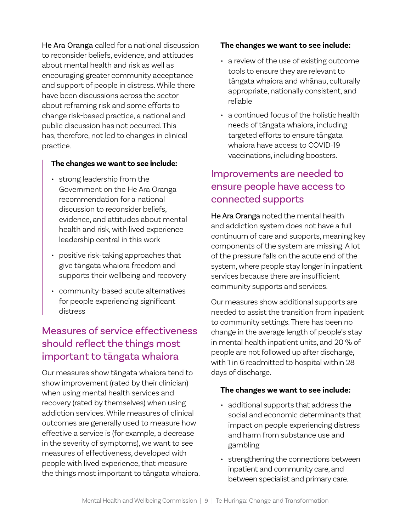He Ara Oranga called for a national discussion to reconsider beliefs, evidence, and attitudes about mental health and risk as well as encouraging greater community acceptance and support of people in distress. While there have been discussions across the sector about reframing risk and some efforts to change risk-based practice, a national and public discussion has not occurred. This has, therefore, not led to changes in clinical practice.

#### **The changes we want to see include:**

- strong leadership from the Government on the He Ara Oranga recommendation for a national discussion to reconsider beliefs, evidence, and attitudes about mental health and risk, with lived experience leadership central in this work
- positive risk-taking approaches that give tāngata whaiora freedom and supports their wellbeing and recovery
- community-based acute alternatives for people experiencing significant distress

## Measures of service effectiveness should reflect the things most important to tāngata whaiora

Our measures show tāngata whaiora tend to show improvement (rated by their clinician) when using mental health services and recovery (rated by themselves) when using addiction services. While measures of clinical outcomes are generally used to measure how effective a service is (for example, a decrease in the severity of symptoms), we want to see measures of effectiveness, developed with people with lived experience, that measure the things most important to tāngata whaiora.

#### **The changes we want to see include:**

- a review of the use of existing outcome tools to ensure they are relevant to tāngata whaiora and whānau, culturally appropriate, nationally consistent, and reliable
- a continued focus of the holistic health needs of tāngata whaiora, including targeted efforts to ensure tāngata whaiora have access to COVID-19 vaccinations, including boosters.

### Improvements are needed to ensure people have access to connected supports

He Ara Oranga noted the mental health and addiction system does not have a full continuum of care and supports, meaning key components of the system are missing. A lot of the pressure falls on the acute end of the system, where people stay longer in inpatient services because there are insufficient community supports and services.

Our measures show additional supports are needed to assist the transition from inpatient to community settings. There has been no change in the average length of people's stay in mental health inpatient units, and 20 % of people are not followed up after discharge, with 1 in 6 readmitted to hospital within 28 days of discharge.

#### **The changes we want to see include:**

- additional supports that address the social and economic determinants that impact on people experiencing distress and harm from substance use and gambling
- strengthening the connections between inpatient and community care, and between specialist and primary care.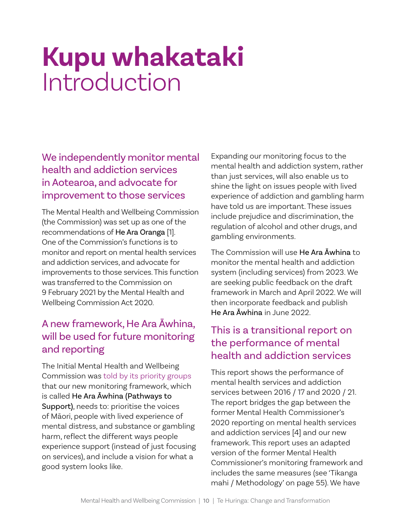## **Kupu whakataki** Introduction

We independently monitor mental health and addiction services in Aotearoa, and advocate for improvement to those services

The Mental Health and Wellbeing Commission (the Commission) was set up as one of the recommendations of He Ara Oranga [1]. One of the Commission's functions is to monitor and report on mental health services and addiction services, and advocate for improvements to those services. This function was transferred to the Commission on 9 February 2021 by the Mental Health and Wellbeing Commission Act 2020.

## A new framework, He Ara Āwhina, will be used for future monitoring and reporting

The Initial Mental Health and Wellbeing Commission was [told by its priority groups](https://www.mhwc.govt.nz/our-work/co-define-phase/) that our new monitoring framework, which is called He Ara Āwhina (Pathways to Support), needs to: prioritise the voices of Māori, people with lived experience of mental distress, and substance or gambling harm, reflect the different ways people experience support (instead of just focusing on services), and include a vision for what a good system looks like.

Expanding our monitoring focus to the mental health and addiction system, rather than just services, will also enable us to shine the light on issues people with lived experience of addiction and gambling harm have told us are important. These issues include prejudice and discrimination, the regulation of alcohol and other drugs, and gambling environments.

The Commission will use He Ara Āwhina to monitor the mental health and addiction system (including services) from 2023. We are seeking public feedback on the draft framework in March and April 2022. We will then incorporate feedback and publish He Ara Āwhina in June 2022.

## This is a transitional report on the performance of mental health and addiction services

This report shows the performance of mental health services and addiction services between 2016 / 17 and 2020 / 21. The report bridges the gap between the former Mental Health Commissioner's 2020 reporting on mental health services and addiction services [4] and our new framework. This report uses an adapted version of the former Mental Health Commissioner's monitoring framework and includes the same measures (see 'Tikanga mahi / Methodology' on page 55). We have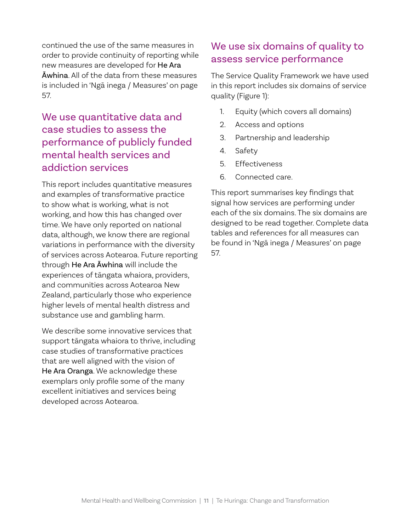continued the use of the same measures in order to provide continuity of reporting while new measures are developed for He Ara Āwhina. All of the data from these measures is included in 'Ngā inega / Measures' on page 57.

## We use quantitative data and case studies to assess the performance of publicly funded mental health services and addiction services

This report includes quantitative measures and examples of transformative practice to show what is working, what is not working, and how this has changed over time. We have only reported on national data, although, we know there are regional variations in performance with the diversity of services across Aotearoa. Future reporting through He Ara Āwhina will include the experiences of tāngata whaiora, providers, and communities across Aotearoa New Zealand, particularly those who experience higher levels of mental health distress and substance use and gambling harm.

We describe some innovative services that support tāngata whaiora to thrive, including case studies of transformative practices that are well aligned with the vision of He Ara Oranga. We acknowledge these exemplars only profile some of the many excellent initiatives and services being developed across Aotearoa.

### We use six domains of quality to assess service performance

The Service Quality Framework we have used in this report includes six domains of service quality (Figure 1):

- 1. Equity (which covers all domains)
- 2. Access and options
- 3. Partnership and leadership
- 4. Safety
- 5. Effectiveness
- 6. Connected care.

This report summarises key findings that signal how services are performing under each of the six domains. The six domains are designed to be read together. Complete data tables and references for all measures can be found in 'Ngā inega / Measures' on page 57.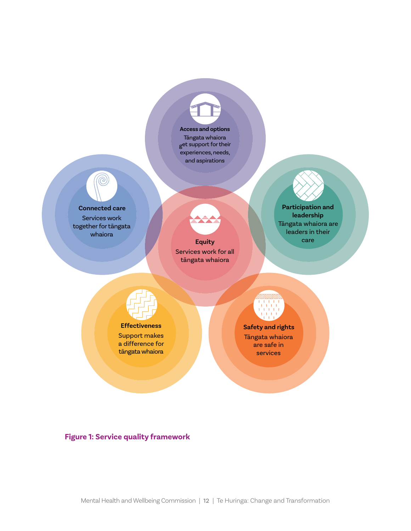

Tāngata whaiora get support for their experiences, needs, and aspirations

## **Connected care**

 $\bigcirc$ 

Services work together for tāngata whaiora

**Equity Equity Equity Equity Equilibrium Equipment** Services work for all tāngata whaiora

**Participation and leadership** Tāngata whaiora are leaders in their



#### **Effectiveness**

Support makes a difference for tāngata whaiora

**Safety and rights** Tāngata whaiora are safe in services

 **Figure 1: Service quality framework**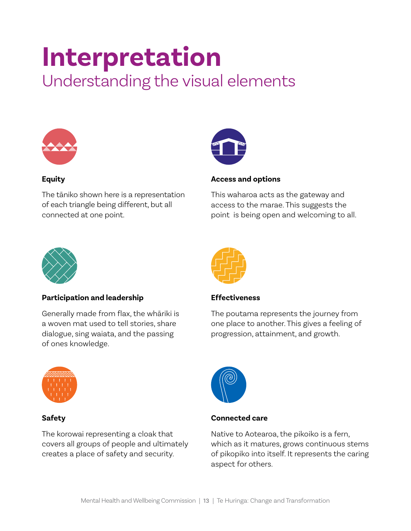## **Interpretation**

Understanding the visual elements



#### **Equity**

The tāniko shown here is a representation of each triangle being different, but all connected at one point.



#### **Access and options**

This waharoa acts as the gateway and access to the marae. This suggests the point is being open and welcoming to all.



#### **Participation and leadership**

Generally made from flax, the whāriki is a woven mat used to tell stories, share dialogue, sing waiata, and the passing of ones knowledge.



#### **Safety**

The korowai representing a cloak that covers all groups of people and ultimately creates a place of safety and security.



#### **Effectiveness**

The poutama represents the journey from one place to another. This gives a feeling of progression, attainment, and growth.



#### **Connected care**

Native to Aotearoa, the pikoiko is a fern, which as it matures, grows continuous stems of pikopiko into itself. It represents the caring aspect for others.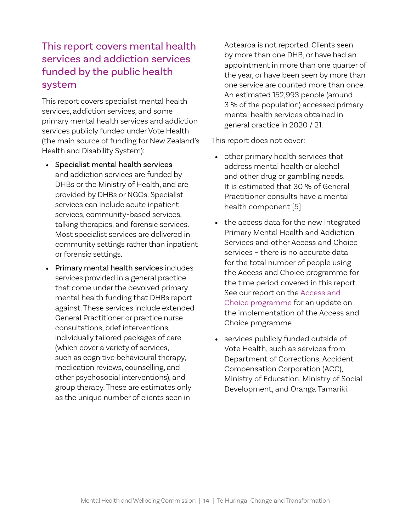## This report covers mental health services and addiction services funded by the public health system

This report covers specialist mental health services, addiction services, and some primary mental health services and addiction services publicly funded under Vote Health (the main source of funding for New Zealand's Health and Disability System):

- Specialist mental health services and addiction services are funded by DHBs or the Ministry of Health, and are provided by DHBs or NGOs. Specialist services can include acute inpatient services, community-based services, talking therapies, and forensic services. Most specialist services are delivered in community settings rather than inpatient or forensic settings.
- Primary mental health services includes services provided in a general practice that come under the devolved primary mental health funding that DHBs report against. These services include extended General Practitioner or practice nurse consultations, brief interventions, individually tailored packages of care (which cover a variety of services, such as cognitive behavioural therapy, medication reviews, counselling, and other psychosocial interventions), and group therapy. These are estimates only as the unique number of clients seen in

Aotearoa is not reported. Clients seen by more than one DHB, or have had an appointment in more than one quarter of the year, or have been seen by more than one service are counted more than once. An estimated 152,993 people (around 3 % of the population) accessed primary mental health services obtained in general practice in 2020 / 21.

This report does not cover:

- other primary health services that address mental health or alcohol and other drug or gambling needs. It is estimated that 30 % of General Practitioner consults have a mental health component [5]
- the access data for the new Integrated Primary Mental Health and Addiction Services and other Access and Choice services – there is no accurate data for the total number of people using the Access and Choice programme for the time period covered in this report. See our report on the [Access and](https://www.mhwc.govt.nz/assets/Our-reports/MHWC-Access-and-Choice-report-Final.pdf)  [Choice programme](https://www.mhwc.govt.nz/assets/Our-reports/MHWC-Access-and-Choice-report-Final.pdf) for an update on the implementation of the Access and Choice programme
- services publicly funded outside of Vote Health, such as services from Department of Corrections, Accident Compensation Corporation (ACC), Ministry of Education, Ministry of Social Development, and Oranga Tamariki.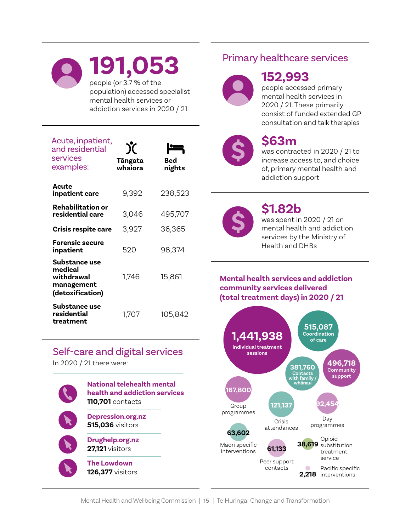## **191,053** people (or 3.7 % of the population) accessed specialist mental health services or addiction services in 2020 / 21

| Acute, inpatient,<br>and residential<br>services<br>examples:            | $\mathcal X$<br>Tāngata<br>whaiora | Bed<br>nights |
|--------------------------------------------------------------------------|------------------------------------|---------------|
| Acute<br>inpatient care                                                  | 9,392                              | 238,523       |
| Rehabilitation or<br>residential care                                    | 3,046                              | 495,707       |
| <b>Crisis respite care</b>                                               | 3,927                              | 36,365        |
| <b>Forensic secure</b><br>inpatient                                      | 520                                | 98,374        |
| Substance use<br>medical<br>withdrawal<br>management<br>(detoxification) | 1,746                              | 15,861        |
| <b>Substance use</b><br>residential<br>treatment                         | 1,707                              | 105,842       |

### Self-care and digital services

In 2020 / 21 there were:



## Primary healthcare services



## **152,993**

people accessed primary mental health services in 2020 / 21. These primarily consist of funded extended GP consultation and talk therapies



## **\$63m**

was contracted in 2020 / 21 to increase access to, and choice of, primary mental health and addiction support



## **\$1.82b**

was spent in 2020 / 21 on mental health and addiction services by the Ministry of Health and DHBs

#### **Mental health services and addiction community services delivered (total treatment days) in 2020 / 21**

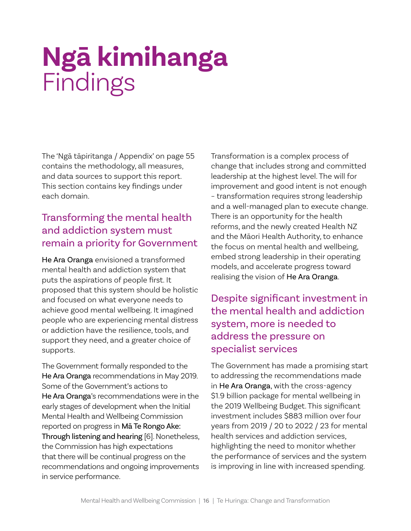## **Ngā kimihanga** Findings

The 'Ngā tāpiritanga / Appendix' on page 55 contains the methodology, all measures, and data sources to support this report. This section contains key findings under each domain.

## Transforming the mental health and addiction system must remain a priority for Government

He Ara Oranga envisioned a transformed mental health and addiction system that puts the aspirations of people first. It proposed that this system should be holistic and focused on what everyone needs to achieve good mental wellbeing. It imagined people who are experiencing mental distress or addiction have the resilience, tools, and support they need, and a greater choice of supports.

The Government formally responded to the He Ara Oranga recommendations in May 2019. Some of the Government's actions to He Ara Oranga's recommendations were in the early stages of development when the Initial Mental Health and Wellbeing Commission reported on progress in Mā Te Rongo Ake: Through listening and hearing [6]. Nonetheless, the Commission has high expectations that there will be continual progress on the recommendations and ongoing improvements in service performance.

Transformation is a complex process of change that includes strong and committed leadership at the highest level. The will for improvement and good intent is not enough – transformation requires strong leadership and a well-managed plan to execute change. There is an opportunity for the health reforms, and the newly created Health NZ and the Māori Health Authority, to enhance the focus on mental health and wellbeing, embed strong leadership in their operating models, and accelerate progress toward realising the vision of He Ara Oranga.

## Despite significant investment in the mental health and addiction system, more is needed to address the pressure on specialist services

The Government has made a promising start to addressing the recommendations made in He Ara Oranga, with the cross-agency \$1.9 billion package for mental wellbeing in the 2019 Wellbeing Budget. This significant investment includes \$883 million over four years from 2019 / 20 to 2022 / 23 for mental health services and addiction services, highlighting the need to monitor whether the performance of services and the system is improving in line with increased spending.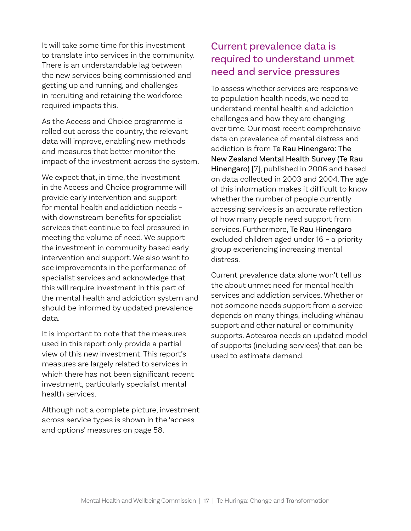It will take some time for this investment to translate into services in the community. There is an understandable lag between the new services being commissioned and getting up and running, and challenges in recruiting and retaining the workforce required impacts this.

As the Access and Choice programme is rolled out across the country, the relevant data will improve, enabling new methods and measures that better monitor the impact of the investment across the system.

We expect that, in time, the investment in the Access and Choice programme will provide early intervention and support for mental health and addiction needs – with downstream benefits for specialist services that continue to feel pressured in meeting the volume of need. We support the investment in community based early intervention and support. We also want to see improvements in the performance of specialist services and acknowledge that this will require investment in this part of the mental health and addiction system and should be informed by updated prevalence data.

It is important to note that the measures used in this report only provide a partial view of this new investment. This report's measures are largely related to services in which there has not been significant recent investment, particularly specialist mental health services.

Although not a complete picture, investment across service types is shown in the 'access and options' measures on page 58.

## Current prevalence data is required to understand unmet need and service pressures

To assess whether services are responsive to population health needs, we need to understand mental health and addiction challenges and how they are changing over time. Our most recent comprehensive data on prevalence of mental distress and addiction is from Te Rau Hinengaro: The New Zealand Mental Health Survey (Te Rau Hinengaro) [7], published in 2006 and based on data collected in 2003 and 2004. The age of this information makes it difficult to know whether the number of people currently accessing services is an accurate reflection of how many people need support from services. Furthermore, Te Rau Hinengaro excluded children aged under 16 – a priority group experiencing increasing mental distress.

Current prevalence data alone won't tell us the about unmet need for mental health services and addiction services. Whether or not someone needs support from a service depends on many things, including whānau support and other natural or community supports. Aotearoa needs an updated model of supports (including services) that can be used to estimate demand.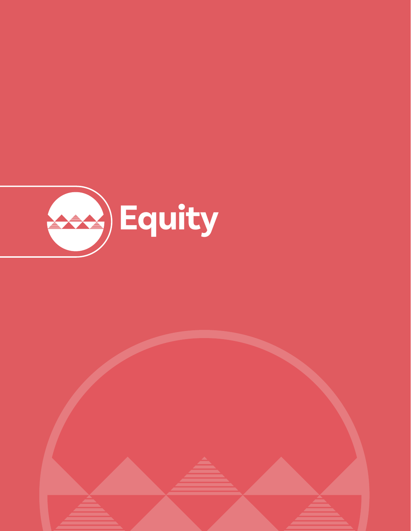

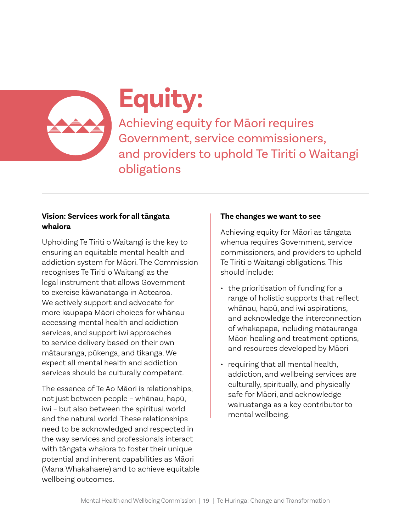

## **Equity:**

Achieving equity for Māori requires Government, service commissioners, and providers to uphold Te Tiriti o Waitangi obligations

#### **Vision: Services work for all tāngata whaiora**

Upholding Te Tiriti o Waitangi is the key to ensuring an equitable mental health and addiction system for Māori. The Commission recognises Te Tiriti o Waitangi as the legal instrument that allows Government to exercise kāwanatanga in Aotearoa. We actively support and advocate for more kaupapa Māori choices for whānau accessing mental health and addiction services, and support iwi approaches to service delivery based on their own mātauranga, pūkenga, and tikanga. We expect all mental health and addiction services should be culturally competent.

The essence of Te Ao Māori is relationships, not just between people – whānau, hapū, iwi – but also between the spiritual world and the natural world. These relationships need to be acknowledged and respected in the way services and professionals interact with tāngata whaiora to foster their unique potential and inherent capabilities as Māori (Mana Whakahaere) and to achieve equitable wellbeing outcomes.

#### **The changes we want to see**

Achieving equity for Māori as tāngata whenua requires Government, service commissioners, and providers to uphold Te Tiriti o Waitangi obligations. This should include:

- the prioritisation of funding for a range of holistic supports that reflect whānau, hapū, and iwi aspirations, and acknowledge the interconnection of whakapapa, including mātauranga Māori healing and treatment options, and resources developed by Māori
- requiring that all mental health, addiction, and wellbeing services are culturally, spiritually, and physically safe for Māori, and acknowledge wairuatanga as a key contributor to mental wellbeing.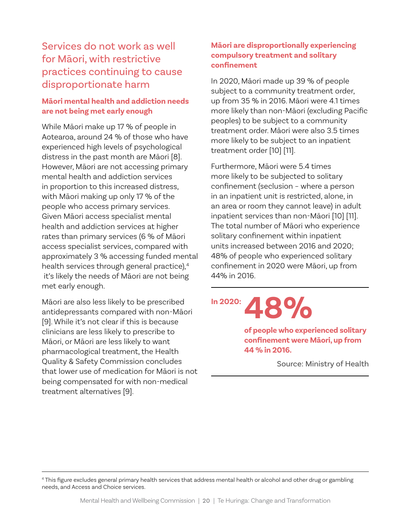## Services do not work as well for Māori, with restrictive practices continuing to cause disproportionate harm

#### **Māori mental health and addiction needs are not being met early enough**

While Māori make up 17 % of people in Aotearoa, around 24 % of those who have experienced high levels of psychological distress in the past month are Māori [8]. However, Māori are not accessing primary mental health and addiction services in proportion to this increased distress, with Māori making up only 17 % of the people who access primary services. Given Māori access specialist mental health and addiction services at higher rates than primary services (6 % of Māori access specialist services, compared with approximately 3 % accessing funded mental health services through general practice), 4 it's likely the needs of Māori are not being met early enough.

Māori are also less likely to be prescribed antidepressants compared with non-Māori [9]. While it's not clear if this is because clinicians are less likely to prescribe to Māori, or Māori are less likely to want pharmacological treatment, the Health Quality & Safety Commission concludes that lower use of medication for Māori is not being compensated for with non-medical treatment alternatives [9].

#### **Māori are disproportionally experiencing compulsory treatment and solitary confinement**

In 2020, Māori made up 39 % of people subject to a community treatment order, up from 35 % in 2016. Māori were 4.1 times more likely than non-Māori (excluding Pacific peoples) to be subject to a community treatment order. Māori were also 3.5 times more likely to be subject to an inpatient treatment order [10] [11].

Furthermore, Māori were 5.4 times more likely to be subjected to solitary confinement (seclusion – where a person in an inpatient unit is restricted, alone, in an area or room they cannot leave) in adult inpatient services than non-Māori [10] [11]. The total number of Māori who experience solitary confinement within inpatient units increased between 2016 and 2020; 48% of people who experienced solitary confinement in 2020 were Māori, up from 44% in 2016.

**LAS** 

**of people who experienced solitary confinement were Māori, up from 44 % in 2016.**

Source: Ministry of Health

<sup>4</sup> This figure excludes general primary health services that address mental health or alcohol and other drug or gambling needs, and Access and Choice services.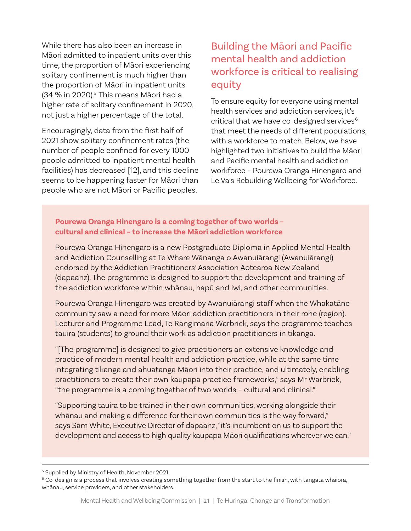While there has also been an increase in Māori admitted to inpatient units over this time, the proportion of Māori experiencing solitary confinement is much higher than the proportion of Māori in inpatient units (34 % in 2020). 5 This means Māori had a higher rate of solitary confinement in 2020, not just a higher percentage of the total.

Encouragingly, data from the first half of 2021 show solitary confinement rates (the number of people confined for every 1000 people admitted to inpatient mental health facilities) has decreased [12], and this decline seems to be happening faster for Māori than people who are not Māori or Pacific peoples.

## Building the Māori and Pacific mental health and addiction workforce is critical to realising equity

To ensure equity for everyone using mental health services and addiction services, it's critical that we have co-designed services<sup>6</sup> that meet the needs of different populations, with a workforce to match. Below, we have highlighted two initiatives to build the Māori and Pacific mental health and addiction workforce – Pourewa Oranga Hinengaro and Le Va's Rebuilding Wellbeing for Workforce.

#### **Pourewa Oranga Hinengaro is a coming together of two worlds – cultural and clinical – to increase the Māori addiction workforce**

Pourewa Oranga Hinengaro is a new Postgraduate Diploma in Applied Mental Health and Addiction Counselling at Te Whare Wānanga o Awanuiārangi (Awanuiārangi) endorsed by the Addiction Practitioners' Association Aotearoa New Zealand (dapaanz). The programme is designed to support the development and training of the addiction workforce within whānau, hapū and iwi, and other communities.

Pourewa Oranga Hinengaro was created by Awanuiārangi staff when the Whakatāne community saw a need for more Māori addiction practitioners in their rohe (region). Lecturer and Programme Lead, Te Rangimaria Warbrick, says the programme teaches tauira (students) to ground their work as addiction practitioners in tikanga.

"[The programme] is designed to give practitioners an extensive knowledge and practice of modern mental health and addiction practice, while at the same time integrating tikanga and ahuatanga Māori into their practice, and ultimately, enabling practitioners to create their own kaupapa practice frameworks," says Mr Warbrick, "the programme is a coming together of two worlds – cultural and clinical."

"Supporting tauira to be trained in their own communities, working alongside their whānau and making a difference for their own communities is the way forward," says Sam White, Executive Director of dapaanz, "it's incumbent on us to support the development and access to high quality kaupapa Māori qualifications wherever we can."

<sup>&</sup>lt;sup>5</sup> Supplied by Ministry of Health, November 2021.

 $6$  Co-design is a process that involves creating something together from the start to the finish, with tāngata whaiora, whānau, service providers, and other stakeholders.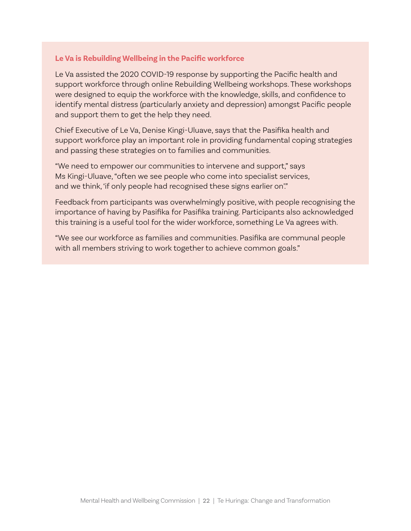#### **Le Va is Rebuilding Wellbeing in the Pacific workforce**

Le Va assisted the 2020 COVID-19 response by supporting the Pacific health and support workforce through online Rebuilding Wellbeing workshops. These workshops were designed to equip the workforce with the knowledge, skills, and confidence to identify mental distress (particularly anxiety and depression) amongst Pacific people and support them to get the help they need.

Chief Executive of Le Va, Denise Kingi-Uluave, says that the Pasifika health and support workforce play an important role in providing fundamental coping strategies and passing these strategies on to families and communities.

"We need to empower our communities to intervene and support," says Ms Kingi-Uluave, "often we see people who come into specialist services, and we think, 'if only people had recognised these signs earlier on'."

Feedback from participants was overwhelmingly positive, with people recognising the importance of having by Pasifika for Pasifika training. Participants also acknowledged this training is a useful tool for the wider workforce, something Le Va agrees with.

"We see our workforce as families and communities. Pasifika are communal people with all members striving to work together to achieve common goals."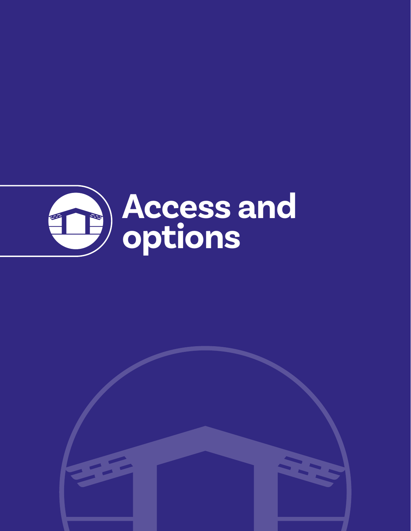

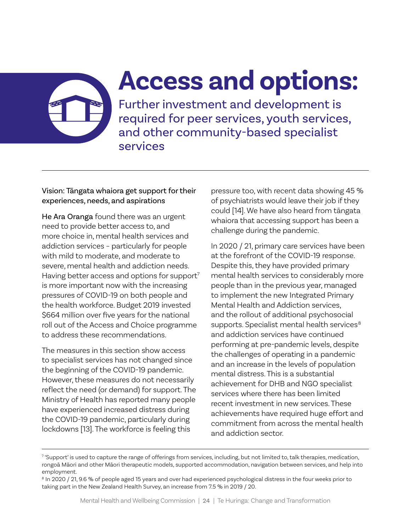Further investment and development is required for peer services, youth services, and other community-based specialist services

**Access and options:**

#### Vision: Tāngata whaiora get support for their experiences, needs, and aspirations

He Ara Oranga found there was an urgent need to provide better access to, and more choice in, mental health services and addiction services – particularly for people with mild to moderate, and moderate to severe, mental health and addiction needs. Having better access and options for support $7$ is more important now with the increasing pressures of COVID-19 on both people and the health workforce. Budget 2019 invested \$664 million over five years for the national roll out of the Access and Choice programme to address these recommendations.

The measures in this section show access to specialist services has not changed since the beginning of the COVID-19 pandemic. However, these measures do not necessarily reflect the need (or demand) for support. The Ministry of Health has reported many people have experienced increased distress during the COVID-19 pandemic, particularly during lockdowns [13]. The workforce is feeling this

pressure too, with recent data showing 45 % of psychiatrists would leave their job if they could [14]. We have also heard from tāngata whaiora that accessing support has been a challenge during the pandemic.

In 2020 / 21, primary care services have been at the forefront of the COVID-19 response. Despite this, they have provided primary mental health services to considerably more people than in the previous year, managed to implement the new Integrated Primary Mental Health and Addiction services, and the rollout of additional psychosocial supports. Specialist mental health services<sup>8</sup> and addiction services have continued performing at pre-pandemic levels, despite the challenges of operating in a pandemic and an increase in the levels of population mental distress. This is a substantial achievement for DHB and NGO specialist services where there has been limited recent investment in new services. These achievements have required huge effort and commitment from across the mental health and addiction sector.

<sup>&</sup>lt;sup>7</sup> 'Support' is used to capture the range of offerings from services, including, but not limited to, talk therapies, medication, rongoā Māori and other Māori therapeutic models, supported accommodation, navigation between services, and help into employment.

<sup>&</sup>lt;sup>8</sup> In 2020 / 21, 9.6 % of people aged 15 years and over had experienced psychological distress in the four weeks prior to taking part in the New Zealand Health Survey, an increase from 7.5 % in 2019 / 20.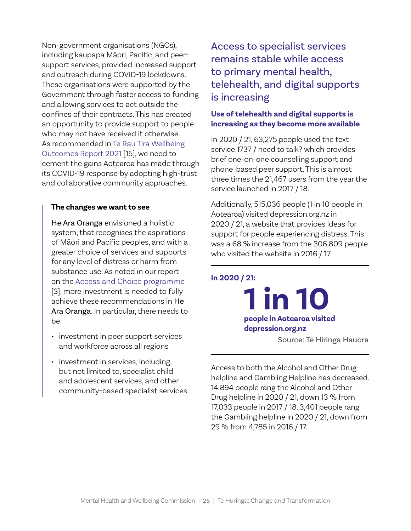Non-government organisations (NGOs), including kaupapa Māori, Pacific, and peersupport services, provided increased support and outreach during COVID-19 lockdowns. These organisations were supported by the Government through faster access to funding and allowing services to act outside the confines of their contracts. This has created an opportunity to provide support to people who may not have received it otherwise. As recommended in [Te Rau Tira Wellbeing](https://www.mhwc.govt.nz/assets/Te-Rau-Tira-Wellbeing-Outcomes-Report-2021/Te-Rau-Tira-Wellbeing-Outcomes-Report-2021-FINAL-WEB.pdf)  [Outcomes Report 2021](https://www.mhwc.govt.nz/assets/Te-Rau-Tira-Wellbeing-Outcomes-Report-2021/Te-Rau-Tira-Wellbeing-Outcomes-Report-2021-FINAL-WEB.pdf) [15], we need to cement the gains Aotearoa has made through its COVID-19 response by adopting high-trust and collaborative community approaches.

#### **The changes we want to see**

He Ara Oranga envisioned a holistic system, that recognises the aspirations of Māori and Pacific peoples, and with a greater choice of services and supports for any level of distress or harm from substance use. As noted in our report on the [Access and Choice programme](https://www.mhwc.govt.nz/assets/Our-reports/MHWC-Access-and-Choice-report-Final.pdf) [3], more investment is needed to fully achieve these recommendations in He Ara Oranga. In particular, there needs to be:

- investment in peer support services and workforce across all regions
- investment in services, including, but not limited to, specialist child and adolescent services, and other community-based specialist services.

Access to specialist services remains stable while access to primary mental health, telehealth, and digital supports is increasing

#### **Use of telehealth and digital supports is increasing as they become more available**

In 2020 / 21, 63,275 people used the text service 1737 / need to talk? which provides brief one-on-one counselling support and phone-based peer support. This is almost three times the 21,467 users from the year the service launched in 2017 / 18.

Additionally, 515,036 people (1 in 10 people in Aotearoa) visited depression.org.nz in 2020 / 21, a website that provides ideas for support for people experiencing distress. This was a 68 % increase from the 306,809 people who visited the website in 2016 / 17.

**In 2020 / 21:**

**1 in 10 people in Aotearoa visited depression.org.nz** Source: Te Hiringa Hauora

Access to both the Alcohol and Other Drug helpline and Gambling Helpline has decreased. 14,894 people rang the Alcohol and Other Drug helpline in 2020 / 21, down 13 % from 17,033 people in 2017 / 18. 3,401 people rang the Gambling helpline in 2020 / 21, down from 29 % from 4,785 in 2016 / 17.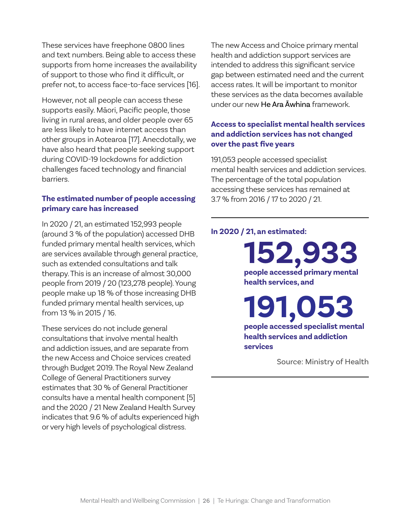These services have freephone 0800 lines and text numbers. Being able to access these supports from home increases the availability of support to those who find it difficult, or prefer not, to access face-to-face services [16].

However, not all people can access these supports easily. Māori, Pacific people, those living in rural areas, and older people over 65 are less likely to have internet access than other groups in Aotearoa [17]. Anecdotally, we have also heard that people seeking support during COVID-19 lockdowns for addiction challenges faced technology and financial barriers.

#### **The estimated number of people accessing primary care has increased**

In 2020 / 21, an estimated 152,993 people (around 3 % of the population) accessed DHB funded primary mental health services, which are services available through general practice, such as extended consultations and talk therapy. This is an increase of almost 30,000 people from 2019 / 20 (123,278 people). Young people make up 18 % of those increasing DHB funded primary mental health services, up from 13 % in 2015 / 16.

These services do not include general consultations that involve mental health and addiction issues, and are separate from the new Access and Choice services created through Budget 2019. The Royal New Zealand College of General Practitioners survey estimates that 30 % of General Practitioner consults have a mental health component [5] and the 2020 / 21 New Zealand Health Survey indicates that 9.6 % of adults experienced high or very high levels of psychological distress.

The new Access and Choice primary mental health and addiction support services are intended to address this significant service gap between estimated need and the current access rates. It will be important to monitor these services as the data becomes available under our new He Ara Āwhina framework.

#### **Access to specialist mental health services and addiction services has not changed over the past five years**

191,053 people accessed specialist mental health services and addiction services. The percentage of the total population accessing these services has remained at 3.7 % from 2016 / 17 to 2020 / 21.

#### **In 2020 / 21, an estimated:**

**152,933 people accessed primary mental health services, and**

**191,053 people accessed specialist mental health services and addiction services**

Source: Ministry of Health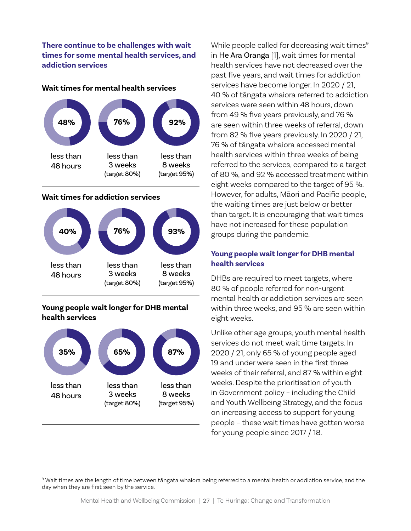**There continue to be challenges with wait times for some mental health services, and addiction services** 



#### **Wait times for mental health services**

#### **Wait times for addiction services**



#### **Young people wait longer for DHB mental health services**



While people called for decreasing wait times<sup>9</sup> in He Ara Oranga [1], wait times for mental health services have not decreased over the past five years, and wait times for addiction services have become longer. In 2020 / 21, 40 % of tāngata whaiora referred to addiction services were seen within 48 hours, down from 49 % five years previously, and 76 % are seen within three weeks of referral, down from 82 % five years previously. In 2020 / 21, 76 % of tāngata whaiora accessed mental health services within three weeks of being referred to the services, compared to a target of 80 %, and 92 % accessed treatment within eight weeks compared to the target of 95 %. However, for adults, Māori and Pacific people, the waiting times are just below or better than target. It is encouraging that wait times have not increased for these population groups during the pandemic.

#### **Young people wait longer for DHB mental health services**

DHBs are required to meet targets, where 80 % of people referred for non-urgent mental health or addiction services are seen within three weeks, and 95 % are seen within eight weeks.

Unlike other age groups, youth mental health services do not meet wait time targets. In 2020 / 21, only 65 % of young people aged 19 and under were seen in the first three weeks of their referral, and 87 % within eight weeks. Despite the prioritisation of youth in Government policy – including the Child and Youth Wellbeing Strategy, and the focus on increasing access to support for young people – these wait times have gotten worse for young people since 2017 / 18.

<sup>9</sup> Wait times are the length of time between tāngata whaiora being referred to a mental health or addiction service, and the day when they are first seen by the service.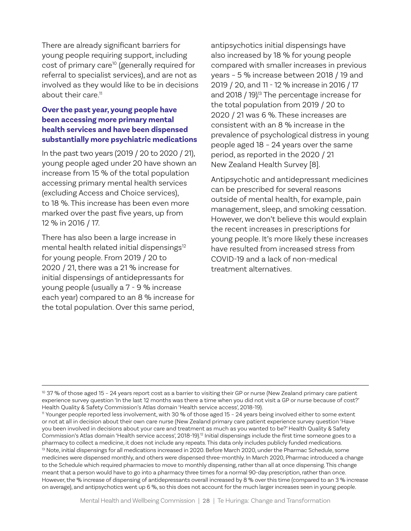There are already significant barriers for young people requiring support, including cost of primary care<sup>10</sup> (generally required for referral to specialist services), and are not as involved as they would like to be in decisions about their care.11

#### **Over the past year, young people have been accessing more primary mental health services and have been dispensed substantially more psychiatric medications**

In the past two years (2019 / 20 to 2020 / 21), young people aged under 20 have shown an increase from 15 % of the total population accessing primary mental health services (excluding Access and Choice services), to 18 %. This increase has been even more marked over the past five years, up from 12 % in 2016 / 17.

There has also been a large increase in mental health related initial dispensings<sup>12</sup> for young people. From 2019 / 20 to 2020 / 21, there was a 21 % increase for initial dispensings of antidepressants for young people (usually a 7 - 9 % increase each year) compared to an 8 % increase for the total population. Over this same period,

antipsychotics initial dispensings have also increased by 18 % for young people compared with smaller increases in previous years – 5 % increase between 2018 / 19 and 2019 / 20, and 11 - 12 % increase in 2016 / 17 and 2018 / 19). 13 The percentage increase for the total population from 2019 / 20 to 2020 / 21 was 6 %. These increases are consistent with an 8 % increase in the prevalence of psychological distress in young people aged 18 – 24 years over the same period, as reported in the 2020 / 21 New Zealand Health Survey [8].

Antipsychotic and antidepressant medicines can be prescribed for several reasons outside of mental health, for example, pain management, sleep, and smoking cessation. However, we don't believe this would explain the recent increases in prescriptions for young people. It's more likely these increases have resulted from increased stress from COVID-19 and a lack of non-medical treatment alternatives.

<sup>&</sup>lt;sup>10</sup> 37 % of those aged 15 - 24 years report cost as a barrier to visiting their GP or nurse (New Zealand primary care patient experience survey question 'In the last 12 months was there a time when you did not visit a GP or nurse because of cost?' Health Quality & Safety Commission's Atlas domain 'Health service access', 2018-19).

<sup>11</sup> Younger people reported less involvement, with 30 % of those aged 15 – 24 years being involved either to some extent or not at all in decision about their own care nurse (New Zealand primary care patient experience survey question 'Have you been involved in decisions about your care and treatment as much as you wanted to be?' Health Quality & Safety Commission's Atlas domain 'Health service access', 2018-19).12 Initial dispensings include the first time someone goes to a pharmacy to collect a medicine, it does not include any repeats. This data only includes publicly funded medications. <sup>13</sup> Note, initial dispensings for all medications increased in 2020. Before March 2020, under the Pharmac Schedule, some medicines were dispensed monthly, and others were dispensed three-monthly. In March 2020, Pharmac introduced a change to the Schedule which required pharmacies to move to monthly dispensing, rather than all at once dispensing. This change meant that a person would have to go into a pharmacy three times for a normal 90-day prescription, rather than once. However, the % increase of dispensing of antidepressants overall increased by 8 % over this time (compared to an 3 % increase on average), and antipsychotics went up 6 %, so this does not account for the much larger increases seen in young people.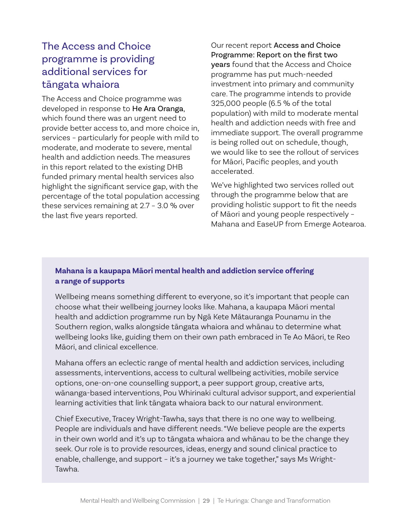## The Access and Choice programme is providing additional services for tāngata whaiora

The Access and Choice programme was developed in response to He Ara Oranga, which found there was an urgent need to provide better access to, and more choice in, services – particularly for people with mild to moderate, and moderate to severe, mental health and addiction needs. The measures in this report related to the existing DHB funded primary mental health services also highlight the significant service gap, with the percentage of the total population accessing these services remaining at 2.7 – 3.0 % over the last five years reported.

Our recent report Access and Choice Programme: Report on the first two years found that the Access and Choice programme has put much-needed investment into primary and community care. The programme intends to provide 325,000 people (6.5 % of the total population) with mild to moderate mental health and addiction needs with free and immediate support. The overall programme is being rolled out on schedule, though, we would like to see the rollout of services for Māori, Pacific peoples, and youth accelerated.

We've highlighted two services rolled out through the programme below that are providing holistic support to fit the needs of Māori and young people respectively – Mahana and EaseUP from Emerge Aotearoa.

#### **Mahana is a kaupapa Māori mental health and addiction service offering a range of supports**

Wellbeing means something different to everyone, so it's important that people can choose what their wellbeing journey looks like. Mahana, a kaupapa Māori mental health and addiction programme run by Ngā Kete Mātauranga Pounamu in the Southern region, walks alongside tāngata whaiora and whānau to determine what wellbeing looks like, guiding them on their own path embraced in Te Ao Māori, te Reo Māori, and clinical excellence.

Mahana offers an eclectic range of mental health and addiction services, including assessments, interventions, access to cultural wellbeing activities, mobile service options, one-on-one counselling support, a peer support group, creative arts, wānanga-based interventions, Pou Whirinaki cultural advisor support, and experiential learning activities that link tāngata whaiora back to our natural environment.

Chief Executive, Tracey Wright-Tawha, says that there is no one way to wellbeing. People are individuals and have different needs. "We believe people are the experts in their own world and it's up to tāngata whaiora and whānau to be the change they seek. Our role is to provide resources, ideas, energy and sound clinical practice to enable, challenge, and support – it's a journey we take together," says Ms Wright-Tawha.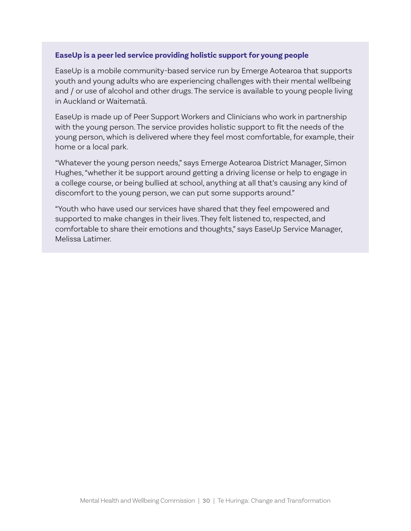#### **EaseUp is a peer led service providing holistic support for young people**

EaseUp is a mobile community-based service run by Emerge Aotearoa that supports youth and young adults who are experiencing challenges with their mental wellbeing and / or use of alcohol and other drugs. The service is available to young people living in Auckland or Waitematā.

EaseUp is made up of Peer Support Workers and Clinicians who work in partnership with the young person. The service provides holistic support to fit the needs of the young person, which is delivered where they feel most comfortable, for example, their home or a local park.

"Whatever the young person needs," says Emerge Aotearoa District Manager, Simon Hughes, "whether it be support around getting a driving license or help to engage in a college course, or being bullied at school, anything at all that's causing any kind of discomfort to the young person, we can put some supports around."

"Youth who have used our services have shared that they feel empowered and supported to make changes in their lives. They felt listened to, respected, and comfortable to share their emotions and thoughts," says EaseUp Service Manager, Melissa Latimer.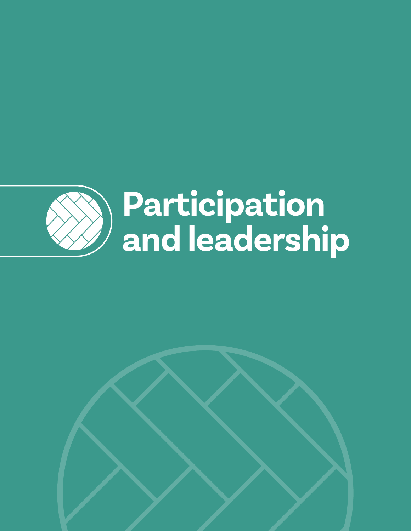

# **Participation and leadership**

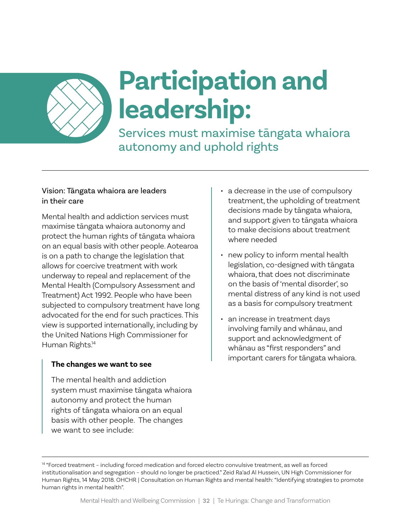

## **Participation and leadership:**

Services must maximise tāngata whaiora autonomy and uphold rights

#### Vision: Tāngata whaiora are leaders in their care

Mental health and addiction services must maximise tāngata whaiora autonomy and protect the human rights of tāngata whaiora on an equal basis with other people. Aotearoa is on a path to change the legislation that allows for coercive treatment with work underway to repeal and replacement of the Mental Health (Compulsory Assessment and Treatment) Act 1992. People who have been subjected to compulsory treatment have long advocated for the end for such practices. This view is supported internationally, including by the United Nations High Commissioner for Human Rights. 14

#### **The changes we want to see**

The mental health and addiction system must maximise tāngata whaiora autonomy and protect the human rights of tāngata whaiora on an equal basis with other people. The changes we want to see include:

- a decrease in the use of compulsory treatment, the upholding of treatment decisions made by tāngata whaiora, and support given to tāngata whaiora to make decisions about treatment where needed
- new policy to inform mental health legislation, co-designed with tāngata whaiora, that does not discriminate on the basis of 'mental disorder', so mental distress of any kind is not used as a basis for compulsory treatment
- an increase in treatment days involving family and whānau, and support and acknowledgment of whānau as "first responders" and important carers for tāngata whaiora.

<sup>14 &</sup>quot;Forced treatment - including forced medication and forced electro convulsive treatment, as well as forced institutionalisation and segregation – should no longer be practiced." Zeid Ra'ad Al Hussein, UN High Commissioner for Human Rights, 14 May 2018. OHCHR | Consultation on Human Rights and mental health: "Identifying strategies to promote human rights in mental health".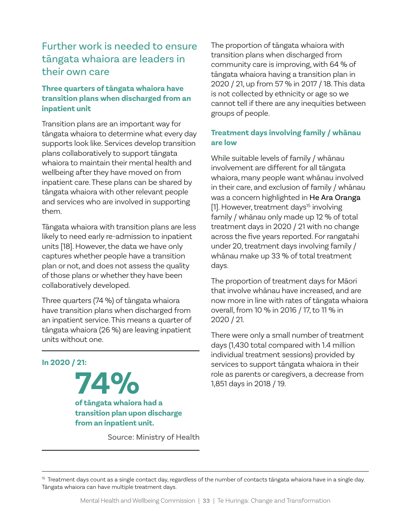## Further work is needed to ensure tāngata whaiora are leaders in their own care

#### **Three quarters of tāngata whaiora have transition plans when discharged from an inpatient unit**

Transition plans are an important way for tāngata whaiora to determine what every day supports look like. Services develop transition plans collaboratively to support tāngata whaiora to maintain their mental health and wellbeing after they have moved on from inpatient care. These plans can be shared by tāngata whaiora with other relevant people and services who are involved in supporting them.

Tāngata whaiora with transition plans are less likely to need early re-admission to inpatient units [18]. However, the data we have only captures whether people have a transition plan or not, and does not assess the quality of those plans or whether they have been collaboratively developed.

Three quarters (74 %) of tāngata whaiora have transition plans when discharged from an inpatient service. This means a quarter of tāngata whaiora (26 %) are leaving inpatient units without one.

#### **In 2020 / 21:**

**74% of tāngata whaiora had a transition plan upon discharge from an inpatient unit.**

Source: Ministry of Health

The proportion of tāngata whaiora with transition plans when discharged from community care is improving, with 64 % of tāngata whaiora having a transition plan in 2020 / 21, up from 57 % in 2017 / 18. This data is not collected by ethnicity or age so we cannot tell if there are any inequities between groups of people.

#### **Treatment days involving family / whānau are low**

While suitable levels of family / whānau involvement are different for all tāngata whaiora, many people want whānau involved in their care, and exclusion of family / whānau was a concern highlighted in He Ara Oranga [1]. However, treatment days<sup>15</sup> involving family / whānau only made up 12 % of total treatment days in 2020 / 21 with no change across the five years reported. For rangatahi under 20, treatment days involving family / whānau make up 33 % of total treatment days.

The proportion of treatment days for Māori that involve whānau have increased, and are now more in line with rates of tāngata whaiora overall, from 10 % in 2016 / 17, to 11 % in 2020 / 21.

There were only a small number of treatment days (1,430 total compared with 1.4 million individual treatment sessions) provided by services to support tāngata whaiora in their role as parents or caregivers, a decrease from 1,851 days in 2018 / 19.

<sup>&</sup>lt;sup>15</sup> Treatment days count as a single contact day, regardless of the number of contacts tāngata whaiora have in a single day. Tāngata whaiora can have multiple treatment days.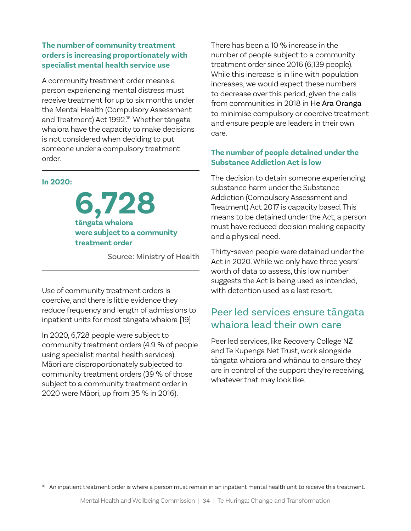#### **The number of community treatment orders is increasing proportionately with specialist mental health service use**

A community treatment order means a person experiencing mental distress must receive treatment for up to six months under the Mental Health (Compulsory Assessment and Treatment) Act 1992. <sup>16</sup> Whether tāngata whaiora have the capacity to make decisions is not considered when deciding to put someone under a compulsory treatment order.

#### **In 2020:**

**6,728 tāngata whaiora were subject to a community treatment order** 

Source: Ministry of Health

Use of community treatment orders is coercive, and there is little evidence they reduce frequency and length of admissions to inpatient units for most tāngata whaiora [19]

In 2020, 6,728 people were subject to community treatment orders (4.9 % of people using specialist mental health services). Māori are disproportionately subjected to community treatment orders (39 % of those subject to a community treatment order in 2020 were Māori, up from 35 % in 2016).

There has been a 10 % increase in the number of people subject to a community treatment order since 2016 (6,139 people). While this increase is in line with population increases, we would expect these numbers to decrease over this period, given the calls from communities in 2018 in He Ara Oranga to minimise compulsory or coercive treatment and ensure people are leaders in their own care.

#### **The number of people detained under the Substance Addiction Act is low**

The decision to detain someone experiencing substance harm under the Substance Addiction (Compulsory Assessment and Treatment) Act 2017 is capacity based. This means to be detained under the Act, a person must have reduced decision making capacity and a physical need.

Thirty-seven people were detained under the Act in 2020. While we only have three years' worth of data to assess, this low number suggests the Act is being used as intended, with detention used as a last resort.

### Peer led services ensure tāngata whaiora lead their own care

Peer led services, like Recovery College NZ and Te Kupenga Net Trust, work alongside tāngata whaiora and whānau to ensure they are in control of the support they're receiving, whatever that may look like.

<sup>16</sup> An inpatient treatment order is where a person must remain in an inpatient mental health unit to receive this treatment.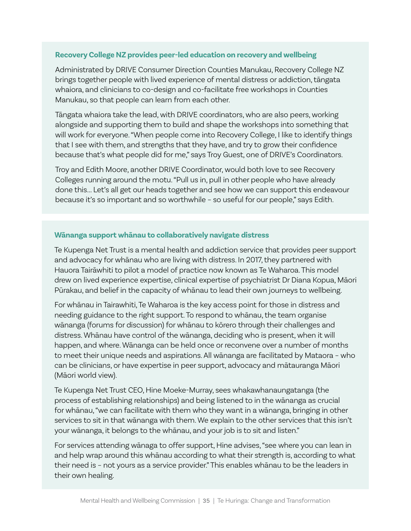#### **Recovery College NZ provides peer-led education on recovery and wellbeing**

Administrated by DRIVE Consumer Direction Counties Manukau, Recovery College NZ brings together people with lived experience of mental distress or addiction, tāngata whaiora, and clinicians to co-design and co-facilitate free workshops in Counties Manukau, so that people can learn from each other.

Tāngata whaiora take the lead, with DRIVE coordinators, who are also peers, working alongside and supporting them to build and shape the workshops into something that will work for everyone. "When people come into Recovery College, I like to identify things that I see with them, and strengths that they have, and try to grow their confidence because that's what people did for me," says Troy Guest, one of DRIVE's Coordinators.

Troy and Edith Moore, another DRIVE Coordinator, would both love to see Recovery Colleges running around the motu. "Pull us in, pull in other people who have already done this... Let's all get our heads together and see how we can support this endeavour because it's so important and so worthwhile – so useful for our people," says Edith.

#### **Wānanga support whānau to collaboratively navigate distress**

Te Kupenga Net Trust is a mental health and addiction service that provides peer support and advocacy for whānau who are living with distress. In 2017, they partnered with Hauora Tairāwhiti to pilot a model of practice now known as Te Waharoa. This model drew on lived experience expertise, clinical expertise of psychiatrist Dr Diana Kopua, Māori Pūrakau, and belief in the capacity of whānau to lead their own journeys to wellbeing.

For whānau in Tairawhiti, Te Waharoa is the key access point for those in distress and needing guidance to the right support. To respond to whānau, the team organise wānanga (forums for discussion) for whānau to kōrero through their challenges and distress. Whānau have control of the wānanga, deciding who is present, when it will happen, and where. Wānanga can be held once or reconvene over a number of months to meet their unique needs and aspirations. All wānanga are facilitated by Mataora – who can be clinicians, or have expertise in peer support, advocacy and mātauranga Māori (Māori world view).

Te Kupenga Net Trust CEO, Hine Moeke-Murray, sees whakawhanaungatanga (the process of establishing relationships) and being listened to in the wānanga as crucial for whānau, "we can facilitate with them who they want in a wānanga, bringing in other services to sit in that wānanga with them. We explain to the other services that this isn't your wānanga, it belongs to the whānau, and your job is to sit and listen."

For services attending wānaga to offer support, Hine advises, "see where you can lean in and help wrap around this whānau according to what their strength is, according to what their need is – not yours as a service provider." This enables whānau to be the leaders in their own healing.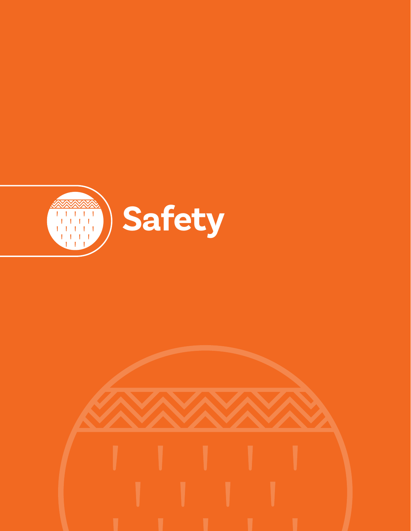

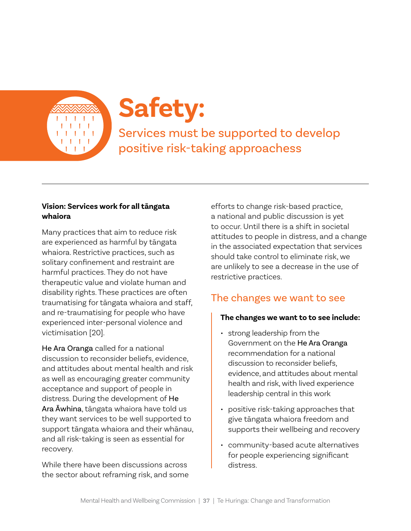

# **Safety:**

Services must be supported to develop positive risk-taking approachess

#### **Vision: Services work for all tāngata whaiora**

Many practices that aim to reduce risk are experienced as harmful by tāngata whaiora. Restrictive practices, such as solitary confinement and restraint are harmful practices. They do not have therapeutic value and violate human and disability rights. These practices are often traumatising for tāngata whaiora and staff, and re-traumatising for people who have experienced inter-personal violence and victimisation [20].

He Ara Oranga called for a national discussion to reconsider beliefs, evidence, and attitudes about mental health and risk as well as encouraging greater community acceptance and support of people in distress. During the development of He Ara Āwhina, tāngata whaiora have told us they want services to be well supported to support tāngata whaiora and their whānau, and all risk-taking is seen as essential for recovery.

While there have been discussions across the sector about reframing risk, and some efforts to change risk-based practice, a national and public discussion is yet to occur. Until there is a shift in societal attitudes to people in distress, and a change in the associated expectation that services should take control to eliminate risk, we are unlikely to see a decrease in the use of restrictive practices.

# The changes we want to see

#### **The changes we want to to see include:**

- strong leadership from the Government on the He Ara Oranga recommendation for a national discussion to reconsider beliefs. evidence, and attitudes about mental health and risk, with lived experience leadership central in this work
- positive risk-taking approaches that give tāngata whaiora freedom and supports their wellbeing and recovery
- community-based acute alternatives for people experiencing significant distress.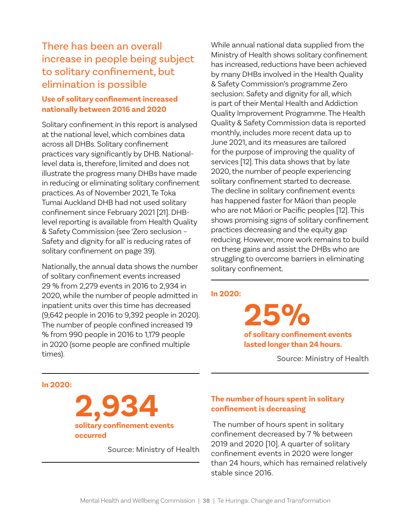# There has been an overall increase in people being subject to solitary confinement, but elimination is possible

#### **Use of solitary confinement increased nationally between 2016 and 2020**

Solitary confinement in this report is analysed at the national level, which combines data across all DHBs. Solitary confinement practices vary significantly by DHB. Nationallevel data is, therefore, limited and does not illustrate the progress many DHBs have made in reducing or eliminating solitary confinement practices. As of November 2021, Te Toka Tumai Auckland DHB had not used solitary confinement since February 2021 [21]. DHBlevel reporting is available from Health Quality & Safety Commission (see 'Zero seclusion – Safety and dignity for all' is reducing rates of solitary confinement on page 39).

Nationally, the annual data shows the number of solitary confinement events increased 29 % from 2,279 events in 2016 to 2,934 in 2020, while the number of people admitted in inpatient units over this time has decreased (9,642 people in 2016 to 9,392 people in 2020). The number of people confined increased 19 % from 990 people in 2016 to 1,179 people in 2020 (some people are confined multiple times).

While annual national data supplied from the Ministry of Health shows solitary confinement has increased, reductions have been achieved by many DHBs involved in the Health Quality & Safety Commission's programme Zero seclusion: Safety and dignity for all, which is part of their Mental Health and Addiction Quality Improvement Programme. The Health Quality & Safety Commission data is reported monthly, includes more recent data up to June 2021, and its measures are tailored for the purpose of improving the quality of services [12]. This data shows that by late 2020, the number of people experiencing solitary confinement started to decrease. The decline in solitary confinement events has happened faster for Māori than people who are not Māori or Pacific peoples [12]. This shows promising signs of solitary confinement practices decreasing and the equity gap reducing. However, more work remains to build on these gains and assist the DHBs who are struggling to overcome barriers in eliminating solitary confinement.

#### **In 2020:**

**25% of solitary confinement events lasted longer than 24 hours.**

Source: Ministry of Health

#### **In 2020:**



Source: Ministry of Health

#### **The number of hours spent in solitary confinement is decreasing**

 The number of hours spent in solitary confinement decreased by 7 % between 2019 and 2020 [10]. A quarter of solitary confinement events in 2020 were longer than 24 hours, which has remained relatively stable since 2016.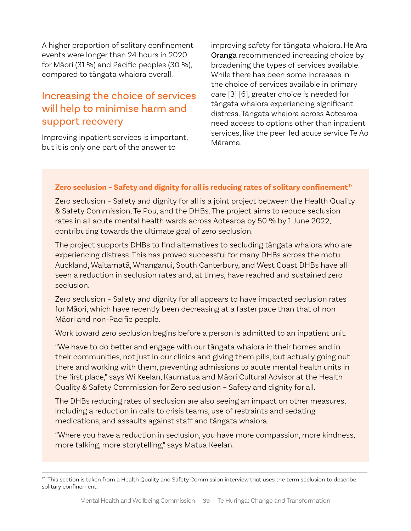A higher proportion of solitary confinement events were longer than 24 hours in 2020 for Māori (31 %) and Pacific peoples (30 %), compared to tāngata whaiora overall.

### Increasing the choice of services will help to minimise harm and support recovery

Improving inpatient services is important, but it is only one part of the answer to

improving safety for tāngata whaiora. He Ara Oranga recommended increasing choice by broadening the types of services available. While there has been some increases in the choice of services available in primary care [3] [6], greater choice is needed for tāngata whaiora experiencing significant distress. Tāngata whaiora across Aotearoa need access to options other than inpatient services, like the peer-led acute service Te Ao Mārama.

#### **Zero seclusion – Safety and dignity for all is reducing rates of solitary confinement**<sup>17</sup>

Zero seclusion – Safety and dignity for all is a joint project between the Health Quality & Safety Commission, Te Pou, and the DHBs. The project aims to reduce seclusion rates in all acute mental health wards across Aotearoa by 50 % by 1 June 2022, contributing towards the ultimate goal of zero seclusion.

The project supports DHBs to find alternatives to secluding tāngata whaiora who are experiencing distress. This has proved successful for many DHBs across the motu. Auckland, Waitamatā, Whanganui, South Canterbury, and West Coast DHBs have all seen a reduction in seclusion rates and, at times, have reached and sustained zero seclusion.

Zero seclusion – Safety and dignity for all appears to have impacted seclusion rates for Māori, which have recently been decreasing at a faster pace than that of non-Māori and non-Pacific people.

Work toward zero seclusion begins before a person is admitted to an inpatient unit.

"We have to do better and engage with our tāngata whaiora in their homes and in their communities, not just in our clinics and giving them pills, but actually going out there and working with them, preventing admissions to acute mental health units in the first place," says Wi Keelan, Kaumatua and Māori Cultural Advisor at the Health Quality & Safety Commission for Zero seclusion – Safety and dignity for all.

The DHBs reducing rates of seclusion are also seeing an impact on other measures, including a reduction in calls to crisis teams, use of restraints and sedating medications, and assaults against staff and tāngata whaiora.

"Where you have a reduction in seclusion, you have more compassion, more kindness, more talking, more storytelling," says Matua Keelan.

 $17$  This section is taken from a Health Quality and Safety Commission interview that uses the term seclusion to describe solitary confinement.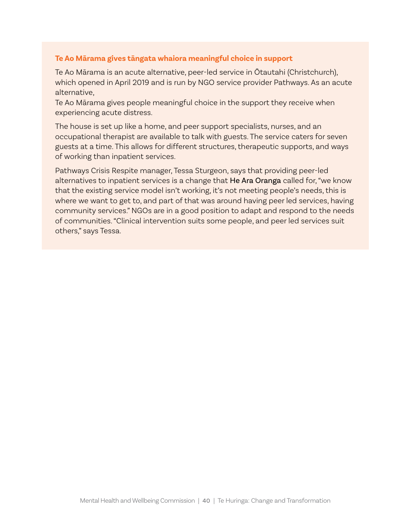#### **Te Ao Mārama gives tāngata whaiora meaningful choice in support**

Te Ao Mārama is an acute alternative, peer-led service in Ōtautahi (Christchurch), which opened in April 2019 and is run by NGO service provider Pathways. As an acute alternative,

Te Ao Mārama gives people meaningful choice in the support they receive when experiencing acute distress.

The house is set up like a home, and peer support specialists, nurses, and an occupational therapist are available to talk with guests. The service caters for seven guests at a time. This allows for different structures, therapeutic supports, and ways of working than inpatient services.

Pathways Crisis Respite manager, Tessa Sturgeon, says that providing peer-led alternatives to inpatient services is a change that He Ara Oranga called for, "we know that the existing service model isn't working, it's not meeting people's needs, this is where we want to get to, and part of that was around having peer led services, having community services." NGOs are in a good position to adapt and respond to the needs of communities. "Clinical intervention suits some people, and peer led services suit others," says Tessa.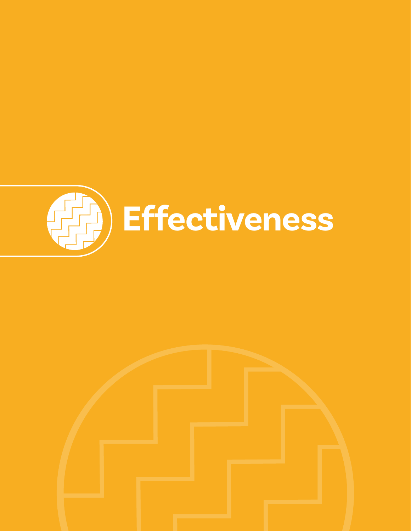

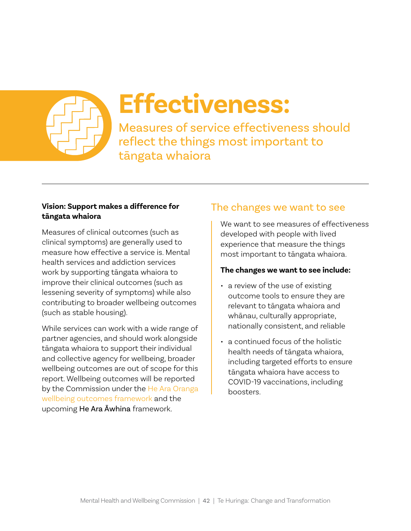

# **Effectiveness:**

Measures of service effectiveness should reflect the things most important to tāngata whaiora

#### **Vision: Support makes a difference for tāngata whaiora**

Measures of clinical outcomes (such as clinical symptoms) are generally used to measure how effective a service is. Mental health services and addiction services work by supporting tāngata whaiora to improve their clinical outcomes (such as lessening severity of symptoms) while also contributing to broader wellbeing outcomes (such as stable housing).

While services can work with a wide range of partner agencies, and should work alongside tāngata whaiora to support their individual and collective agency for wellbeing, broader wellbeing outcomes are out of scope for this report. Wellbeing outcomes will be reported by the Commission under the He Ara Oranga [wellbeing outcomes framework](https://www.mhwc.govt.nz/the-initial-commission/he-ara-oranga-wellbeing-outcomes-framework/) and the upcoming He Ara Āwhina framework.

### The changes we want to see

We want to see measures of effectiveness developed with people with lived experience that measure the things most important to tāngata whaiora.

#### **The changes we want to see include:**

- a review of the use of existing outcome tools to ensure they are relevant to tāngata whaiora and whānau, culturally appropriate, nationally consistent, and reliable
- a continued focus of the holistic health needs of tāngata whaiora, including targeted efforts to ensure tāngata whaiora have access to COVID-19 vaccinations, including boosters.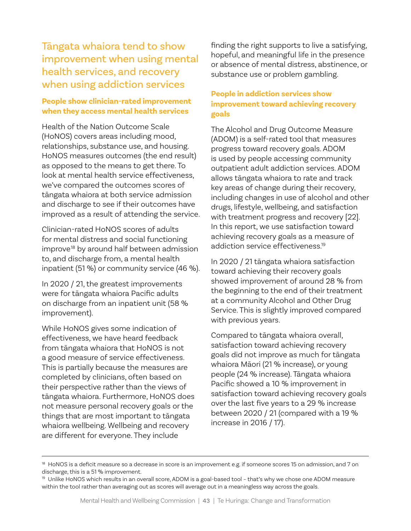### Tāngata whaiora tend to show improvement when using mental health services, and recovery when using addiction services

#### **People show clinician-rated improvement when they access mental health services**

Health of the Nation Outcome Scale (HoNOS) covers areas including mood, relationships, substance use, and housing. HoNOS measures outcomes (the end result) as opposed to the means to get there. To look at mental health service effectiveness, we've compared the outcomes scores of tāngata whaiora at both service admission and discharge to see if their outcomes have improved as a result of attending the service.

Clinician-rated HoNOS scores of adults for mental distress and social functioning improve<sup>18</sup> by around half between admission to, and discharge from, a mental health inpatient (51 %) or community service (46 %).

In 2020 / 21, the greatest improvements were for tāngata whaiora Pacific adults on discharge from an inpatient unit (58 % improvement).

While HoNOS gives some indication of effectiveness, we have heard feedback from tāngata whaiora that HoNOS is not a good measure of service effectiveness. This is partially because the measures are completed by clinicians, often based on their perspective rather than the views of tāngata whaiora. Furthermore, HoNOS does not measure personal recovery goals or the things that are most important to tāngata whaiora wellbeing. Wellbeing and recovery are different for everyone. They include

finding the right supports to live a satisfying, hopeful, and meaningful life in the presence or absence of mental distress, abstinence, or substance use or problem gambling.

#### **People in addiction services show improvement toward achieving recovery goals**

The Alcohol and Drug Outcome Measure (ADOM) is a self-rated tool that measures progress toward recovery goals. ADOM is used by people accessing community outpatient adult addiction services. ADOM allows tāngata whaiora to rate and track key areas of change during their recovery, including changes in use of alcohol and other drugs, lifestyle, wellbeing, and satisfaction with treatment progress and recovery [22]. In this report, we use satisfaction toward achieving recovery goals as a measure of addiction service effectiveness. 19

In 2020 / 21 tāngata whaiora satisfaction toward achieving their recovery goals showed improvement of around 28 % from the beginning to the end of their treatment at a community Alcohol and Other Drug Service. This is slightly improved compared with previous years.

Compared to tāngata whaiora overall, satisfaction toward achieving recovery goals did not improve as much for tāngata whaiora Māori (21 % increase), or young people (24 % increase). Tāngata whaiora Pacific showed a 10 % improvement in satisfaction toward achieving recovery goals over the last five years to a 29 % increase between 2020 / 21 (compared with a 19 % increase in 2016 / 17).

 $18$  HoNOS is a deficit measure so a decrease in score is an improvement e.g. if someone scores 15 on admission, and 7 on discharge, this is a 51 % improvement.

<sup>&</sup>lt;sup>19</sup> Unlike HoNOS which results in an overall score, ADOM is a goal-based tool - that's why we chose one ADOM measure within the tool rather than averaging out as scores will average out in a meaningless way across the goals.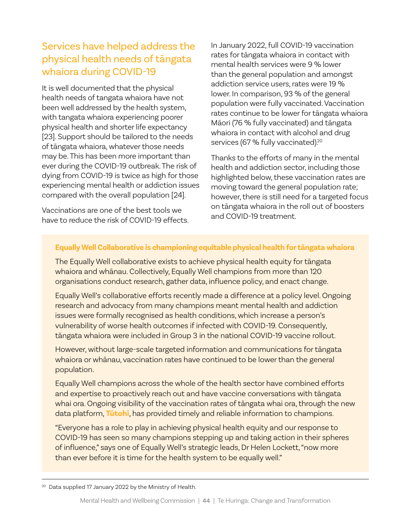# Services have helped address the physical health needs of tāngata whaiora during COVID-19

It is well documented that the physical health needs of tangata whaiora have not been well addressed by the health system, with tangata whaiora experiencing poorer physical health and shorter life expectancy [23]. Support should be tailored to the needs of tāngata whaiora, whatever those needs may be. This has been more important than ever during the COVID-19 outbreak. The risk of dying from COVID-19 is twice as high for those experiencing mental health or addiction issues compared with the overall population [24].

Vaccinations are one of the best tools we have to reduce the risk of COVID-19 effects. In January 2022, full COVID-19 vaccination rates for tāngata whaiora in contact with mental health services were 9 % lower than the general population and amongst addiction service users, rates were 19 % lower. In comparison, 93 % of the general population were fully vaccinated. Vaccination rates continue to be lower for tāngata whaiora Māori (76 % fully vaccinated) and tāngata whaiora in contact with alcohol and drug services (67 % fully vaccinated).<sup>20</sup>

Thanks to the efforts of many in the mental health and addiction sector, including those highlighted below, these vaccination rates are moving toward the general population rate; however, there is still need for a targeted focus on tāngata whaiora in the roll out of boosters and COVID-19 treatment.

#### **Equally Well Collaborative is championing equitable physical health for tāngata whaiora**

The Equally Well collaborative exists to achieve physical health equity for tāngata whaiora and whānau. Collectively, Equally Well champions from more than 120 organisations conduct research, gather data, influence policy, and enact change.

Equally Well's collaborative efforts recently made a difference at a policy level. Ongoing research and advocacy from many champions meant mental health and addiction issues were formally recognised as health conditions, which increase a person's vulnerability of worse health outcomes if infected with COVID-19. Consequently, tāngata whaiora were included in Group 3 in the national COVID-19 vaccine rollout.

However, without large-scale targeted information and communications for tāngata whaiora or whānau, vaccination rates have continued to be lower than the general population.

Equally Well champions across the whole of the health sector have combined efforts and expertise to proactively reach out and have vaccine conversations with tāngata whai ora. Ongoing visibility of the vaccination rates of tāngata whai ora, through the new data platform, **[Tūtohi](https://www.tutohi.nz/2021/09/24/covid-19-vaccination-rates/)**, has provided timely and reliable information to champions.

"Everyone has a role to play in achieving physical health equity and our response to COVID-19 has seen so many champions stepping up and taking action in their spheres of influence," says one of Equally Well's strategic leads, Dr Helen Lockett, "now more than ever before it is time for the health system to be equally well."

<sup>&</sup>lt;sup>20</sup> Data supplied 17 January 2022 by the Ministry of Health.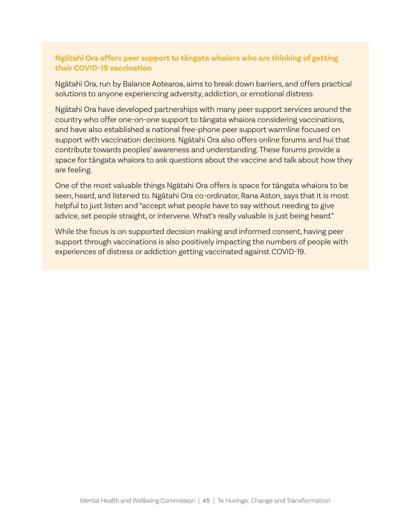#### **Ngātahi Ora offers peer support to tāngata whaiora who are thinking of getting their COVID-19 vaccination**

Ngātahi Ora, run by Balance Aotearoa, aims to break down barriers, and offers practical solutions to anyone experiencing adversity, addiction, or emotional distress.

Ngātahi Ora have developed partnerships with many peer support services around the country who offer one-on-one support to tāngata whaiora considering vaccinations, and have also established a national free-phone peer support warmline focused on support with vaccination decisions. Ngātahi Ora also offers online forums and hui that contribute towards peoples' awareness and understanding. These forums provide a space for tāngata whaiora to ask questions about the vaccine and talk about how they are feeling.

One of the most valuable things Ngātahi Ora offers is space for tāngata whaiora to be seen, heard, and listened to. Ngātahi Ora co-ordinator, Rana Aston, says that it is most helpful to just listen and "accept what people have to say without needing to give advice, set people straight, or intervene. What's really valuable is just being heard."

While the focus is on supported decision making and informed consent, having peer support through vaccinations is also positively impacting the numbers of people with experiences of distress or addiction getting vaccinated against COVID-19.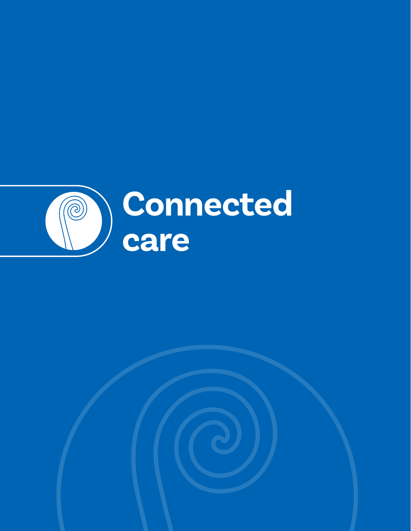

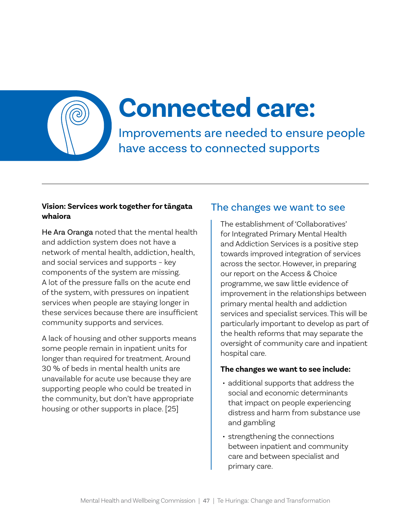# **Connected care:**

Improvements are needed to ensure people have access to connected supports

#### **Vision: Services work together for tāngata whaiora**

He Ara Oranga noted that the mental health and addiction system does not have a network of mental health, addiction, health, and social services and supports – key components of the system are missing. A lot of the pressure falls on the acute end of the system, with pressures on inpatient services when people are staying longer in these services because there are insufficient community supports and services.

A lack of housing and other supports means some people remain in inpatient units for longer than required for treatment. Around 30 % of beds in mental health units are unavailable for acute use because they are supporting people who could be treated in the community, but don't have appropriate housing or other supports in place. [25]

### The changes we want to see

The establishment of 'Collaboratives' for Integrated Primary Mental Health and Addiction Services is a positive step towards improved integration of services across the sector. However, in preparing our report on the Access & Choice programme, we saw little evidence of improvement in the relationships between primary mental health and addiction services and specialist services. This will be particularly important to develop as part of the health reforms that may separate the oversight of community care and inpatient hospital care.

#### **The changes we want to see include:**

- additional supports that address the social and economic determinants that impact on people experiencing distress and harm from substance use and gambling
- strengthening the connections between inpatient and community care and between specialist and primary care.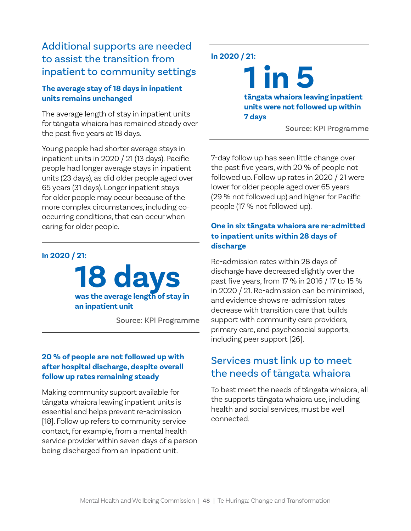# Additional supports are needed to assist the transition from inpatient to community settings

#### **The average stay of 18 days in inpatient units remains unchanged**

The average length of stay in inpatient units for tāngata whaiora has remained steady over the past five years at 18 days.

Young people had shorter average stays in inpatient units in 2020 / 21 (13 days). Pacific people had longer average stays in inpatient units (23 days), as did older people aged over 65 years (31 days). Longer inpatient stays for older people may occur because of the more complex circumstances, including cooccurring conditions, that can occur when caring for older people.

#### **In 2020 / 21:**

**18 days was the average length of stay in an inpatient unit**

Source: KPI Programme

#### **20 % of people are not followed up with after hospital discharge, despite overall follow up rates remaining steady**

Making community support available for tāngata whaiora leaving inpatient units is essential and helps prevent re-admission [18]. Follow up refers to community service contact, for example, from a mental health service provider within seven days of a person being discharged from an inpatient unit.

#### **In 2020 / 21:**

**1 in 5 tāngata whaiora leaving inpatient units were not followed up within 7 days**

Source: KPI Programme

7-day follow up has seen little change over the past five years, with 20 % of people not followed up. Follow up rates in 2020 / 21 were lower for older people aged over 65 years (29 % not followed up) and higher for Pacific people (17 % not followed up).

#### **One in six tāngata whaiora are re-admitted to inpatient units within 28 days of discharge**

Re-admission rates within 28 days of discharge have decreased slightly over the past five years, from 17 % in 2016 / 17 to 15 % in 2020 / 21. Re-admission can be minimised, and evidence shows re-admission rates decrease with transition care that builds support with community care providers, primary care, and psychosocial supports, including peer support [26].

## Services must link up to meet the needs of tāngata whaiora

To best meet the needs of tāngata whaiora, all the supports tāngata whaiora use, including health and social services, must be well connected.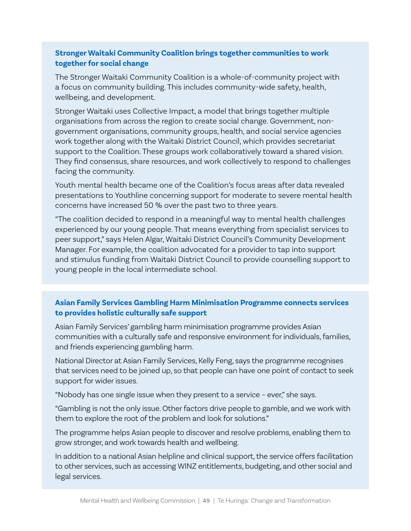#### **Stronger Waitaki Community Coalition brings together communities to work together for social change**

The Stronger Waitaki Community Coalition is a whole-of-community project with a focus on community building. This includes community-wide safety, health, wellbeing, and development.

Stronger Waitaki uses Collective Impact, a model that brings together multiple organisations from across the region to create social change. Government, nongovernment organisations, community groups, health, and social service agencies work together along with the Waitaki District Council, which provides secretariat support to the Coalition. These groups work collaboratively toward a shared vision. They find consensus, share resources, and work collectively to respond to challenges facing the community.

Youth mental health became one of the Coalition's focus areas after data revealed presentations to Youthline concerning support for moderate to severe mental health concerns have increased 50 % over the past two to three years.

"The coalition decided to respond in a meaningful way to mental health challenges experienced by our young people. That means everything from specialist services to peer support," says Helen Algar, Waitaki District Council's Community Development Manager. For example, the coalition advocated for a provider to tap into support and stimulus funding from Waitaki District Council to provide counselling support to young people in the local intermediate school.

#### **Asian Family Services Gambling Harm Minimisation Programme connects services to provides holistic culturally safe support**

Asian Family Services' gambling harm minimisation programme provides Asian communities with a culturally safe and responsive environment for individuals, families, and friends experiencing gambling harm.

National Director at Asian Family Services, Kelly Feng, says the programme recognises that services need to be joined up, so that people can have one point of contact to seek support for wider issues.

"Nobody has one single issue when they present to a service – ever," she says.

"Gambling is not the only issue. Other factors drive people to gamble, and we work with them to explore the root of the problem and look for solutions."

The programme helps Asian people to discover and resolve problems, enabling them to grow stronger, and work towards health and wellbeing.

In addition to a national Asian helpline and clinical support, the service offers facilitation to other services, such as accessing WINZ entitlements, budgeting, and other social and legal services.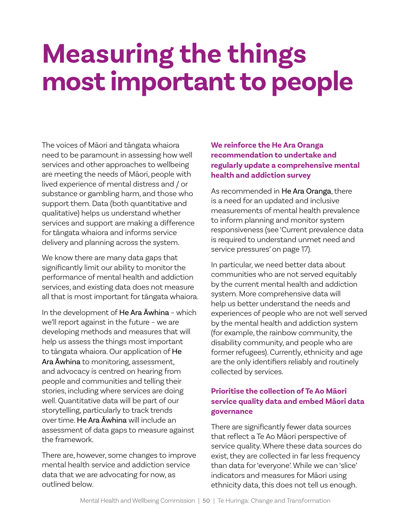# **Measuring the things most important to people**

The voices of Māori and tāngata whaiora need to be paramount in assessing how well services and other approaches to wellbeing are meeting the needs of Māori, people with lived experience of mental distress and / or substance or gambling harm, and those who support them. Data (both quantitative and qualitative) helps us understand whether services and support are making a difference for tāngata whaiora and informs service delivery and planning across the system.

We know there are many data gaps that significantly limit our ability to monitor the performance of mental health and addiction services, and existing data does not measure all that is most important for tāngata whaiora.

In the development of He Ara Āwhina – which we'll report against in the future – we are developing methods and measures that will help us assess the things most important to tāngata whaiora. Our application of He Ara Āwhina to monitoring, assessment, and advocacy is centred on hearing from people and communities and telling their stories, including where services are doing well. Quantitative data will be part of our storytelling, particularly to track trends over time. He Ara Āwhina will include an assessment of data gaps to measure against the framework.

There are, however, some changes to improve mental health service and addiction service data that we are advocating for now, as outlined below.

#### **We reinforce the He Ara Oranga recommendation to undertake and regularly update a comprehensive mental health and addiction survey**

As recommended in He Ara Oranga, there is a need for an updated and inclusive measurements of mental health prevalence to inform planning and monitor system responsiveness (see 'Current prevalence data is required to understand unmet need and service pressures' on page 17).

In particular, we need better data about communities who are not served equitably by the current mental health and addiction system. More comprehensive data will help us better understand the needs and experiences of people who are not well served by the mental health and addiction system (for example, the rainbow community, the disability community, and people who are former refugees). Currently, ethnicity and age are the only identifiers reliably and routinely collected by services.

#### **Prioritise the collection of Te Ao Māori service quality data and embed Māori data governance**

There are significantly fewer data sources that reflect a Te Ao Māori perspective of service quality. Where these data sources do exist, they are collected in far less frequency than data for 'everyone'. While we can 'slice' indicators and measures for Māori using ethnicity data, this does not tell us enough.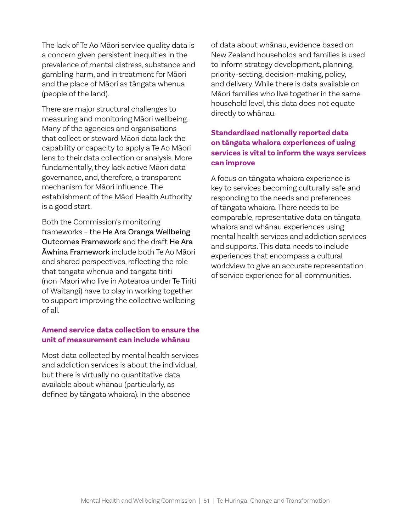The lack of Te Ao Māori service quality data is a concern given persistent inequities in the prevalence of mental distress, substance and gambling harm, and in treatment for Māori and the place of Māori as tāngata whenua (people of the land).

There are major structural challenges to measuring and monitoring Māori wellbeing. Many of the agencies and organisations that collect or steward Māori data lack the capability or capacity to apply a Te Ao Māori lens to their data collection or analysis. More fundamentally, they lack active Māori data governance, and, therefore, a transparent mechanism for Māori influence. The establishment of the Māori Health Authority is a good start.

Both the Commission's monitoring frameworks – the He Ara Oranga Wellbeing Outcomes Framework and the draft He Ara Āwhina Framework include both Te Ao Māori and shared perspectives, reflecting the role that tangata whenua and tangata tiriti (non-Maori who live in Aotearoa under Te Tiriti of Waitangi) have to play in working together to support improving the collective wellbeing of all.

#### **Amend service data collection to ensure the unit of measurement can include whānau**

Most data collected by mental health services and addiction services is about the individual, but there is virtually no quantitative data available about whānau (particularly, as defined by tāngata whaiora). In the absence

of data about whānau, evidence based on New Zealand households and families is used to inform strategy development, planning, priority-setting, decision-making, policy, and delivery. While there is data available on Māori families who live together in the same household level, this data does not equate directly to whānau.

#### **Standardised nationally reported data on tāngata whaiora experiences of using services is vital to inform the ways services can improve**

A focus on tāngata whaiora experience is key to services becoming culturally safe and responding to the needs and preferences of tāngata whaiora. There needs to be comparable, representative data on tāngata whaiora and whānau experiences using mental health services and addiction services and supports. This data needs to include experiences that encompass a cultural worldview to give an accurate representation of service experience for all communities.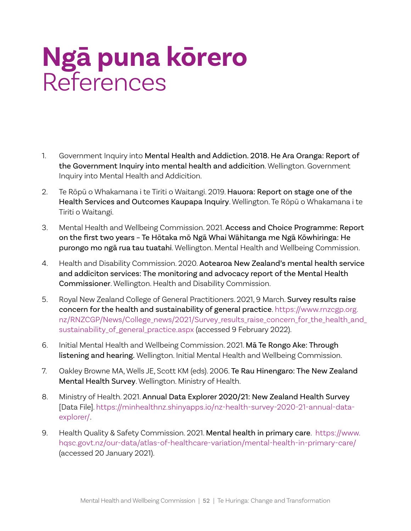# **Ngā puna kōrero** References

- 1. Government Inquiry into Mental Health and Addiction. 2018. He Ara Oranga: Report of the Government Inquiry into mental health and addicition. Wellington. Government Inquiry into Mental Health and Addicition.
- 2. Te Rōpū o Whakamana i te Tiriti o Waitangi. 2019. Hauora: Report on stage one of the Health Services and Outcomes Kaupapa Inquiry. Wellington. Te Rōpū o Whakamana i te Tiriti o Waitangi.
- 3. Mental Health and Wellbeing Commission. 2021. Access and Choice Programme: Report on the first two years – Te Hōtaka mō Ngā Whai Wāhitanga me Ngā Kōwhiringa: He purongo mo ngā rua tau tuatahi. Wellington. Mental Health and Wellbeing Commission.
- 4. Health and Disability Commission. 2020. Aotearoa New Zealand's mental health service and addiciton services: The monitoring and advocacy report of the Mental Health Commissioner. Wellington. Health and Disability Commission.
- 5. Royal New Zealand College of General Practitioners. 2021, 9 March. Survey results raise concern for the health and sustainability of general practice[. https://www.rnzcgp.org.](https://www.rnzcgp.org.nz/RNZCGP/News/College_news/2021/Survey_results_raise_concern_for_the_health_and_sustainability_of_general_practice.aspx) [nz/RNZCGP/News/College\\_news/2021/Survey\\_results\\_raise\\_concern\\_for\\_the\\_health\\_and\\_](https://www.rnzcgp.org.nz/RNZCGP/News/College_news/2021/Survey_results_raise_concern_for_the_health_and_sustainability_of_general_practice.aspx) [sustainability\\_of\\_general\\_practice.aspx](https://www.rnzcgp.org.nz/RNZCGP/News/College_news/2021/Survey_results_raise_concern_for_the_health_and_sustainability_of_general_practice.aspx) (accessed 9 February 2022).
- 6. Initial Mental Health and Wellbeing Commission. 2021. Mā Te Rongo Ake: Through listening and hearing. Wellington. Initial Mental Health and Wellbeing Commission.
- 7. Oakley Browne MA, Wells JE, Scott KM (eds). 2006. Te Rau Hinengaro: The New Zealand Mental Health Survey. Wellington. Ministry of Health.
- 8. Ministry of Health. 2021. Annual Data Explorer 2020/21: New Zealand Health Survey [Data File]. [https://minhealthnz.shinyapps.io/nz-health-survey-2020-21-annual-data](https://minhealthnz.shinyapps.io/nz-health-survey-2020-21-annual-data-explorer/)[explorer/.](https://minhealthnz.shinyapps.io/nz-health-survey-2020-21-annual-data-explorer/)
- 9. Health Quality & Safety Commission. 2021. Mental health in primary care. [https://www.](https://www.hqsc.govt.nz/our-data/atlas-of-healthcare-variation/mental-health-in-primary-care/) [hqsc.govt.nz/our-data/atlas-of-healthcare-variation/mental-health-in-primary-care/](https://www.hqsc.govt.nz/our-data/atlas-of-healthcare-variation/mental-health-in-primary-care/) (accessed 20 January 2021).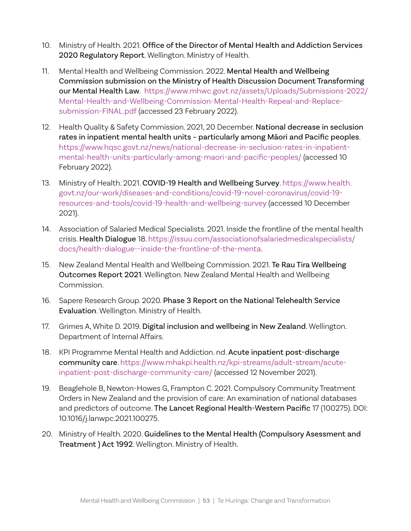- 10. Ministry of Health. 2021. Office of the Director of Mental Health and Addiction Services 2020 Regulatory Report. Wellington. Ministry of Health.
- 11. Mental Health and Wellbeing Commission. 2022. Mental Health and Wellbeing Commission submission on the Ministry of Health Discussion Document Transforming our Mental Health Law. [https://www.mhwc.govt.nz/assets/Uploads/Submissions-2022/](https://www.mhwc.govt.nz/assets/Uploads/Submissions-2022/Mental-Health-and-Wellbeing-Commission-Mental-Health-Repeal-and-Replace-submission-FINAL.pdf) [Mental-Health-and-Wellbeing-Commission-Mental-Health-Repeal-and-Replace](https://www.mhwc.govt.nz/assets/Uploads/Submissions-2022/Mental-Health-and-Wellbeing-Commission-Mental-Health-Repeal-and-Replace-submission-FINAL.pdf)[submission-FINAL.pdf](https://www.mhwc.govt.nz/assets/Uploads/Submissions-2022/Mental-Health-and-Wellbeing-Commission-Mental-Health-Repeal-and-Replace-submission-FINAL.pdf) (accessed 23 February 2022).
- 12. Health Quality & Safety Commission. 2021, 20 December. National decrease in seclusion rates in inpatient mental health units – particularly among Māori and Pacific peoples. [https://www.hqsc.govt.nz/news/national-decrease-in-seclusion-rates-in-inpatient](https://www.hqsc.govt.nz/news/national-decrease-in-seclusion-rates-in-inpatient-mental-health-units-particularly-among-maori-and-pacific-peoples/)[mental-health-units-particularly-among-maori-and-pacific-peoples/](https://www.hqsc.govt.nz/news/national-decrease-in-seclusion-rates-in-inpatient-mental-health-units-particularly-among-maori-and-pacific-peoples/) (accessed 10 February 2022).
- 13. Ministry of Health. 2021. COVID-19 Health and Wellbeing Survey. [https://www.health.](https://www.health.govt.nz/our-work/diseases-and-conditions/covid-19-novel-coronavirus/covid-19-resources-and-tools/covid-19-health-and-wellbeing-survey) [govt.nz/our-work/diseases-and-conditions/covid-19-novel-coronavirus/covid-19](https://www.health.govt.nz/our-work/diseases-and-conditions/covid-19-novel-coronavirus/covid-19-resources-and-tools/covid-19-health-and-wellbeing-survey) [resources-and-tools/covid-19-health-and-wellbeing-survey](https://www.health.govt.nz/our-work/diseases-and-conditions/covid-19-novel-coronavirus/covid-19-resources-and-tools/covid-19-health-and-wellbeing-survey) (accessed 10 December 2021).
- 14. Association of Salaried Medical Specialists. 2021. Inside the frontline of the mental health crisis. Health Dialogue 18. [https://issuu.com/associationofsalariedmedicalspecialists/](https://issuu.com/associationofsalariedmedicalspecialists/docs/health-dialogue--inside-the-frontline-of-the-menta) [docs/health-dialogue--inside-the-frontline-of-the-menta.](https://issuu.com/associationofsalariedmedicalspecialists/docs/health-dialogue--inside-the-frontline-of-the-menta)
- 15. New Zealand Mental Health and Wellbeing Commission. 2021. Te Rau Tira Wellbeing Outcomes Report 2021. Wellington. New Zealand Mental Health and Wellbeing Commission.
- 16. Sapere Research Group. 2020. Phase 3 Report on the National Telehealth Service Evaluation. Wellington. Ministry of Health.
- 17. Grimes A, White D. 2019. Digital inclusion and wellbeing in New Zealand. Wellington. Department of Internal Affairs.
- 18. KPI Programme Mental Health and Addiction. nd. Acute inpatient post-discharge community care. [https://www.mhakpi.health.nz/kpi-streams/adult-stream/acute](https://www.mhakpi.health.nz/kpi-streams/adult-stream/acute-inpatient-post-discharge-community-care/)[inpatient-post-discharge-community-care/](https://www.mhakpi.health.nz/kpi-streams/adult-stream/acute-inpatient-post-discharge-community-care/) (accessed 12 November 2021).
- 19. Beaglehole B, Newton-Howes G, Frampton C. 2021. Compulsory Community Treatment Orders in New Zealand and the provision of care: An examination of national databases and predictors of outcome. The Lancet Regional Health-Western Pacific 17 (100275). DOI: 10.1016/j.lanwpc.2021.100275.
- 20. Ministry of Health. 2020. Guidelines to the Mental Health (Compulsory Asessment and Treatment ) Act 1992. Wellington. Ministry of Health.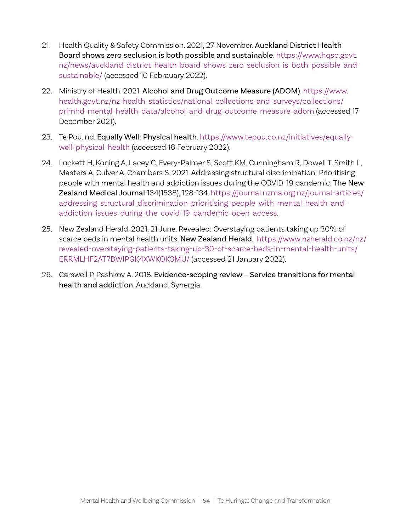- 21. Health Quality & Safety Commission. 2021, 27 November. Auckland District Health Board shows zero seclusion is both possible and sustainable. [https://www.hqsc.govt.](https://www.hqsc.govt.nz/news/auckland-district-health-board-shows-zero-seclusion-is-both-possible-and-sustainable/) [nz/news/auckland-district-health-board-shows-zero-seclusion-is-both-possible-and](https://www.hqsc.govt.nz/news/auckland-district-health-board-shows-zero-seclusion-is-both-possible-and-sustainable/)[sustainable/](https://www.hqsc.govt.nz/news/auckland-district-health-board-shows-zero-seclusion-is-both-possible-and-sustainable/) (accessed 10 Febrauary 2022).
- 22. Ministry of Health. 2021. Alcohol and Drug Outcome Measure (ADOM). [https://www.](https://www.health.govt.nz/nz-health-statistics/national-collections-and-surveys/collections/primhd-mental-health-data/alcohol-and-drug-outcome-measure-adom) [health.govt.nz/nz-health-statistics/national-collections-and-surveys/collections/](https://www.health.govt.nz/nz-health-statistics/national-collections-and-surveys/collections/primhd-mental-health-data/alcohol-and-drug-outcome-measure-adom) [primhd-mental-health-data/alcohol-and-drug-outcome-measure-adom](https://www.health.govt.nz/nz-health-statistics/national-collections-and-surveys/collections/primhd-mental-health-data/alcohol-and-drug-outcome-measure-adom) (accessed 17 December 2021).
- 23. Te Pou. nd. Equally Well: Physical health. [https://www.tepou.co.nz/initiatives/equally](https://www.tepou.co.nz/initiatives/equally-well-physical-health)[well-physical-health](https://www.tepou.co.nz/initiatives/equally-well-physical-health) (accessed 18 February 2022).
- 24. Lockett H, Koning A, Lacey C, Every-Palmer S, Scott KM, Cunningham R, Dowell T, Smith L, Masters A, Culver A, Chambers S. 2021. Addressing structural discrimination: Prioritising people with mental health and addiction issues during the COVID-19 pandemic. The New Zealand Medical Journal 134(1538), 128-134. [https://journal.nzma.org.nz/journal-articles/](https://journal.nzma.org.nz/journal-articles/addressing-structural-discrimination-prioritising-people-with-mental-health-and-addiction-issues-during-the-covid-19-pandemic-open-access) [addressing-structural-discrimination-prioritising-people-with-mental-health-and](https://journal.nzma.org.nz/journal-articles/addressing-structural-discrimination-prioritising-people-with-mental-health-and-addiction-issues-during-the-covid-19-pandemic-open-access)[addiction-issues-during-the-covid-19-pandemic-open-access.](https://journal.nzma.org.nz/journal-articles/addressing-structural-discrimination-prioritising-people-with-mental-health-and-addiction-issues-during-the-covid-19-pandemic-open-access)
- 25. New Zealand Herald. 2021, 21 June. Revealed: Overstaying patients taking up 30% of scarce beds in mental health units. New Zealand Herald. [https://www.nzherald.co.nz/nz/](https://www.nzherald.co.nz/nz/revealed-overstaying-patients-taking-up-30-of-scarce-beds-in-mental-health-units/ERRMLHF2AT7BWIPGK4XWKQK3MU/) [revealed-overstaying-patients-taking-up-30-of-scarce-beds-in-mental-health-units/](https://www.nzherald.co.nz/nz/revealed-overstaying-patients-taking-up-30-of-scarce-beds-in-mental-health-units/ERRMLHF2AT7BWIPGK4XWKQK3MU/) [ERRMLHF2AT7BWIPGK4XWKQK3MU/](https://www.nzherald.co.nz/nz/revealed-overstaying-patients-taking-up-30-of-scarce-beds-in-mental-health-units/ERRMLHF2AT7BWIPGK4XWKQK3MU/) (accessed 21 January 2022).
- 26. Carswell P, Pashkov A. 2018. Evidence-scoping review Service transitions for mental health and addiction. Auckland. Synergia.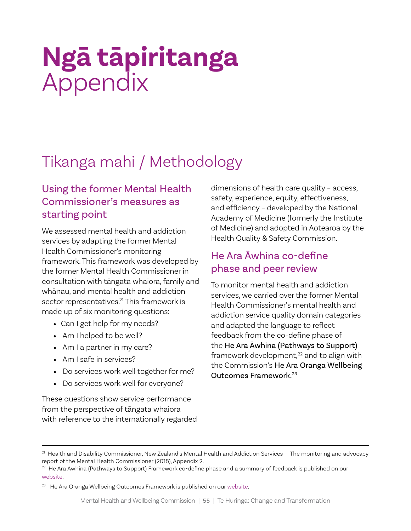# **Ngā tāpiritanga** Appendix

# Tikanga mahi / Methodology

# Using the former Mental Health Commissioner's measures as starting point

We assessed mental health and addiction services by adapting the former Mental Health Commissioner's monitoring framework. This framework was developed by the former Mental Health Commissioner in consultation with tāngata whaiora, family and whānau, and mental health and addiction sector representatives. 21 This framework is made up of six monitoring questions:

- Can I get help for my needs?
- Am I helped to be well?
- Am I a partner in my care?
- Am I safe in services?
- Do services work well together for me?
- Do services work well for everyone?

These questions show service performance from the perspective of tāngata whaiora with reference to the internationally regarded dimensions of health care quality – access, safety, experience, equity, effectiveness, and efficiency – developed by the National Academy of Medicine (formerly the Institute of Medicine) and adopted in Aotearoa by the Health Quality & Safety Commission.

# He Ara Āwhina co-define phase and peer review

To monitor mental health and addiction services, we carried over the former Mental Health Commissioner's mental health and addiction service quality domain categories and adapted the language to reflect feedback from the co-define phase of the He Ara Āwhina (Pathways to Support) framework development,<sup>22</sup> and to align with the Commission's He Ara Oranga Wellbeing Outcomes Framework.23

<sup>&</sup>lt;sup>21</sup> Health and Disability Commissioner, New Zealand's Mental Health and Addiction Services – The monitoring and advocacy report of the Mental Health Commissioner (2018), Appendix 2.

<sup>&</sup>lt;sup>22</sup> He Ara Āwhina (Pathways to Support) Framework co-define phase and a summary of feedback is published on our [website](https://www.mhwc.govt.nz/our-work/co-define-phase/).

<sup>&</sup>lt;sup>23</sup> He Ara Oranga Wellbeing Outcomes Framework is published on our [website.](https://www.mhwc.govt.nz/our-work/he-ara-oranga-wellbeing-outcomes-framework/)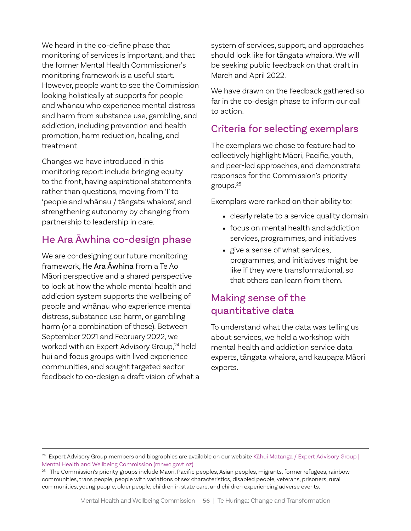We heard in the co-define phase that monitoring of services is important, and that the former Mental Health Commissioner's monitoring framework is a useful start. However, people want to see the Commission looking holistically at supports for people and whānau who experience mental distress and harm from substance use, gambling, and addiction, including prevention and health promotion, harm reduction, healing, and treatment.

Changes we have introduced in this monitoring report include bringing equity to the front, having aspirational statements rather than questions, moving from 'I' to 'people and whānau / tāngata whaiora', and strengthening autonomy by changing from partnership to leadership in care.

### He Ara Āwhina co-design phase

We are co-designing our future monitoring framework, He Ara Āwhina from a Te Ao Māori perspective and a shared perspective to look at how the whole mental health and addiction system supports the wellbeing of people and whānau who experience mental distress, substance use harm, or gambling harm (or a combination of these). Between September 2021 and February 2022, we worked with an Expert Advisory Group,<sup>24</sup> held hui and focus groups with lived experience communities, and sought targeted sector feedback to co-design a draft vision of what a system of services, support, and approaches should look like for tāngata whaiora. We will be seeking public feedback on that draft in March and April 2022.

We have drawn on the feedback gathered so far in the co-design phase to inform our call to action.

### Criteria for selecting exemplars

The exemplars we chose to feature had to collectively highlight Māori, Pacific, youth, and peer-led approaches, and demonstrate responses for the Commission's priority groups.25

Exemplars were ranked on their ability to:

- clearly relate to a service quality domain
- focus on mental health and addiction services, programmes, and initiatives
- give a sense of what services, programmes, and initiatives might be like if they were transformational, so that others can learn from them.

# Making sense of the quantitative data

To understand what the data was telling us about services, we held a workshop with mental health and addiction service data experts, tāngata whaiora, and kaupapa Māori experts.

<sup>&</sup>lt;sup>24</sup> Expert Advisory Group members and biographies are available on our website Kāhui Matanga / Expert Advisory Group | [Mental Health and Wellbeing Commission \(mhwc.govt.nz\).](https://www.mhwc.govt.nz/our-work/assessing-and-monitoring-the-mental-health-and-addiction-sector/expert-advisory-group/)

<sup>&</sup>lt;sup>25</sup> The Commission's priority groups include Māori, Pacific peoples, Asian peoples, migrants, former refugees, rainbow communities, trans people, people with variations of sex characteristics, disabled people, veterans, prisoners, rural communities, young people, older people, children in state care, and children experiencing adverse events.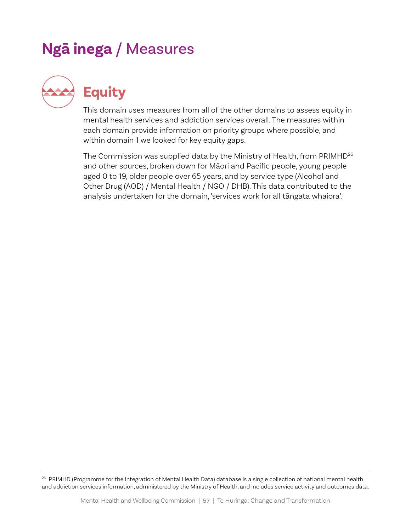# **Ngā inega** / Measures



**Equity**

This domain uses measures from all of the other domains to assess equity in mental health services and addiction services overall. The measures within each domain provide information on priority groups where possible, and within domain 1 we looked for key equity gaps.

The Commission was supplied data by the Ministry of Health, from PRIMHD<sup>26</sup> and other sources, broken down for Māori and Pacific people, young people aged 0 to 19, older people over 65 years, and by service type (Alcohol and Other Drug (AOD) / Mental Health / NGO / DHB). This data contributed to the analysis undertaken for the domain, 'services work for all tāngata whaiora'.

<sup>26</sup> PRIMHD (Programme for the Integration of Mental Health Data) database is a single collection of national mental health and addiction services information, administered by the Ministry of Health, and includes service activity and outcomes data.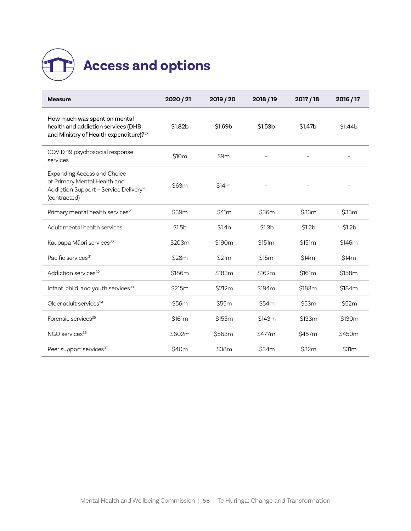

| <b>Measure</b>                                                                                                                           | 2020 / 21          | 2019 / 20          | 2018 / 19          | 2017/18            | 2016 / 17          |
|------------------------------------------------------------------------------------------------------------------------------------------|--------------------|--------------------|--------------------|--------------------|--------------------|
| How much was spent on mental<br>health and addiction services (DHB<br>and Ministry of Health expenditure)? <sup>27</sup>                 | \$1.82b            | \$1.69b            | \$1.53b            | \$1.47b            | \$1.44b            |
| COVID-19 psychosocial response<br>services                                                                                               | \$10 <sub>m</sub>  | \$9m               |                    |                    |                    |
| <b>Expanding Access and Choice</b><br>of Primary Mental Health and<br>Addiction Support - Service Delivery <sup>28</sup><br>(contracted) | \$63m              | \$14m              |                    |                    |                    |
| Primary mental health services <sup>29</sup>                                                                                             | \$39m              | \$41 <sub>m</sub>  | \$36m              | \$33m              | \$33m              |
| Adult mental health services                                                                                                             | \$1.5 <sub>b</sub> | \$1.4 <sub>b</sub> | \$1.3 <sub>b</sub> | \$1.2 <sub>b</sub> | \$1.2 <sub>b</sub> |
| Kaupapa Māori services <sup>30</sup>                                                                                                     | \$203m             | \$190m             | \$151m             | \$151m             | \$146m             |
| Pacific services <sup>31</sup>                                                                                                           | \$28m              | \$21m              | \$15m              | \$14m              | \$14m              |
| Addiction services <sup>32</sup>                                                                                                         | \$186m             | \$183m             | \$162m             | \$161m             | \$158m             |
| Infant, child, and youth services <sup>33</sup>                                                                                          | \$215m             | \$212m             | \$194m             | \$183m             | \$184m             |
| Older adult services <sup>34</sup>                                                                                                       | \$56m              | \$55m              | \$54m              | \$53m              | \$52m              |
| Forensic services <sup>35</sup>                                                                                                          | \$161m             | \$155m             | \$143m             | \$133m             | \$130m             |
| NGO services <sup>36</sup>                                                                                                               | \$602m             | \$563m             | \$477m             | \$457m             | \$450m             |
| Peer support services <sup>37</sup>                                                                                                      | \$40m              | \$38m              | \$34m              | \$32m              | \$31m              |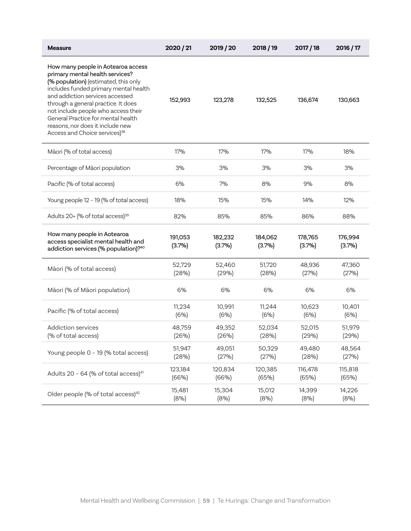| <b>Measure</b>                                                                                                                                                                                                                                                                                                                                                                                 | 2020 / 21         | 2019 / 20         | 2018/19           | 2017 / 18         | 2016 / 17         |
|------------------------------------------------------------------------------------------------------------------------------------------------------------------------------------------------------------------------------------------------------------------------------------------------------------------------------------------------------------------------------------------------|-------------------|-------------------|-------------------|-------------------|-------------------|
| How many people in Aotearoa access<br>primary mental health services?<br>(% population) (estimated, this only<br>includes funded primary mental health<br>and addiction services accessed<br>through a general practice. It does<br>not include people who access their<br>General Practice for mental health<br>reasons, nor does it include new<br>Access and Choice services) <sup>38</sup> | 152,993           | 123,278           | 132,525           | 136,674           | 130,663           |
| Māori (% of total access)                                                                                                                                                                                                                                                                                                                                                                      | 17%               | 17%               | 17%               | 17%               | 18%               |
| Percentage of Māori population                                                                                                                                                                                                                                                                                                                                                                 | 3%                | 3%                | 3%                | 3%                | 3%                |
| Pacific (% of total access)                                                                                                                                                                                                                                                                                                                                                                    | 6%                | 7%                | 8%                | 9%                | 8%                |
| Young people 12 - 19 (% of total access)                                                                                                                                                                                                                                                                                                                                                       | 18%               | 15%               | 15%               | 14%               | 12%               |
| Adults 20+ (% of total access) <sup>39</sup>                                                                                                                                                                                                                                                                                                                                                   | 82%               | 85%               | 85%               | 86%               | 88%               |
| How many people in Aotearoa<br>access specialist mental health and<br>addiction services (% population)?40                                                                                                                                                                                                                                                                                     | 191,053<br>(3.7%) | 182,232<br>(3.7%) | 184,062<br>(3.7%) | 178,765<br>(3.7%) | 176,994<br>(3.7%) |
| Māori (% of total access)                                                                                                                                                                                                                                                                                                                                                                      | 52,729<br>(28%)   | 52,460<br>(29%)   | 51,720<br>(28%)   | 48,936<br>(27%)   | 47,360<br>(27%)   |
| Māori (% of Māori population)                                                                                                                                                                                                                                                                                                                                                                  | 6%                | 6%                | 6%                | 6%                | 6%                |
| Pacific (% of total access)                                                                                                                                                                                                                                                                                                                                                                    | 11,234<br>(6%)    | 10,991<br>(6%)    | 11,244<br>(6%)    | 10,623<br>(6%)    | 10,401<br>(6%)    |
| Addiction services<br>(% of total access)                                                                                                                                                                                                                                                                                                                                                      | 48,759<br>(26%)   | 49,352<br>(26%)   | 52,034<br>(28%)   | 52,015<br>(29%)   | 51,979<br>(29%)   |
| Young people 0 - 19 (% total access)                                                                                                                                                                                                                                                                                                                                                           | 51,947<br>(28%)   | 49,051<br>(27%)   | 50,329<br>(27%)   | 49,480<br>(28%)   | 48,564<br>(27%)   |
| Adults 20 - 64 (% of total access) <sup>41</sup>                                                                                                                                                                                                                                                                                                                                               | 123,184<br>(66%)  | 120,834<br>(66%)  | 120,385<br>(65%)  | 116,478<br>(65%)  | 115,818<br>(65%)  |
| Older people (% of total access) <sup>42</sup>                                                                                                                                                                                                                                                                                                                                                 | 15,481<br>(8%)    | 15,304<br>(8%)    | 15,012<br>(8%)    | 14,399<br>(8%)    | 14,226<br>(8%)    |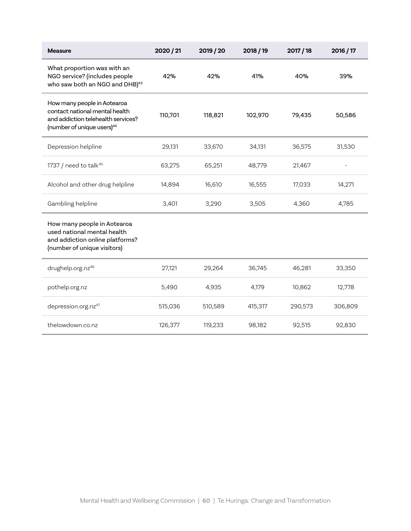| <b>Measure</b>                                                                                                                                | 2020 / 21 | 2019 / 20 | 2018/19 | 2017/18 | 2016 / 17         |
|-----------------------------------------------------------------------------------------------------------------------------------------------|-----------|-----------|---------|---------|-------------------|
| What proportion was with an<br>NGO service? (includes people<br>who saw both an NGO and DHB) <sup>43</sup>                                    | 42%       | 42%       | 41%     | 40%     | 39%               |
| How many people in Aotearoa<br>contact national mental health<br>and addiction telehealth services?<br>(number of unique users) <sup>44</sup> | 110,701   | 118,821   | 102,970 | 79,435  | 50,586            |
| Depression helpline                                                                                                                           | 29,131    | 33,670    | 34,131  | 36,575  | 31,530            |
| 1737 / need to talk <sup>45</sup>                                                                                                             | 63,275    | 65,251    | 48,779  | 21,467  | $\qquad \qquad -$ |
| Alcohol and other drug helpline                                                                                                               | 14,894    | 16,610    | 16,555  | 17,033  | 14,271            |
| Gambling helpline                                                                                                                             | 3,401     | 3,290     | 3,505   | 4,360   | 4,785             |
| How many people in Aotearoa<br>used national mental health<br>and addiction online platforms?<br>(number of unique visitors)                  |           |           |         |         |                   |
| drughelp.org.nz46                                                                                                                             | 27,121    | 29,264    | 36,745  | 46,281  | 33,350            |
| pothelp.org.nz                                                                                                                                | 5,490     | 4,935     | 4,179   | 10,862  | 12,778            |
| depression.org.nz47                                                                                                                           | 515,036   | 510,589   | 415,317 | 290,573 | 306,809           |
| thelowdown.co.nz                                                                                                                              | 126,377   | 119,233   | 98,182  | 92,515  | 92,830            |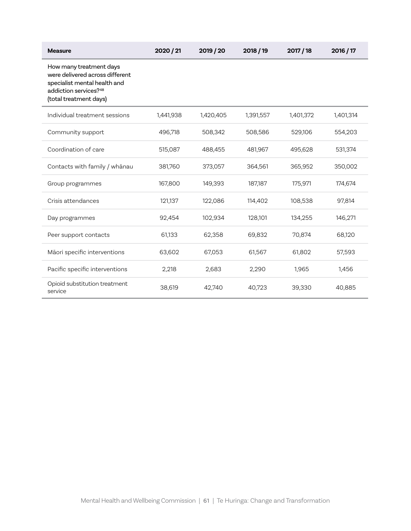| <b>Measure</b>                                                                                                                                            | 2020 / 21 | 2019 / 20 | 2018 / 19 | 2017 / 18 | 2016 / 17 |
|-----------------------------------------------------------------------------------------------------------------------------------------------------------|-----------|-----------|-----------|-----------|-----------|
| How many treatment days<br>were delivered across different<br>specialist mental health and<br>addiction services? <sup>48</sup><br>(total treatment days) |           |           |           |           |           |
| Individual treatment sessions                                                                                                                             | 1,441,938 | 1,420,405 | 1,391,557 | 1,401,372 | 1,401,314 |
| Community support                                                                                                                                         | 496,718   | 508,342   | 508,586   | 529,106   | 554,203   |
| Coordination of care                                                                                                                                      | 515,087   | 488,455   | 481,967   | 495,628   | 531,374   |
| Contacts with family / whānau                                                                                                                             | 381,760   | 373,057   | 364,561   | 365,952   | 350,002   |
| Group programmes                                                                                                                                          | 167,800   | 149,393   | 187,187   | 175,971   | 174,674   |
| Crisis attendances                                                                                                                                        | 121,137   | 122,086   | 114,402   | 108,538   | 97,814    |
| Day programmes                                                                                                                                            | 92,454    | 102,934   | 128,101   | 134,255   | 146,271   |
| Peer support contacts                                                                                                                                     | 61,133    | 62,358    | 69,832    | 70,874    | 68,120    |
| Māori specific interventions                                                                                                                              | 63,602    | 67,053    | 61,567    | 61,802    | 57,593    |
| Pacific specific interventions                                                                                                                            | 2,218     | 2,683     | 2,290     | 1,965     | 1,456     |
| Opioid substitution treatment<br>service                                                                                                                  | 38,619    | 42,740    | 40,723    | 39,330    | 40,885    |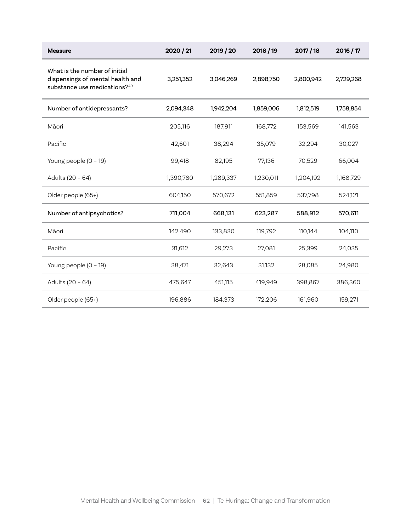| <b>Measure</b>                                                                                                | 2020 / 21 | 2019 / 20 | 2018 / 19 | 2017/18   | 2016 / 17 |
|---------------------------------------------------------------------------------------------------------------|-----------|-----------|-----------|-----------|-----------|
| What is the number of initial<br>dispensings of mental health and<br>substance use medications? <sup>49</sup> | 3,251,352 | 3,046,269 | 2,898,750 | 2,800,942 | 2,729,268 |
| Number of antidepressants?                                                                                    | 2,094,348 | 1,942,204 | 1,859,006 | 1,812,519 | 1,758,854 |
| Māori                                                                                                         | 205,116   | 187,911   | 168,772   | 153,569   | 141,563   |
| Pacific                                                                                                       | 42,601    | 38,294    | 35,079    | 32,294    | 30,027    |
| Young people (0 - 19)                                                                                         | 99,418    | 82,195    | 77,136    | 70,529    | 66,004    |
| Adults (20 - 64)                                                                                              | 1,390,780 | 1,289,337 | 1,230,011 | 1,204,192 | 1,168,729 |
| Older people (65+)                                                                                            | 604,150   | 570,672   | 551,859   | 537,798   | 524,121   |
| Number of antipsychotics?                                                                                     | 711,004   | 668,131   | 623,287   | 588,912   | 570,611   |
| Māori                                                                                                         | 142,490   | 133,830   | 119,792   | 110,144   | 104,110   |
| Pacific                                                                                                       | 31,612    | 29,273    | 27,081    | 25,399    | 24,035    |
| Young people (0 - 19)                                                                                         | 38,471    | 32,643    | 31,132    | 28,085    | 24,980    |
| Adults (20 - 64)                                                                                              | 475,647   | 451,115   | 419,949   | 398,867   | 386,360   |
| Older people (65+)                                                                                            | 196,886   | 184,373   | 172,206   | 161,960   | 159,271   |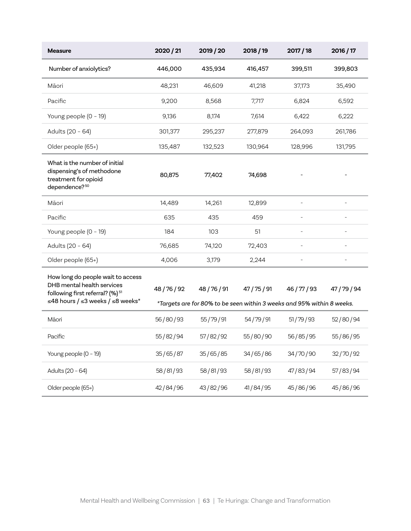| <b>Measure</b>                                                                                                                                     | 2020 / 21 | 2019 / 20                                                                          | 2018 / 19    | 2017/18        | 2016 / 17    |
|----------------------------------------------------------------------------------------------------------------------------------------------------|-----------|------------------------------------------------------------------------------------|--------------|----------------|--------------|
| Number of anxiolytics?                                                                                                                             | 446,000   | 435,934                                                                            | 416,457      | 399,511        | 399,803      |
| Māori                                                                                                                                              | 48,231    | 46,609                                                                             | 41,218       | 37,173         | 35,490       |
| Pacific                                                                                                                                            | 9,200     | 8,568                                                                              | 7,717        | 6,824          | 6,592        |
| Young people (0 - 19)                                                                                                                              | 9,136     | 8,174                                                                              | 7,614        | 6,422          | 6,222        |
| Adults (20 - 64)                                                                                                                                   | 301,377   | 295,237                                                                            | 277,879      | 264,093        | 261,786      |
| Older people (65+)                                                                                                                                 | 135,487   | 132,523                                                                            | 130,964      | 128,996        | 131,795      |
| What is the number of initial<br>dispensing's of methodone<br>treatment for opioid<br>dependence? <sup>50</sup>                                    | 80,875    | 77,402                                                                             | 74,698       |                |              |
| Māori                                                                                                                                              | 14,489    | 14,261                                                                             | 12,899       |                |              |
| Pacific                                                                                                                                            | 635       | 435                                                                                | 459          |                |              |
| Young people (0 - 19)                                                                                                                              | 184       | 103                                                                                | 51           |                |              |
| Adults (20 - 64)                                                                                                                                   | 76,685    | 74,120                                                                             | 72,403       | $\overline{a}$ |              |
| Older people (65+)                                                                                                                                 | 4,006     | 3,179                                                                              | 2,244        |                |              |
| How long do people wait to access<br>DHB mental health services<br>following first referral? (%) <sup>51</sup><br>≤48 hours / ≤3 weeks / ≤8 weeks* | 48/76/92  | 48/76/91<br>*Targets are for 80% to be seen within 3 weeks and 95% within 8 weeks. | 47 / 75 / 91 | 46/77/93       | 47 / 79 / 94 |
| Māori                                                                                                                                              | 56/80/93  | 55/79/91                                                                           | 54/79/91     | 51/79/93       | 52/80/94     |
| Pacific                                                                                                                                            | 55/82/94  | 57/82/92                                                                           | 55/80/90     | 56/85/95       | 55/86/95     |
| Young people (0 - 19)                                                                                                                              | 35/65/87  | 35/65/85                                                                           | 34/65/86     | 34/70/90       | 32/70/92     |
| Adults (20 - 64)                                                                                                                                   | 58/81/93  | 58/81/93                                                                           | 58/81/93     | 47/83/94       | 57/83/94     |
| Older people (65+)                                                                                                                                 | 42/84/96  | 43/82/96                                                                           | 41/84/95     | 45/86/96       | 45/86/96     |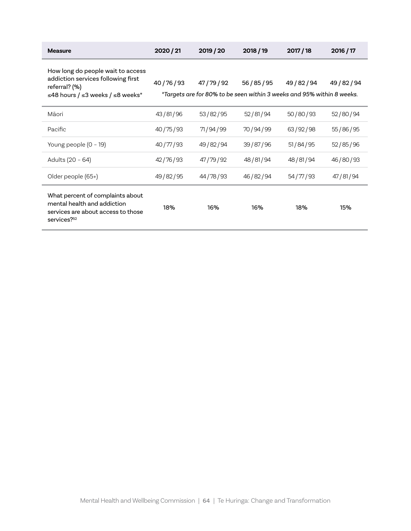| <b>Measure</b>                                                                                                                           | 2020/21  | 2019 / 20    | 2018/19                                                                                | 2017/18      | 2016/17      |
|------------------------------------------------------------------------------------------------------------------------------------------|----------|--------------|----------------------------------------------------------------------------------------|--------------|--------------|
| How long do people wait to access<br>addiction services following first<br>referral? (%)<br>≤48 hours / ≤3 weeks / ≤8 weeks <sup>*</sup> | 40/76/93 | 47 / 79 / 92 | 56 / 85 / 95<br>*Targets are for 80% to be seen within 3 weeks and 95% within 8 weeks. | 49 / 82 / 94 | 49 / 82 / 94 |
| Māori                                                                                                                                    | 43/81/96 | 53/82/95     | 52/81/94                                                                               | 50/80/93     | 52/80/94     |
| Pacific                                                                                                                                  | 40/75/93 | 71/94/99     | 70 / 94 / 99                                                                           | 63/92/98     | 55/86/95     |
| Young people $(0 - 19)$                                                                                                                  | 40/77/93 | 49/82/94     | 39/87/96                                                                               | 51/84/95     | 52/85/96     |
| Adults (20 - 64)                                                                                                                         | 42/76/93 | 47/79/92     | 48/81/94                                                                               | 48/81/94     | 46/80/93     |
| Older people (65+)                                                                                                                       | 49/82/95 | 44/78/93     | 46/82/94                                                                               | 54/77/93     | 47/81/94     |
| What percent of complaints about<br>mental health and addiction<br>services are about access to those<br>services? <sup>52</sup>         | 18%      | 16%          | 16%                                                                                    | 18%          | 15%          |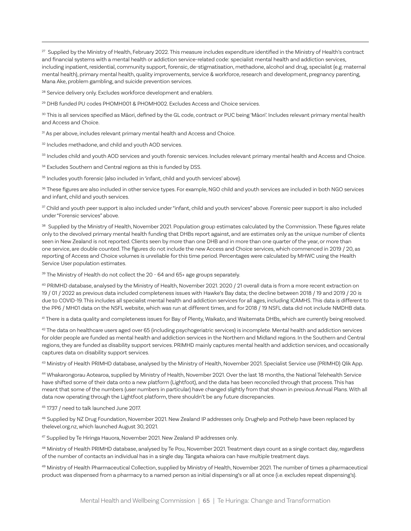<sup>27</sup> Supplied by the Ministry of Health, February 2022. This measure includes expenditure identified in the Ministry of Health's contract and financial systems with a mental health or addiction service-related code: specialist mental health and addiction services, including inpatient, residential, community support, forensic, de-stigmatisation, methadone, alcohol and drug, specialist (e.g. maternal mental health), primary mental health, quality improvements, service & workforce, research and development, pregnancy parenting, Mana Ake, problem gambling, and suicide prevention services.

<sup>28</sup> Service delivery only. Excludes workforce development and enablers.

<sup>29</sup> DHB funded PU codes PHOMH001 & PHOMH002. Excludes Access and Choice services.

30 This is all services specified as Māori, defined by the GL code, contract or PUC being 'Māori'. Includes relevant primary mental health and Access and Choice.

31 As per above, includes relevant primary mental health and Access and Choice.

<sup>32</sup> Includes methadone, and child and youth AOD services.

33 Includes child and youth AOD services and youth forensic services. Includes relevant primary mental health and Access and Choice.

<sup>34</sup> Excludes Southern and Central regions as this is funded by DSS.

<sup>35</sup> Includes youth forensic (also included in 'infant, child and youth services' above).

36 These figures are also included in other service types. For example, NGO child and youth services are included in both NGO services and infant, child and youth services.

37 Child and youth peer support is also included under "infant, child and youth services" above. Forensic peer support is also included under "Forensic services" above.

<sup>38</sup> Supplied by the Ministry of Health, November 2021. Population group estimates calculated by the Commission. These figures relate only to the devolved primary mental health funding that DHBs report against, and are estimates only as the unique number of clients seen in New Zealand is not reported. Clients seen by more than one DHB and in more than one quarter of the year, or more than one service, are double counted. The figures do not include the new Access and Choice services, which commenced in 2019 / 20, as reporting of Access and Choice volumes is unreliable for this time period. Percentages were calculated by MHWC using the Health Service User population estimates.

<sup>39</sup> The Ministry of Health do not collect the 20 - 64 and 65+ age groups separately.

40 PRIMHD database, analysed by the Ministry of Health, November 2021. 2020 / 21 overall data is from a more recent extraction on 19 / 01 / 2022 as previous data included completeness issues with Hawke's Bay data; the decline between 2018 / 19 and 2019 / 20 is due to COVID-19. This includes all specialist mental health and addiction services for all ages, including ICAMHS. This data is different to the PP6 / MH01 data on the NSFL website, which was run at different times, and for 2018 / 19 NSFL data did not include NMDHB data.

41 There is a data quality and completeness issues for Bay of Plenty, Waikato, and Waitemata DHBs, which are currently being resolved.

42 The data on healthcare users aged over 65 (including psychogeriatric services) is incomplete. Mental health and addiction services for older people are funded as mental health and addiction services in the Northern and Midland regions. In the Southern and Central regions, they are funded as disability support services. PRIMHD mainly captures mental health and addiction services, and occasionally captures data on disability support services.

43 Ministry of Health PRIMHD database, analysed by the Ministry of Health, November 2021. Specialist Service use (PRIMHD) Qlik App.

44 Whakarongorau Aotearoa, supplied by Ministry of Health, November 2021. Over the last 18 months, the National Telehealth Service have shifted some of their data onto a new platform (Lightfoot), and the data has been reconciled through that process. This has meant that some of the numbers (user numbers in particular) have changed slightly from that shown in previous Annual Plans. With all data now operating through the Lightfoot platform, there shouldn't be any future discrepancies.

45 1737 / need to talk launched June 2017.

46 Supplied by NZ Drug Foundation, November 2021. New Zealand IP addresses only. Drughelp and Pothelp have been replaced by thelevel.org.nz, which launched August 30, 2021.

47 Supplied by Te Hiringa Hauora, November 2021. New Zealand IP addresses only.

48 Ministry of Health PRIMHD database, analysed by Te Pou, November 2021. Treatment days count as a single contact day, regardless of the number of contacts an individual has in a single day. Tāngata whaiora can have multiple treatment days.

49 Ministry of Health Pharmaceutical Collection, supplied by Ministry of Health, November 2021. The number of times a pharmaceutical product was dispensed from a pharmacy to a named person as initial dispensing's or all at once (i.e. excludes repeat dispensing's).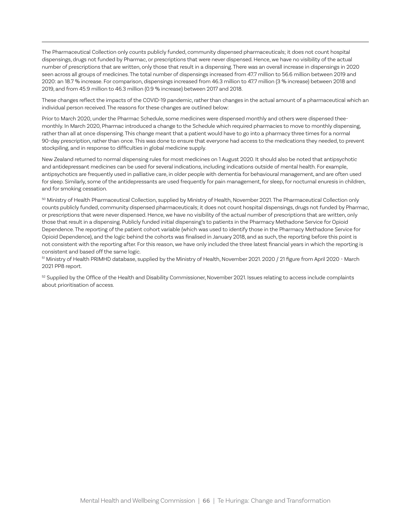The Pharmaceutical Collection only counts publicly funded, community dispensed pharmaceuticals; it does not count hospital dispensings, drugs not funded by Pharmac, or prescriptions that were never dispensed. Hence, we have no visibility of the actual number of prescriptions that are written, only those that result in a dispensing. There was an overall increase in dispensings in 2020 seen across all groups of medicines. The total number of dispensings increased from 47.7 million to 56.6 million between 2019 and 2020: an 18.7 % increase. For comparison, dispensings increased from 46.3 million to 47.7 million (3 % increase) between 2018 and 2019, and from 45.9 million to 46.3 million (0.9 % increase) between 2017 and 2018.

These changes reflect the impacts of the COVID-19 pandemic, rather than changes in the actual amount of a pharmaceutical which an individual person received. The reasons for these changes are outlined below:

Prior to March 2020, under the Pharmac Schedule, some medicines were dispensed monthly and others were dispensed theemonthly. In March 2020, Pharmac introduced a change to the Schedule which required pharmacies to move to monthly dispensing, rather than all at once dispensing. This change meant that a patient would have to go into a pharmacy three times for a normal 90-day prescription, rather than once. This was done to ensure that everyone had access to the medications they needed, to prevent stockpiling, and in response to difficulties in global medicine supply.

New Zealand returned to normal dispensing rules for most medicines on 1 August 2020. It should also be noted that antipsychotic and antidepressant medicines can be used for several indications, including indications outside of mental health. For example, antipsychotics are frequently used in palliative care, in older people with dementia for behavioural management, and are often used for sleep. Similarly, some of the antidepressants are used frequently for pain management, for sleep, for nocturnal enuresis in children, and for smoking cessation.

50 Ministry of Health Pharmaceutical Collection, supplied by Ministry of Health, November 2021. The Pharmaceutical Collection only counts publicly funded, community dispensed pharmaceuticals; it does not count hospital dispensings, drugs not funded by Pharmac, or prescriptions that were never dispensed. Hence, we have no visibility of the actual number of prescriptions that are written, only those that result in a dispensing. Publicly funded initial dispensing's to patients in the Pharmacy Methadone Service for Opioid Dependence. The reporting of the patient cohort variable (which was used to identify those in the Pharmacy Methadone Service for Opioid Dependence), and the logic behind the cohorts was finalised in January 2018, and as such, the reporting before this point is not consistent with the reporting after. For this reason, we have only included the three latest financial years in which the reporting is consistent and based off the same logic.

<sup>51</sup> Ministry of Health PRIMHD database, supplied by the Ministry of Health, November 2021. 2020 / 21 figure from April 2020 - March 2021 PP8 report.

 $52$  Supplied by the Office of the Health and Disability Commissioner, November 2021. Issues relating to access include complaints about prioritisation of access.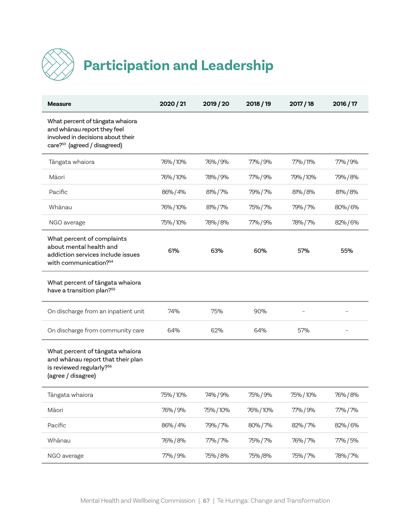

# **Participation and Leadership**

| <b>Measure</b>                                                                                                                                  | 2020 / 21 | 2019 / 20 | 2018 / 19 | 2017 / 18 | 2016 / 17 |
|-------------------------------------------------------------------------------------------------------------------------------------------------|-----------|-----------|-----------|-----------|-----------|
| What percent of tangata whaiora<br>and whanau report they feel<br>involved in decisions about their<br>care? <sup>53</sup> (agreed / disagreed) |           |           |           |           |           |
| Tāngata whaiora                                                                                                                                 | 76%/10%   | 76% / 9%  | 77%/9%    | 77% / 11% | 77%/9%    |
| Māori                                                                                                                                           | 76%/10%   | 78% / 9%  | 77% / 9%  | 79% / 10% | 79% / 8%  |
| Pacific                                                                                                                                         | 86%/4%    | 81%/7%    | 79% / 7%  | 81%/8%    | 81%/8%    |
| Whānau                                                                                                                                          | 76%/10%   | 81%/7%    | 75% / 7%  | 79%/7%    | 80%/6%    |
| NGO average                                                                                                                                     | 75%/10%   | 78% / 8%  | 77%/9%    | 78% / 7%  | 82%/6%    |
| What percent of complaints<br>about mental health and<br>addiction services include issues<br>with communication? <sup>54</sup>                 | 61%       | 63%       | 60%       | 57%       | 55%       |
| What percent of tāngata whaiora<br>have a transition plan? <sup>55</sup>                                                                        |           |           |           |           |           |
| On discharge from an inpatient unit                                                                                                             | 74%       | 75%       | 90%       |           |           |
| On discharge from community care                                                                                                                | 64%       | 62%       | 64%       | 57%       |           |
| What percent of tāngata whaiora<br>and whanau report that their plan<br>is reviewed regularly? <sup>56</sup><br>(agree / disagree)              |           |           |           |           |           |
| Tāngata whaiora                                                                                                                                 | 75%/10%   | 74% / 9%  | 75% / 9%  | 75% / 10% | 76% / 8%  |
| Māori                                                                                                                                           | 76% / 9%  | 75%/10%   | 76% / 10% | 77% / 9%  | 77% / 7%  |
| Pacific                                                                                                                                         | 86%/4%    | 79% / 7%  | 80%/7%    | 82% / 7%  | 82%/6%    |
| Whānau                                                                                                                                          | 76% / 8%  | 77% / 7%  | 75% / 7%  | 76% / 7%  | 77% / 5%  |
| NGO average                                                                                                                                     | 77% / 9%  | 75% / 8%  | 75% /8%   | 75% / 7%  | 78% / 7%  |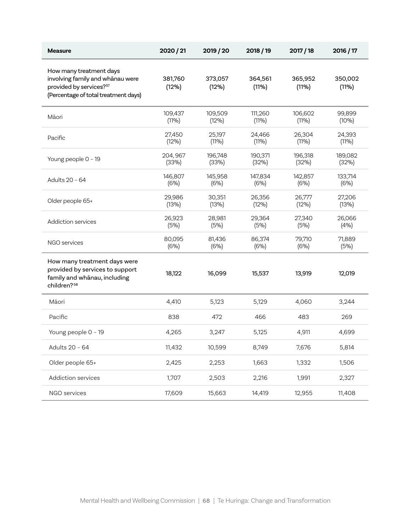| <b>Measure</b>                                                                                                                             | 2020 / 21         | 2019 / 20        | 2018 / 19        | 2017 / 18        | 2016 / 17        |
|--------------------------------------------------------------------------------------------------------------------------------------------|-------------------|------------------|------------------|------------------|------------------|
| How many treatment days<br>involving family and whānau were<br>provided by services? <sup>57</sup><br>(Percentage of total treatment days) | 381,760<br>(12%)  | 373,057<br>(12%) | 364,561<br>(11%) | 365,952<br>(11%) | 350,002<br>(11%) |
| Māori                                                                                                                                      | 109,437<br>(11%)  | 109,509<br>(12%) | 111,260<br>(11%) | 106,602<br>(11%) | 99,899<br>(10%)  |
| Pacific                                                                                                                                    | 27,450<br>(12%)   | 25,197<br>(11%)  | 24,466<br>(11%)  | 26,304<br>(11%)  | 24,393<br>(11%)  |
| Young people 0 - 19                                                                                                                        | 204, 967<br>(33%) | 196,748<br>(33%) | 190,371<br>(32%) | 196,318<br>(32%) | 189,082<br>(32%) |
| Adults 20 - 64                                                                                                                             | 146,807<br>(6%)   | 145,958<br>(6%)  | 147,834<br>(6%)  | 142,857<br>(6%)  | 133.714<br>(6%)  |
| Older people 65+                                                                                                                           | 29,986<br>(13%)   | 30,351<br>(13%)  | 26,356<br>(12%)  | 26,777<br>(12%)  | 27,206<br>(13%)  |
| Addiction services                                                                                                                         | 26,923<br>(5%)    | 28,981<br>(5%)   | 29,364<br>(5%)   | 27,340<br>(5%)   | 26,066<br>(4%)   |
| NGO services                                                                                                                               | 80,095<br>(6%)    | 81,436<br>(6%)   | 86,374<br>(6%)   | 79,710<br>(6%)   | 71,889<br>(5%)   |
| How many treatment days were<br>provided by services to support<br>family and whanau, including<br>children? <sup>58</sup>                 | 18,122            | 16,099           | 15,537           | 13,919           | 12,019           |
| Māori                                                                                                                                      | 4,410             | 5,123            | 5,129            | 4,060            | 3,244            |
| Pacific                                                                                                                                    | 838               | 472              | 466              | 483              | 269              |
| Young people 0 - 19                                                                                                                        | 4,265             | 3,247            | 5,125            | 4,911            | 4.699            |
| Adults 20 - 64                                                                                                                             | 11,432            | 10,599           | 8,749            | 7,676            | 5,814            |
| Older people 65+                                                                                                                           | 2,425             | 2,253            | 1,663            | 1,332            | 1,506            |
| Addiction services                                                                                                                         | 1,707             | 2,503            | 2,216            | 1,991            | 2,327            |
| NGO services                                                                                                                               | 17,609            | 15,663           | 14,419           | 12,955           | 11,408           |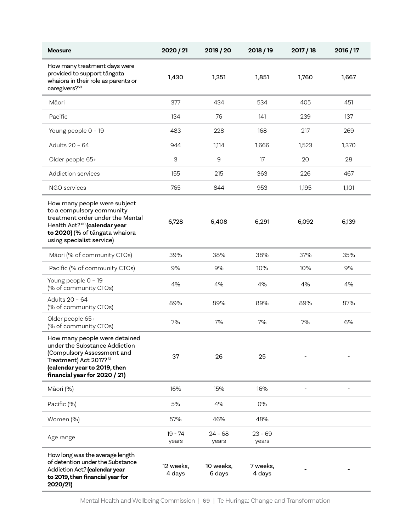| <b>Measure</b>                                                                                                                                                                                           | 2020 / 21           | 2019 / 20           | 2018/19            | 2017/18 | 2016 / 17 |
|----------------------------------------------------------------------------------------------------------------------------------------------------------------------------------------------------------|---------------------|---------------------|--------------------|---------|-----------|
| How many treatment days were<br>provided to support tāngata<br>whaiora in their role as parents or<br>caregivers? <sup>59</sup>                                                                          | 1,430               | 1,351               | 1,851              | 1,760   | 1,667     |
| Māori                                                                                                                                                                                                    | 377                 | 434                 | 534                | 405     | 451       |
| Pacific                                                                                                                                                                                                  | 134                 | 76                  | 141                | 239     | 137       |
| Young people 0 - 19                                                                                                                                                                                      | 483                 | 228                 | 168                | 217     | 269       |
| Adults 20 - 64                                                                                                                                                                                           | 944                 | 1,114               | 1,666              | 1,523   | 1,370     |
| Older people 65+                                                                                                                                                                                         | 3                   | 9                   | 17                 | 20      | 28        |
| Addiction services                                                                                                                                                                                       | 155                 | 215                 | 363                | 226     | 467       |
| NGO services                                                                                                                                                                                             | 765                 | 844                 | 953                | 1,195   | 1,101     |
| How many people were subject<br>to a compulsory community<br>treatment order under the Mental<br>Health Act? <sup>60</sup> (calendar year<br>to 2020) (% of tāngata whaiora<br>using specialist service) | 6,728               | 6,408               | 6,291              | 6,092   | 6,139     |
| Māori (% of community CTOs)                                                                                                                                                                              | 39%                 | 38%                 | 38%                | 37%     | 35%       |
| Pacific (% of community CTOs)                                                                                                                                                                            | 9%                  | 9%                  | 10%                | 10%     | 9%        |
| Young people 0 - 19<br>(% of community CTOs)                                                                                                                                                             | 4%                  | 4%                  | 4%                 | 4%      | 4%        |
| Adults 20 - 64<br>(% of community CTOs)                                                                                                                                                                  | 89%                 | 89%                 | 89%                | 89%     | 87%       |
| Older people 65+<br>(% of community CTOs)                                                                                                                                                                | 7%                  | 7%                  | 7%                 | 7%      | 6%        |
| How many people were detained<br>under the Substance Addiction<br>(Compulsory Assessment and<br>Treatment) Act 2017? <sup>61</sup><br>(calendar year to 2019, then<br>financial year for 2020 / 21)      | 37                  | 26                  | 25                 |         |           |
| Māori (%)                                                                                                                                                                                                | 16%                 | 15%                 | 16%                |         |           |
| Pacific (%)                                                                                                                                                                                              | 5%                  | 4%                  | 0%                 |         |           |
| Women (%)                                                                                                                                                                                                | 57%                 | 46%                 | 48%                |         |           |
| Age range                                                                                                                                                                                                | $19 - 74$<br>years  | $24 - 68$<br>years  | $23 - 69$<br>years |         |           |
| How long was the average length<br>of detention under the Substance<br>Addiction Act? (calendar year<br>to 2019, then financial year for<br>2020/21)                                                     | 12 weeks,<br>4 days | 10 weeks,<br>6 days | 7 weeks.<br>4 days |         |           |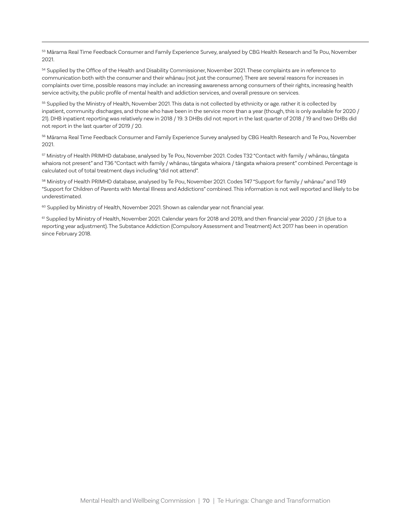53 Mārama Real Time Feedback Consumer and Family Experience Survey, analysed by CBG Health Research and Te Pou, November 2021.

<sup>54</sup> Supplied by the Office of the Health and Disability Commissioner, November 2021. These complaints are in reference to communication both with the consumer and their whānau (not just the consumer). There are several reasons for increases in complaints over time, possible reasons may include: an increasing awareness among consumers of their rights, increasing health service activity, the public profile of mental health and addiction services, and overall pressure on services.

<sup>55</sup> Supplied by the Ministry of Health, November 2021. This data is not collected by ethnicity or age. rather it is collected by inpatient, community discharges, and those who have been in the service more than a year (though, this is only available for 2020 / 21). DHB inpatient reporting was relatively new in 2018 / 19. 3 DHBs did not report in the last quarter of 2018 / 19 and two DHBs did not report in the last quarter of 2019 / 20.

56 Mārama Real Time Feedback Consumer and Family Experience Survey analysed by CBG Health Research and Te Pou, November 2021.

57 Ministry of Health PRIMHD database, analysed by Te Pou, November 2021. Codes T32 "Contact with family / whānau, tāngata whaiora not present" and T36 "Contact with family / whānau, tāngata whaiora / tāngata whaiora present" combined. Percentage is calculated out of total treatment days including "did not attend".

58 Ministry of Health PRIMHD database, analysed by Te Pou, November 2021. Codes T47 "Support for family / whānau" and T49 "Support for Children of Parents with Mental Illness and Addictions" combined. This information is not well reported and likely to be underestimated.

<sup>60</sup> Supplied by Ministry of Health, November 2021. Shown as calendar year not financial year.

<sup>61</sup> Supplied by Ministry of Health, November 2021. Calendar years for 2018 and 2019, and then financial year 2020 / 21 (due to a reporting year adjustment). The Substance Addiction (Compulsory Assessment and Treatment) Act 2017 has been in operation since February 2018.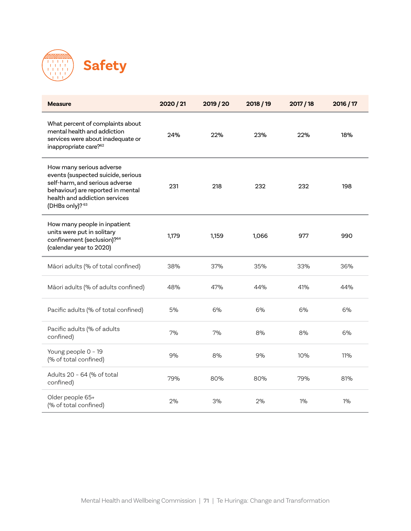

| <b>Measure</b>                                                                                                                                                                            | 2020 / 21 | 2019 / 20 | 2018 / 19 | 2017 / 18 | 2016 / 17 |
|-------------------------------------------------------------------------------------------------------------------------------------------------------------------------------------------|-----------|-----------|-----------|-----------|-----------|
| What percent of complaints about<br>mental health and addiction<br>services were about inadequate or<br>inappropriate care? <sup>62</sup>                                                 | 24%       | 22%       | 23%       | 22%       | 18%       |
| How many serious adverse<br>events (suspected suicide, serious<br>self-harm, and serious adverse<br>behaviour) are reported in mental<br>health and addiction services<br>(DHBs only)? 63 | 231       | 218       | 232       | 232       | 198       |
| How many people in inpatient<br>units were put in solitary<br>confinement (seclusion)?64<br>(calendar year to 2020)                                                                       | 1,179     | 1,159     | 1,066     | 977       | 990       |
| Māori adults (% of total confined)                                                                                                                                                        | 38%       | 37%       | 35%       | 33%       | 36%       |
| Māori adults (% of adults confined)                                                                                                                                                       | 48%       | 47%       | 44%       | 41%       | 44%       |
| Pacific adults (% of total confined)                                                                                                                                                      | 5%        | 6%        | 6%        | 6%        | 6%        |
| Pacific adults (% of adults<br>confined)                                                                                                                                                  | 7%        | 7%        | 8%        | 8%        | 6%        |
| Young people 0 - 19<br>(% of total confined)                                                                                                                                              | 9%        | 8%        | 9%        | 10%       | 11%       |
| Adults 20 - 64 (% of total<br>confined)                                                                                                                                                   | 79%       | 80%       | 80%       | 79%       | 81%       |
| Older people 65+<br>(% of total confined)                                                                                                                                                 | 2%        | 3%        | 2%        | 1%        | 1%        |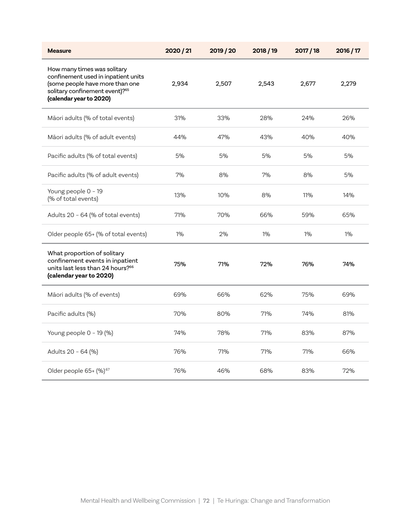| <b>Measure</b>                                                                                                                                                                 | 2020 / 21 | 2019 / 20 | 2018 / 19 | 2017/18 | 2016 / 17 |
|--------------------------------------------------------------------------------------------------------------------------------------------------------------------------------|-----------|-----------|-----------|---------|-----------|
| How many times was solitary<br>confinement used in inpatient units<br>(some people have more than one<br>solitary confinement event)? <sup>65</sup><br>(calendar year to 2020) | 2,934     | 2,507     | 2,543     | 2,677   | 2,279     |
| Māori adults (% of total events)                                                                                                                                               | 31%       | 33%       | 28%       | 24%     | 26%       |
| Māori adults (% of adult events)                                                                                                                                               | 44%       | 47%       | 43%       | 40%     | 40%       |
| Pacific adults (% of total events)                                                                                                                                             | 5%        | 5%        | 5%        | 5%      | 5%        |
| Pacific adults (% of adult events)                                                                                                                                             | 7%        | 8%        | 7%        | 8%      | 5%        |
| Young people 0 - 19<br>(% of total events)                                                                                                                                     | 13%       | 10%       | 8%        | 11%     | 14%       |
| Adults 20 - 64 (% of total events)                                                                                                                                             | 71%       | 70%       | 66%       | 59%     | 65%       |
| Older people 65+ (% of total events)                                                                                                                                           | $1\%$     | 2%        | $1\%$     | $1\%$   | $1\%$     |
| What proportion of solitary<br>confinement events in inpatient<br>units last less than 24 hours? <sup>66</sup><br>(calendar year to 2020)                                      | 75%       | 71%       | 72%       | 76%     | 74%       |
| Māori adults (% of events)                                                                                                                                                     | 69%       | 66%       | 62%       | 75%     | 69%       |
| Pacific adults (%)                                                                                                                                                             | 70%       | 80%       | 71%       | 74%     | 81%       |
| Young people 0 - 19 (%)                                                                                                                                                        | 74%       | 78%       | 71%       | 83%     | 87%       |
| Adults 20 - 64 (%)                                                                                                                                                             | 76%       | 71%       | 71%       | 71%     | 66%       |
| Older people 65+ (%) <sup>67</sup>                                                                                                                                             | 76%       | 46%       | 68%       | 83%     | 72%       |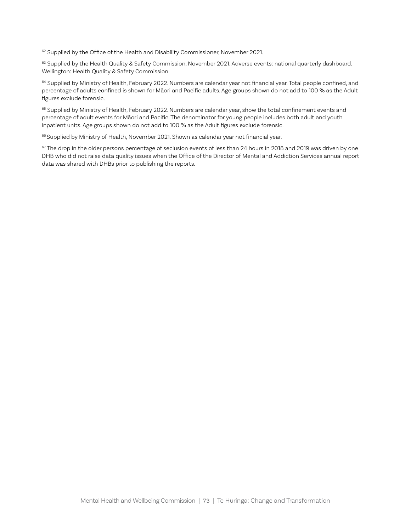<sup>62</sup> Supplied by the Office of the Health and Disability Commissioner, November 2021.

63 Supplied by the Health Quality & Safety Commission, November 2021. Adverse events: national quarterly dashboard. Wellington: Health Quality & Safety Commission.

<sup>64</sup> Supplied by Ministry of Health, February 2022. Numbers are calendar year not financial year. Total people confined, and percentage of adults confined is shown for Māori and Pacific adults. Age groups shown do not add to 100 % as the Adult figures exclude forensic.

<sup>65</sup> Supplied by Ministry of Health, February 2022. Numbers are calendar year, show the total confinement events and percentage of adult events for Māori and Pacific. The denominator for young people includes both adult and youth inpatient units. Age groups shown do not add to 100 % as the Adult figures exclude forensic.

<sup>66</sup> Supplied by Ministry of Health, November 2021. Shown as calendar year not financial year.

<sup>67</sup> The drop in the older persons percentage of seclusion events of less than 24 hours in 2018 and 2019 was driven by one DHB who did not raise data quality issues when the Office of the Director of Mental and Addiction Services annual report data was shared with DHBs prior to publishing the reports.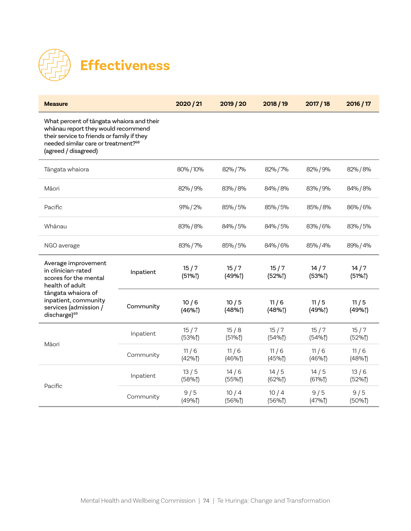

| <b>Measure</b>                                                                                                                                                                                           |           | 2020 / 21      | 2019/20       | 2018 / 19      | 2017 / 18      | 2016 / 17        |
|----------------------------------------------------------------------------------------------------------------------------------------------------------------------------------------------------------|-----------|----------------|---------------|----------------|----------------|------------------|
| What percent of tāngata whaiora and their<br>whanau report they would recommend<br>their service to friends or family if they<br>needed similar care or treatment? <sup>68</sup><br>(agreed / disagreed) |           |                |               |                |                |                  |
| Tāngata whaiora                                                                                                                                                                                          |           | 80%/10%        | 82%/7%        | 82%/7%         | 82%/9%         | 82% / 8%         |
| Māori                                                                                                                                                                                                    |           | 82% / 9%       | 83%/8%        | 84% / 8%       | 83% / 9%       | 84% / 8%         |
| Pacific                                                                                                                                                                                                  |           | 91% / 2%       | 85%/5%        | 85%/5%         | 85% / 8%       | 86%/6%           |
| Whānau                                                                                                                                                                                                   |           | 83% / 8%       | 84% / 5%      | 84% / 5%       | 83%/6%         | 83%/5%           |
| NGO average                                                                                                                                                                                              |           | 83%/7%         | 85% / 5%      | 84% / 6%       | 85% / 4%       | 89% / 4%         |
| Average improvement<br>in clinician-rated<br>scores for the mental<br>health of adult<br>tāngata whaiora of<br>inpatient, community<br>services (admission /<br>discharge) <sup>69</sup>                 | Inpatient | 15/7<br>(51%)  | 15/7<br>(49%) | 15/7<br>(52%)  | 14/7<br>(53%)  | 14/7<br>(51%     |
|                                                                                                                                                                                                          | Community | 10/6<br>(46%)  | 10/5<br>(48%) | 11/6<br>(48%)  | 11/5<br>(49%)  | 11/5<br>(49%)    |
| Māori                                                                                                                                                                                                    | Inpatient | 15/7<br>(53%)  | 15/8<br>(51%) | 15/7<br>(54%   | 15/7<br>(54%   | 15/7<br>(52%)    |
|                                                                                                                                                                                                          | Community | 11/6<br>(42%1) | 11/6<br>(46%  | 11/6<br>(45%   | 11/6<br>(46%1) | 11/6<br>$(48%$ ] |
| Pacific                                                                                                                                                                                                  | Inpatient | 13/5<br>(58%)  | 14/6<br>(55%) | 14/5<br>(62%1) | 14/5<br>(61%1) | 13/6<br>(52%)    |
|                                                                                                                                                                                                          | Community | 9/5<br>(49%1)  | 10/4<br>(56%  | 10/4<br>(56%   | 9/5<br>(47%1)  | 9/5<br>(50%      |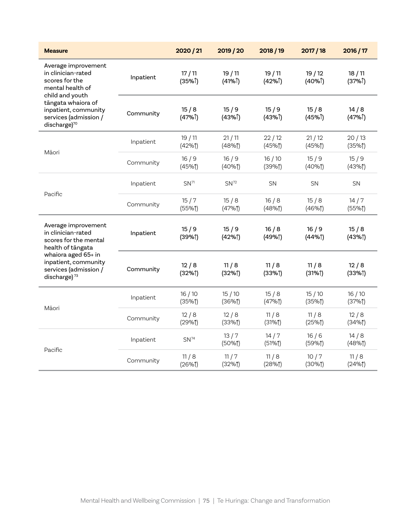| <b>Measure</b>                                                                                                                                                                                        |           | 2020 / 21        | 2019 / 20                    | 2018 / 19                   | 2017 / 18         | 2016 / 17                 |
|-------------------------------------------------------------------------------------------------------------------------------------------------------------------------------------------------------|-----------|------------------|------------------------------|-----------------------------|-------------------|---------------------------|
| Average improvement<br>in clinician-rated<br>scores for the<br>mental health of<br>child and youth<br>tāngata whaiora of<br>inpatient, community<br>services (admission /<br>discharge) <sup>70</sup> | Inpatient | 17/11<br>(35%)   | 19/11<br>$(41\%^{\uparrow})$ | 19/11<br>$(42%^{\uparrow})$ | 19/12<br>$(40\%)$ | 18/11<br>(37%)            |
|                                                                                                                                                                                                       | Community | 15/8<br>(47%)    | 15/9<br>$(43%^{\uparrow})$   | 15/9<br>(43%)               | 15/8<br>(45%)     | 14/8<br>$(47%^{\dagger})$ |
|                                                                                                                                                                                                       | Inpatient | 19/11<br>(42%1)  | 21/11<br>$(48%$ ]            | 22/12<br>(45%               | 21/12<br>(45%     | 20/13<br>(35%             |
| Māori                                                                                                                                                                                                 | Community | 16/9<br>(45%     | 16/9<br>(40%                 | 16/10<br>(39%               | 15/9<br>(40%      | 15/9<br>(43%)             |
| Pacific                                                                                                                                                                                               | Inpatient | SN <sup>71</sup> | SN <sup>72</sup>             | <b>SN</b>                   | <b>SN</b>         | <b>SN</b>                 |
|                                                                                                                                                                                                       | Community | 15/7<br>(55%     | 15/8<br>(47%1)               | 16/8<br>$(48%$ ]            | 15/8<br>(46%      | 14/7<br>(55%              |
| Average improvement<br>in clinician-rated<br>scores for the mental<br>health of tāngata<br>whaiora aged 65+ in<br>inpatient, community<br>services (admission /<br>discharge) <sup>73</sup>           | Inpatient | 15/9<br>(39%)    | 15/9<br>(42%)                | 16/8<br>(49%)               | 16/9<br>(44%      | 15/8<br>(43%)             |
|                                                                                                                                                                                                       | Community | 12/8<br>(32%)    | 11/8<br>(32%)                | 11/8<br>(33%)               | 11/8<br>(31%)     | 12/8<br>(33%)             |
| Māori                                                                                                                                                                                                 | Inpatient | 16/10<br>(35%    | 15/10<br>(36%                | 15/8<br>(47%1)              | 15/10<br>(35%     | 16/10<br>(37%             |
|                                                                                                                                                                                                       | Community | 12/8<br>(29%1)   | 12/8<br>(33%1)               | 11/8<br>(31%1)              | 11/8<br>(25%      | 12/8<br>(34%1)            |
| Pacific                                                                                                                                                                                               | Inpatient | SN <sup>74</sup> | 13/7<br>(50%                 | 14/7<br>(51%)               | 16/6<br>(59%)     | 14/8<br>$(48%$ ]          |
|                                                                                                                                                                                                       | Community | 11/8<br>(26%     | 11/7<br>(32%1)               | 11/8<br>(28%                | 10/7<br>(30%      | 11/8<br>(24%1)            |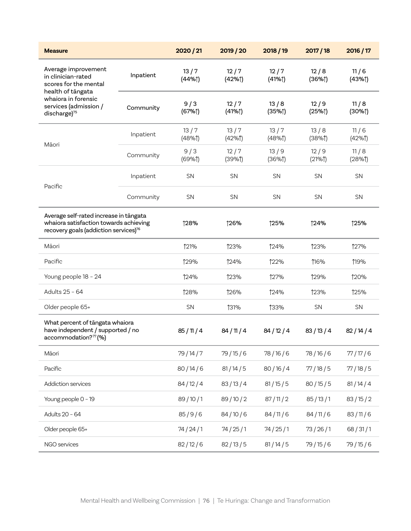| <b>Measure</b>                                                                                                                                                      |           | 2020 / 21      | 2019 / 20      | 2018/19        | 2017/18          | 2016 / 17      |
|---------------------------------------------------------------------------------------------------------------------------------------------------------------------|-----------|----------------|----------------|----------------|------------------|----------------|
| Average improvement<br>in clinician-rated<br>scores for the mental<br>health of tāngata<br>whaiora in forensic<br>services (admission /<br>discharge) <sup>75</sup> | Inpatient | 13/7<br>(44%   | 12/7<br>(42%)  | 12/7<br>(41%   | 12/8<br>$(36\%)$ | 11/6<br>(43%)  |
|                                                                                                                                                                     | Community | 9/3<br>(67%)   | 12/7<br>(41%   | 13/8<br>(35%)  | 12/9<br>(25%)    | 11/8<br>(30%   |
|                                                                                                                                                                     | Inpatient | 13/7<br>(48%1) | 13/7<br>(42%1) | 13/7<br>(48%1) | 13/8<br>(38%     | 11/6<br>(42%1) |
| Māori                                                                                                                                                               | Community | 9/3<br>(69%1)  | 12/7<br>(39%)  | 13/9<br>(36%   | 12/9<br>(21%1)   | 11/8<br>(28%1) |
|                                                                                                                                                                     | Inpatient | SN             | <b>SN</b>      | SN             | SN               | SN             |
| Pacific                                                                                                                                                             | Community | SN             | SN             | SN             | SN               | SN             |
| Average self-rated increase in tāngata<br>whaiora satisfaction towards achieving<br>recovery goals (addiction services) <sup>76</sup>                               |           | ↑28%           | 126%           | ↑25%           | <b>124%</b>      | ↑25%           |
| Māori                                                                                                                                                               |           | <b>121%</b>    | <b>123%</b>    | 124%           | <b>123%</b>      | <b>127%</b>    |
| Pacific                                                                                                                                                             |           | <b>129%</b>    | 124%           | <b>122%</b>    | 116%             | <b>19%</b>     |
| Young people 18 - 24                                                                                                                                                |           | <b>124%</b>    | <b>123%</b>    | 127%           | <b>129%</b>      | 120%           |
| Adults 25 - 64                                                                                                                                                      |           | <b>128%</b>    | 126%           | 124%           | 123%             | <b>125%</b>    |
| Older people 65+                                                                                                                                                    |           | SN             | <b>131%</b>    | <b>133%</b>    | <b>SN</b>        | SN             |
| What percent of tangata whaiora<br>have independent / supported / no<br>accommodation?77(%)                                                                         |           | 85/11/4        | 84/11/4        | 84/12/4        | 83/13/4          | 82/14/4        |
| Māori                                                                                                                                                               |           | 79/14/7        | 79/15/6        | 78/16/6        | 78/16/6          | 77/17/6        |
| Pacific                                                                                                                                                             |           | 80/14/6        | 81/14/5        | 80/16/4        | 77/18/5          | 77/18/5        |
| Addiction services                                                                                                                                                  |           | 84/12/4        | 83/13/4        | 81/15/5        | 80/15/5          | 81/14/4        |
| Young people 0 - 19                                                                                                                                                 |           | 89/10/1        | 89/10/2        | 87/11/2        | 85/13/1          | 83/15/2        |
| Adults 20 - 64                                                                                                                                                      |           | 85/9/6         | 84/10/6        | 84/11/6        | 84/11/6          | 83/11/6        |
| Older people 65+                                                                                                                                                    |           | 74/24/1        | 74/25/1        | 74/25/1        | 73/26/1          | 68/31/1        |
| NGO services                                                                                                                                                        |           | 82/12/6        | 82/13/5        | 81/14/5        | 79/15/6          | 79/15/6        |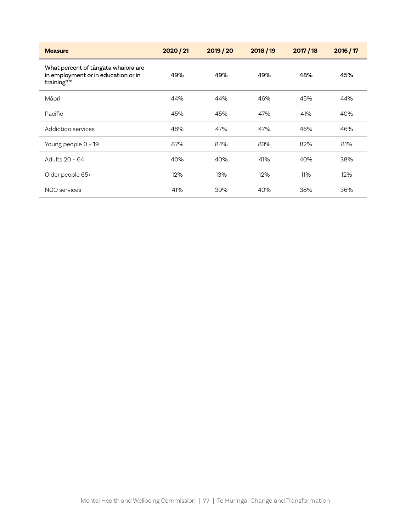| <b>Measure</b>                                                                            | 2020 / 21 | 2019 / 20 | 2018/19 | 2017/18 | 2016 / 17 |
|-------------------------------------------------------------------------------------------|-----------|-----------|---------|---------|-----------|
| What percent of tāngata whaiora are<br>in employment or in education or in<br>training?78 | 49%       | 49%       | 49%     | 48%     | 45%       |
| Māori                                                                                     | 44%       | 44%       | 46%     | 45%     | 44%       |
| Pacific                                                                                   | 45%       | 45%       | 47%     | 41%     | 40%       |
| Addiction services                                                                        | 48%       | 47%       | 47%     | 46%     | 46%       |
| Young people 0 - 19                                                                       | 87%       | 84%       | 83%     | 82%     | 81%       |
| Adults 20 - 64                                                                            | 40%       | 40%       | 41%     | 40%     | 38%       |
| Older people 65+                                                                          | 12%       | 13%       | 12%     | 11%     | 12%       |
| NGO services                                                                              | 41%       | 39%       | 40%     | 38%     | 36%       |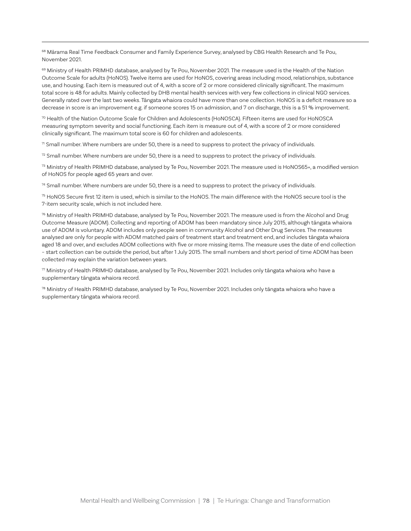<sup>68</sup> Mārama Real Time Feedback Consumer and Family Experience Survey, analysed by CBG Health Research and Te Pou, November 2021.

69 Ministry of Health PRIMHD database, analysed by Te Pou, November 2021. The measure used is the Health of the Nation Outcome Scale for adults (HoNOS). Twelve items are used for HoNOS, covering areas including mood, relationships, substance use, and housing. Each item is measured out of 4, with a score of 2 or more considered clinically significant. The maximum total score is 48 for adults. Mainly collected by DHB mental health services with very few collections in clinical NGO services. Generally rated over the last two weeks. Tāngata whaiora could have more than one collection. HoNOS is a deficit measure so a decrease in score is an improvement e.g. if someone scores 15 on admission, and 7 on discharge, this is a 51 % improvement.

70 Health of the Nation Outcome Scale for Children and Adolescents (HoNOSCA). Fifteen items are used for HoNOSCA measuring symptom severity and social functioning. Each item is measure out of 4, with a score of 2 or more considered clinically significant. The maximum total score is 60 for children and adolescents.

 $71$  Small number. Where numbers are under 50, there is a need to suppress to protect the privacy of individuals.

 $72$  Small number. Where numbers are under 50, there is a need to suppress to protect the privacy of individuals.

 $73$  Ministry of Health PRIMHD database, analysed by Te Pou, November 2021. The measure used is HoNOS65+, a modified version of HoNOS for people aged 65 years and over.

 $74$  Small number. Where numbers are under 50, there is a need to suppress to protect the privacy of individuals.

75 HoNOS Secure first 12 item is used, which is similar to the HoNOS. The main difference with the HoNOS secure tool is the 7-item security scale, which is not included here.

 $76$  Ministry of Health PRIMHD database, analysed by Te Pou, November 2021. The measure used is from the Alcohol and Drug Outcome Measure (ADOM). Collecting and reporting of ADOM has been mandatory since July 2015, although tāngata whaiora use of ADOM is voluntary. ADOM includes only people seen in community Alcohol and Other Drug Services. The measures analysed are only for people with ADOM matched pairs of treatment start and treatment end, and includes tāngata whaiora aged 18 and over, and excludes ADOM collections with five or more missing items. The measure uses the date of end collection – start collection can be outside the period, but after 1 July 2015. The small numbers and short period of time ADOM has been collected may explain the variation between years.

 $77$  Ministry of Health PRIMHD database, analysed by Te Pou, November 2021. Includes only tāngata whaiora who have a supplementary tāngata whaiora record.

78 Ministry of Health PRIMHD database, analysed by Te Pou, November 2021. Includes only tāngata whaiora who have a supplementary tāngata whaiora record.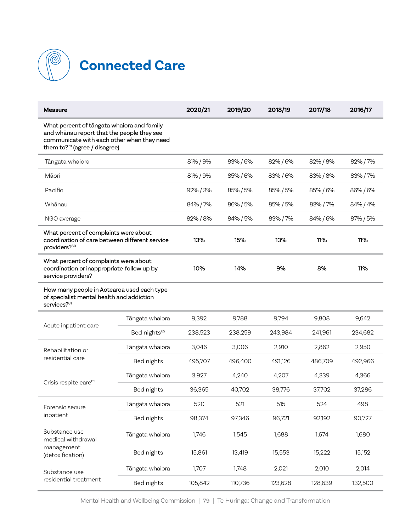

| <b>Measure</b>                                                                                                                                                                      |                          | 2020/21  | 2019/20  | 2018/19  | 2017/18  | 2016/17  |
|-------------------------------------------------------------------------------------------------------------------------------------------------------------------------------------|--------------------------|----------|----------|----------|----------|----------|
| What percent of tāngata whaiora and family<br>and whanau report that the people they see<br>communicate with each other when they need<br>them to? <sup>79</sup> (agree / disagree) |                          |          |          |          |          |          |
| Tāngata whaiora                                                                                                                                                                     |                          | 81% / 9% | 83% / 6% | 82% / 6% | 82% / 8% | 82% / 7% |
| Māori                                                                                                                                                                               |                          | 81% / 9% | 85% / 6% | 83%/6%   | 83% / 8% | 83% / 7% |
| Pacific                                                                                                                                                                             |                          | 92% / 3% | 85% / 5% | 85% / 5% | 85% / 6% | 86%/6%   |
| Whānau                                                                                                                                                                              |                          | 84% / 7% | 86% / 5% | 85% / 5% | 83% / 7% | 84% / 4% |
| NGO average                                                                                                                                                                         |                          | 82% / 8% | 84% / 5% | 83% / 7% | 84% / 6% | 87% / 5% |
| What percent of complaints were about<br>coordination of care between different service<br>providers? <sup>80</sup>                                                                 |                          | 13%      | 15%      | 13%      | 11%      | 11%      |
| What percent of complaints were about<br>coordination or inappropriate follow up by<br>service providers?                                                                           |                          | 10%      | 14%      | 9%       | 8%       | 11%      |
| How many people in Aotearoa used each type<br>of specialist mental health and addiction<br>services? <sup>81</sup>                                                                  |                          |          |          |          |          |          |
| Acute inpatient care                                                                                                                                                                | Tängata whaiora          | 9,392    | 9,788    | 9,794    | 9,808    | 9,642    |
|                                                                                                                                                                                     | Bed nights <sup>82</sup> | 238,523  | 238,259  | 243,984  | 241,961  | 234,682  |
| Rehabilitation or                                                                                                                                                                   | Tängata whaiora          | 3,046    | 3,006    | 2,910    | 2,862    | 2,950    |
| residential care                                                                                                                                                                    | Bed nights               | 495,707  | 496,400  | 491,126  | 486,709  | 492,966  |
| Crisis respite care <sup>83</sup>                                                                                                                                                   | Tängata whaiora          | 3,927    | 4,240    | 4,207    | 4,339    | 4,366    |
|                                                                                                                                                                                     | Bed nights               | 36,365   | 40,702   | 38,776   | 37,702   | 37,286   |
| Forensic secure                                                                                                                                                                     | Tängata whaiora          | 520      | 521      | 515      | 524      | 498      |
| inpatient                                                                                                                                                                           | Bed nights               | 98,374   | 97,346   | 96,721   | 92,192   | 90,727   |
| Substance use<br>medical withdrawal<br>management<br>(detoxification)                                                                                                               | Tāngata whaiora          | 1,746    | 1,545    | 1,688    | 1,674    | 1,680    |
|                                                                                                                                                                                     | Bed nights               | 15,861   | 13,419   | 15,553   | 15,222   | 15,152   |
| Substance use                                                                                                                                                                       | Tāngata whaiora          | 1,707    | 1,748    | 2,021    | 2,010    | 2,014    |
| residential treatment                                                                                                                                                               | Bed nights               | 105,842  | 110,736  | 123,628  | 128,639  | 132,500  |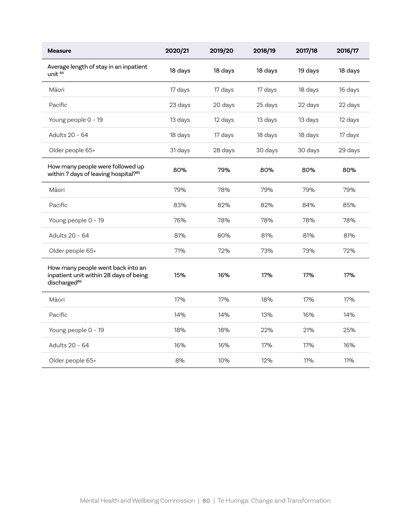| <b>Measure</b>                                                                                          | 2020/21 | 2019/20 | 2018/19 | 2017/18 | 2016/17 |
|---------------------------------------------------------------------------------------------------------|---------|---------|---------|---------|---------|
| Average length of stay in an inpatient<br>unit <sup>84</sup>                                            | 18 days | 18 days | 18 days | 19 days | 18 days |
| Māori                                                                                                   | 17 days | 17 days | 17 days | 18 days | 16 days |
| Pacific                                                                                                 | 23 days | 20 days | 25 days | 22 days | 22 days |
| Young people 0 - 19                                                                                     | 13 days | 12 days | 13 days | 13 days | 12 days |
| Adults 20 - 64                                                                                          | 18 days | 17 days | 18 days | 18 days | 17 days |
| Older people 65+                                                                                        | 31 days | 28 days | 30 days | 30 days | 29 days |
| How many people were followed up<br>within 7 days of leaving hospital?85                                | 80%     | 79%     | 80%     | 80%     | 80%     |
| Māori                                                                                                   | 79%     | 78%     | 79%     | 79%     | 79%     |
| Pacific                                                                                                 | 83%     | 82%     | 82%     | 84%     | 85%     |
| Young people 0 - 19                                                                                     | 76%     | 78%     | 78%     | 78%     | 78%     |
| Adults 20 - 64                                                                                          | 81%     | 80%     | 81%     | 81%     | 81%     |
| Older people 65+                                                                                        | 71%     | 72%     | 73%     | 73%     | 72%     |
| How many people went back into an<br>inpatient unit within 28 days of being<br>discharged <sup>86</sup> | 15%     | 16%     | 17%     | 17%     | 17%     |
| Māori                                                                                                   | 17%     | 17%     | 18%     | 17%     | 17%     |
| Pacific                                                                                                 | 14%     | 14%     | 13%     | 16%     | 14%     |
| Young people 0 - 19                                                                                     | 18%     | 18%     | 22%     | 21%     | 25%     |
| Adults 20 - 64                                                                                          | 16%     | 16%     | 17%     | 17%     | 16%     |
| Older people 65+                                                                                        | 8%      | 10%     | 12%     | 11%     | 11%     |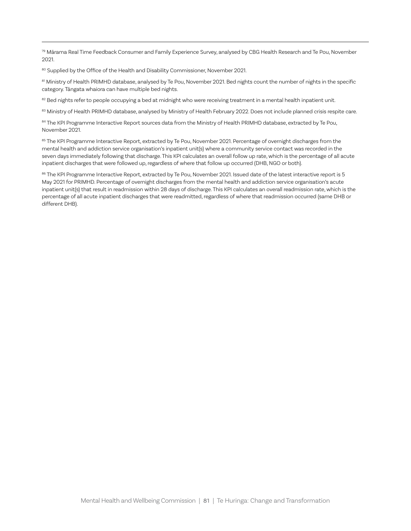79 Mārama Real Time Feedback Consumer and Family Experience Survey, analysed by CBG Health Research and Te Pou, November 2021.

80 Supplied by the Office of the Health and Disability Commissioner, November 2021.

81 Ministry of Health PRIMHD database, analysed by Te Pou, November 2021. Bed nights count the number of nights in the specific category. Tāngata whaiora can have multiple bed nights.

82 Bed nights refer to people occupying a bed at midnight who were receiving treatment in a mental health inpatient unit.

83 Ministry of Health PRIMHD database, analysed by Ministry of Health February 2022. Does not include planned crisis respite care.

84 The KPI Programme Interactive Report sources data from the Ministry of Health PRIMHD database, extracted by Te Pou, November 2021.

85 The KPI Programme Interactive Report, extracted by Te Pou, November 2021. Percentage of overnight discharges from the mental health and addiction service organisation's inpatient unit(s) where a community service contact was recorded in the seven days immediately following that discharge. This KPI calculates an overall follow up rate, which is the percentage of all acute inpatient discharges that were followed up, regardless of where that follow up occurred (DHB, NGO or both).

86 The KPI Programme Interactive Report, extracted by Te Pou, November 2021. Issued date of the latest interactive report is 5 May 2021 for PRIMHD. Percentage of overnight discharges from the mental health and addiction service organisation's acute inpatient unit(s) that result in readmission within 28 days of discharge. This KPI calculates an overall readmission rate, which is the percentage of all acute inpatient discharges that were readmitted, regardless of where that readmission occurred (same DHB or different DHB).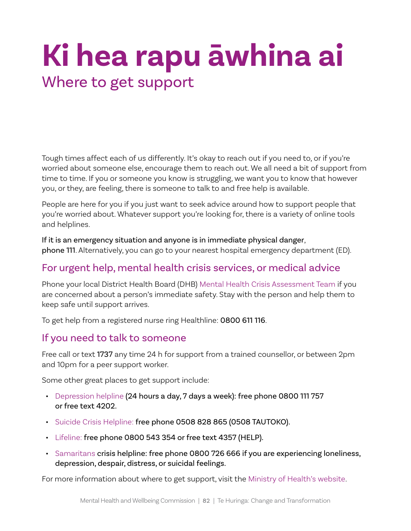## **Ki hea rapu āwhina ai** Where to get support

Tough times affect each of us differently. It's okay to reach out if you need to, or if you're worried about someone else, encourage them to reach out. We all need a bit of support from time to time. If you or someone you know is struggling, we want you to know that however you, or they, are feeling, there is someone to talk to and free help is available.

People are here for you if you just want to seek advice around how to support people that you're worried about. Whatever support you're looking for, there is a variety of online tools and helplines.

If it is an emergency situation and anyone is in immediate physical danger, phone 111. Alternatively, you can go to your nearest hospital emergency department (ED).

## For urgent help, mental health crisis services, or medical advice

Phone your local District Health Board (DHB) [Mental Health Crisis Assessment Team](https://www.health.govt.nz/your-health/services-and-support/health-care-services/mental-health-services/crisis-assessment-teams) if you are concerned about a person's immediate safety. Stay with the person and help them to keep safe until support arrives.

To get help from a registered nurse ring Healthline: 0800 611 116.

## If you need to talk to someone

Free call or text 1737 any time 24 h for support from a trained counsellor, or between 2pm and 10pm for a peer support worker.

Some other great places to get support include:

- [Depression helpline](https://depression.org.nz/contact-us/) (24 hours a day, 7 days a week): free phone 0800 111 757 or free text 4202.
- [Suicide Crisis Helpline:](https://depression.org.nz/contact-us/) free phone 0508 828 865 (0508 TAUTOKO).
- [Lifeline:](https://www.lifeline.org.nz/) free phone 0800 543 354 or free text 4357 (HELP).
- [Samaritans](https://www.samaritans.org.nz/) crisis helpline: free phone 0800 726 666 if you are experiencing loneliness, depression, despair, distress, or suicidal feelings.

For more information about where to get support, visit the [Ministry of Health's website.](https://www.health.govt.nz/your-health/services-and-support/health-care-services/mental-health-services/mental-health-services-where-get-help)